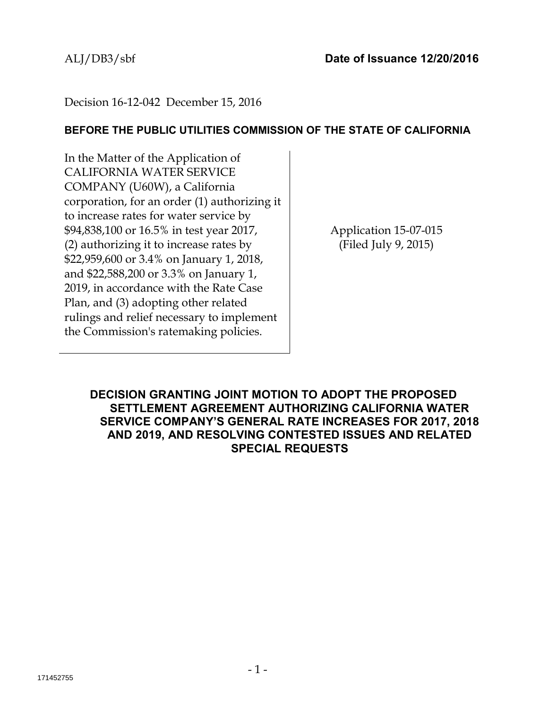# Decision 16-12-042 December 15, 2016

## **BEFORE THE PUBLIC UTILITIES COMMISSION OF THE STATE OF CALIFORNIA**

In the Matter of the Application of CALIFORNIA WATER SERVICE COMPANY (U60W), a California corporation, for an order (1) authorizing it to increase rates for water service by \$94,838,100 or 16.5% in test year 2017, (2) authorizing it to increase rates by \$22,959,600 or 3.4% on January 1, 2018, and \$22,588,200 or 3.3% on January 1, 2019, in accordance with the Rate Case Plan, and (3) adopting other related rulings and relief necessary to implement the Commission's ratemaking policies.

Application 15-07-015 (Filed July 9, 2015)

**DECISION GRANTING JOINT MOTION TO ADOPT THE PROPOSED SETTLEMENT AGREEMENT AUTHORIZING CALIFORNIA WATER SERVICE COMPANY'S GENERAL RATE INCREASES FOR 2017, 2018 AND 2019, AND RESOLVING CONTESTED ISSUES AND RELATED SPECIAL REQUESTS**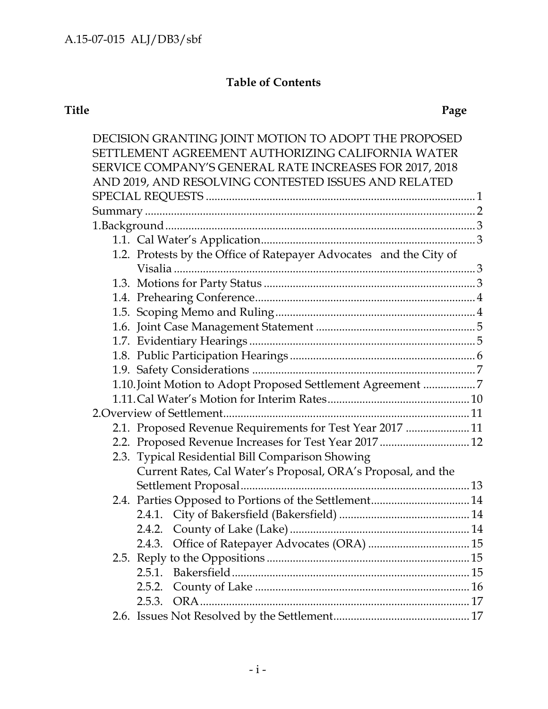|        | DECISION GRANTING JOINT MOTION TO ADOPT THE PROPOSED               |  |
|--------|--------------------------------------------------------------------|--|
|        | SETTLEMENT AGREEMENT AUTHORIZING CALIFORNIA WATER                  |  |
|        | SERVICE COMPANY'S GENERAL RATE INCREASES FOR 2017, 2018            |  |
|        | AND 2019, AND RESOLVING CONTESTED ISSUES AND RELATED               |  |
|        |                                                                    |  |
|        |                                                                    |  |
|        |                                                                    |  |
|        |                                                                    |  |
|        | 1.2. Protests by the Office of Ratepayer Advocates and the City of |  |
|        |                                                                    |  |
|        |                                                                    |  |
|        |                                                                    |  |
|        |                                                                    |  |
|        |                                                                    |  |
|        |                                                                    |  |
|        |                                                                    |  |
|        |                                                                    |  |
|        | 1.10. Joint Motion to Adopt Proposed Settlement Agreement 7        |  |
|        |                                                                    |  |
|        |                                                                    |  |
|        | 2.1. Proposed Revenue Requirements for Test Year 2017  11          |  |
|        | 2.2. Proposed Revenue Increases for Test Year 2017  12             |  |
|        | 2.3. Typical Residential Bill Comparison Showing                   |  |
|        | Current Rates, Cal Water's Proposal, ORA's Proposal, and the       |  |
|        |                                                                    |  |
|        |                                                                    |  |
|        |                                                                    |  |
|        |                                                                    |  |
|        |                                                                    |  |
|        |                                                                    |  |
| 2.5.1. |                                                                    |  |
| 2.5.2. |                                                                    |  |
| 2.5.3. |                                                                    |  |
|        |                                                                    |  |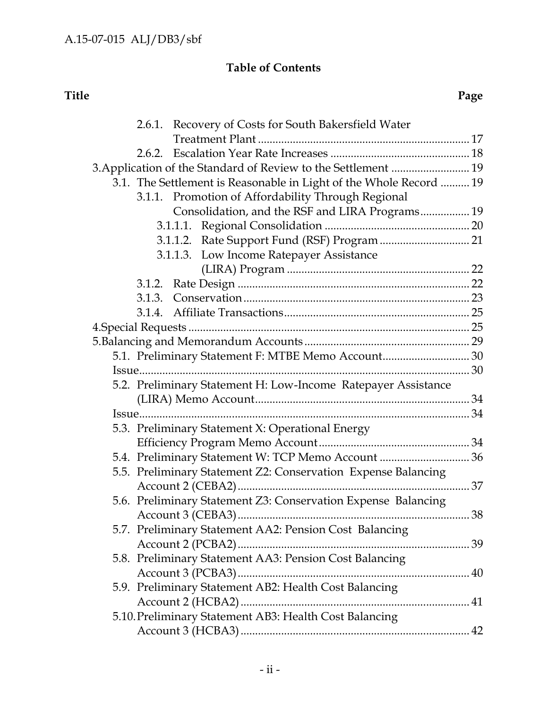| 2.6.1. Recovery of Costs for South Bakersfield Water               |    |
|--------------------------------------------------------------------|----|
|                                                                    |    |
|                                                                    |    |
| 3. Application of the Standard of Review to the Settlement  19     |    |
| 3.1. The Settlement is Reasonable in Light of the Whole Record  19 |    |
| 3.1.1. Promotion of Affordability Through Regional                 |    |
| Consolidation, and the RSF and LIRA Programs 19                    |    |
|                                                                    |    |
|                                                                    |    |
| 3.1.1.3. Low Income Ratepayer Assistance                           |    |
|                                                                    |    |
|                                                                    |    |
|                                                                    |    |
|                                                                    |    |
|                                                                    |    |
|                                                                    |    |
| 5.1. Preliminary Statement F: MTBE Memo Account 30                 |    |
|                                                                    |    |
| 5.2. Preliminary Statement H: Low-Income Ratepayer Assistance      |    |
|                                                                    |    |
|                                                                    |    |
| 5.3. Preliminary Statement X: Operational Energy                   |    |
|                                                                    |    |
| 5.4. Preliminary Statement W: TCP Memo Account  36                 |    |
| 5.5. Preliminary Statement Z2: Conservation Expense Balancing      |    |
|                                                                    |    |
| 5.6. Preliminary Statement Z3: Conservation Expense Balancing      |    |
|                                                                    | 38 |
| 5.7. Preliminary Statement AA2: Pension Cost Balancing             |    |
|                                                                    |    |
| 5.8. Preliminary Statement AA3: Pension Cost Balancing             |    |
|                                                                    |    |
| 5.9. Preliminary Statement AB2: Health Cost Balancing              |    |
|                                                                    |    |
| 5.10. Preliminary Statement AB3: Health Cost Balancing             |    |
|                                                                    |    |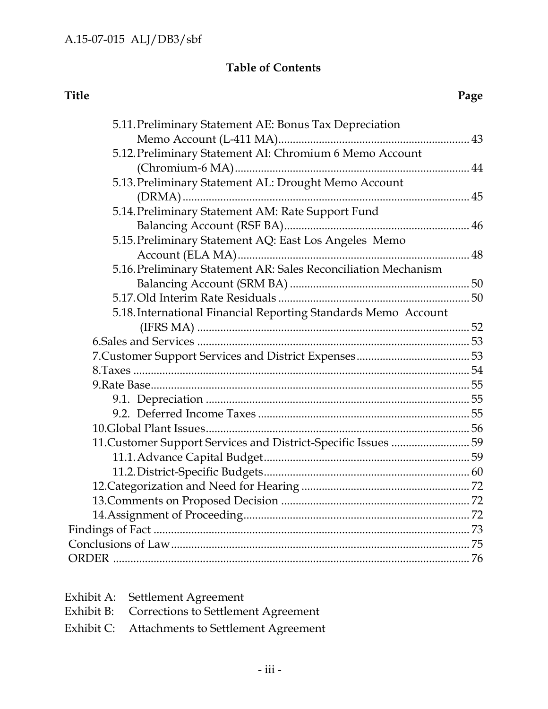| 5.12. Preliminary Statement AI: Chromium 6 Memo Account<br>5.13. Preliminary Statement AL: Drought Memo Account<br>5.14. Preliminary Statement AM: Rate Support Fund<br>5.15. Preliminary Statement AQ: East Los Angeles Memo<br>5.16. Preliminary Statement AR: Sales Reconciliation Mechanism<br>5.18. International Financial Reporting Standards Memo Account<br>11. Customer Support Services and District-Specific Issues  59 | 5.11. Preliminary Statement AE: Bonus Tax Depreciation |  |
|-------------------------------------------------------------------------------------------------------------------------------------------------------------------------------------------------------------------------------------------------------------------------------------------------------------------------------------------------------------------------------------------------------------------------------------|--------------------------------------------------------|--|
|                                                                                                                                                                                                                                                                                                                                                                                                                                     |                                                        |  |
|                                                                                                                                                                                                                                                                                                                                                                                                                                     |                                                        |  |
|                                                                                                                                                                                                                                                                                                                                                                                                                                     |                                                        |  |
|                                                                                                                                                                                                                                                                                                                                                                                                                                     |                                                        |  |
|                                                                                                                                                                                                                                                                                                                                                                                                                                     |                                                        |  |
|                                                                                                                                                                                                                                                                                                                                                                                                                                     |                                                        |  |
|                                                                                                                                                                                                                                                                                                                                                                                                                                     |                                                        |  |
|                                                                                                                                                                                                                                                                                                                                                                                                                                     |                                                        |  |
|                                                                                                                                                                                                                                                                                                                                                                                                                                     |                                                        |  |
|                                                                                                                                                                                                                                                                                                                                                                                                                                     |                                                        |  |
|                                                                                                                                                                                                                                                                                                                                                                                                                                     |                                                        |  |
|                                                                                                                                                                                                                                                                                                                                                                                                                                     |                                                        |  |
|                                                                                                                                                                                                                                                                                                                                                                                                                                     |                                                        |  |
|                                                                                                                                                                                                                                                                                                                                                                                                                                     |                                                        |  |
|                                                                                                                                                                                                                                                                                                                                                                                                                                     |                                                        |  |
|                                                                                                                                                                                                                                                                                                                                                                                                                                     |                                                        |  |
|                                                                                                                                                                                                                                                                                                                                                                                                                                     |                                                        |  |
|                                                                                                                                                                                                                                                                                                                                                                                                                                     |                                                        |  |
|                                                                                                                                                                                                                                                                                                                                                                                                                                     |                                                        |  |
|                                                                                                                                                                                                                                                                                                                                                                                                                                     |                                                        |  |
|                                                                                                                                                                                                                                                                                                                                                                                                                                     |                                                        |  |
|                                                                                                                                                                                                                                                                                                                                                                                                                                     |                                                        |  |
|                                                                                                                                                                                                                                                                                                                                                                                                                                     |                                                        |  |
|                                                                                                                                                                                                                                                                                                                                                                                                                                     |                                                        |  |
|                                                                                                                                                                                                                                                                                                                                                                                                                                     |                                                        |  |
|                                                                                                                                                                                                                                                                                                                                                                                                                                     |                                                        |  |
|                                                                                                                                                                                                                                                                                                                                                                                                                                     |                                                        |  |
|                                                                                                                                                                                                                                                                                                                                                                                                                                     |                                                        |  |
|                                                                                                                                                                                                                                                                                                                                                                                                                                     |                                                        |  |
|                                                                                                                                                                                                                                                                                                                                                                                                                                     |                                                        |  |

| Exhibit A: Settlement Agreement                |
|------------------------------------------------|
| Exhibit B: Corrections to Settlement Agreement |
| Exhibit C: Attachments to Settlement Agreement |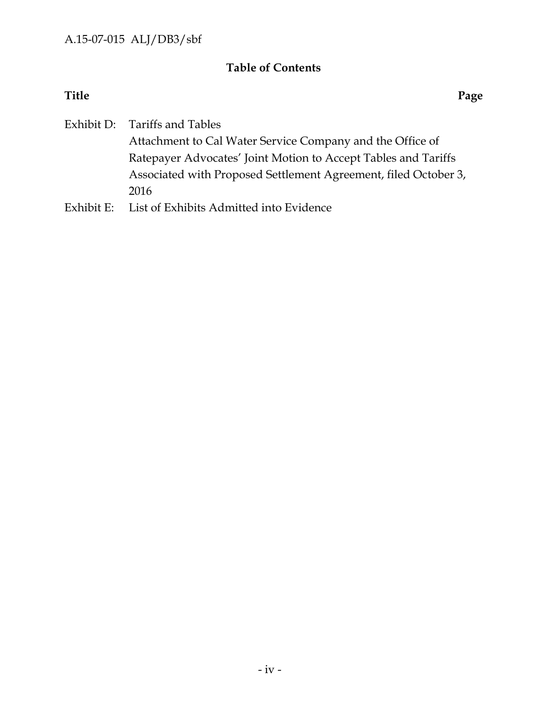**Title Page**

Exhibit D: Tariffs and Tables

Attachment to Cal Water Service Company and the Office of Ratepayer Advocates' Joint Motion to Accept Tables and Tariffs Associated with Proposed Settlement Agreement, filed October 3, 2016

Exhibit E: List of Exhibits Admitted into Evidence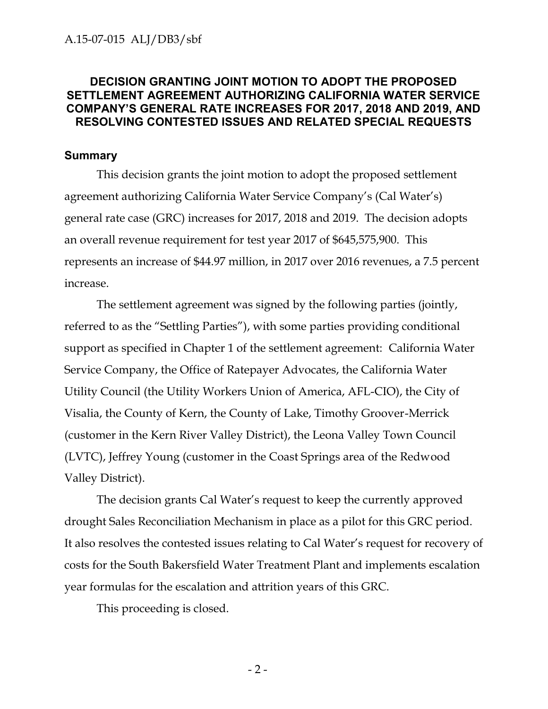## **DECISION GRANTING JOINT MOTION TO ADOPT THE PROPOSED SETTLEMENT AGREEMENT AUTHORIZING CALIFORNIA WATER SERVICE COMPANY'S GENERAL RATE INCREASES FOR 2017, 2018 AND 2019, AND RESOLVING CONTESTED ISSUES AND RELATED SPECIAL REQUESTS**

### **Summary**

This decision grants the joint motion to adopt the proposed settlement agreement authorizing California Water Service Company's (Cal Water's) general rate case (GRC) increases for 2017, 2018 and 2019. The decision adopts an overall revenue requirement for test year 2017 of \$645,575,900. This represents an increase of \$44.97 million, in 2017 over 2016 revenues, a 7.5 percent increase.

The settlement agreement was signed by the following parties (jointly, referred to as the "Settling Parties"), with some parties providing conditional support as specified in Chapter 1 of the settlement agreement: California Water Service Company, the Office of Ratepayer Advocates, the California Water Utility Council (the Utility Workers Union of America, AFL-CIO), the City of Visalia, the County of Kern, the County of Lake, Timothy Groover-Merrick (customer in the Kern River Valley District), the Leona Valley Town Council (LVTC), Jeffrey Young (customer in the Coast Springs area of the Redwood Valley District).

The decision grants Cal Water's request to keep the currently approved drought Sales Reconciliation Mechanism in place as a pilot for this GRC period. It also resolves the contested issues relating to Cal Water's request for recovery of costs for the South Bakersfield Water Treatment Plant and implements escalation year formulas for the escalation and attrition years of this GRC.

This proceeding is closed.

- 2 -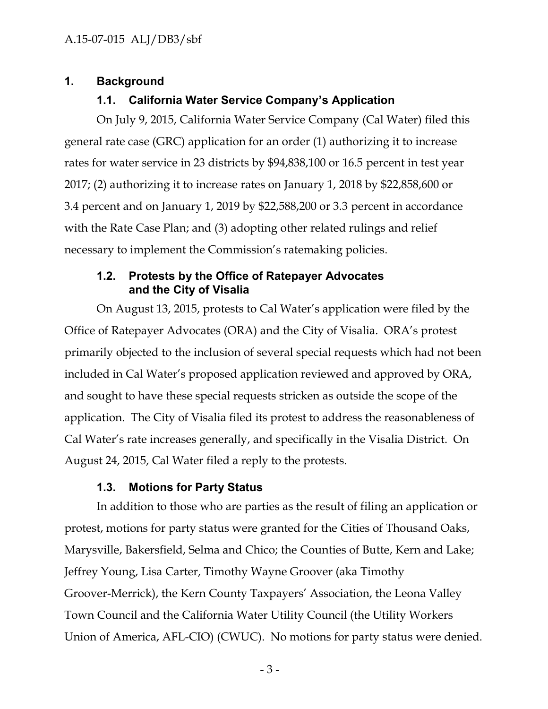## **1. Background**

## **1.1. California Water Service Company's Application**

On July 9, 2015, California Water Service Company (Cal Water) filed this general rate case (GRC) application for an order (1) authorizing it to increase rates for water service in 23 districts by \$94,838,100 or 16.5 percent in test year 2017; (2) authorizing it to increase rates on January 1, 2018 by \$22,858,600 or 3.4 percent and on January 1, 2019 by \$22,588,200 or 3.3 percent in accordance with the Rate Case Plan; and (3) adopting other related rulings and relief necessary to implement the Commission's ratemaking policies.

## **1.2. Protests by the Office of Ratepayer Advocates and the City of Visalia**

On August 13, 2015, protests to Cal Water's application were filed by the Office of Ratepayer Advocates (ORA) and the City of Visalia. ORA's protest primarily objected to the inclusion of several special requests which had not been included in Cal Water's proposed application reviewed and approved by ORA, and sought to have these special requests stricken as outside the scope of the application. The City of Visalia filed its protest to address the reasonableness of Cal Water's rate increases generally, and specifically in the Visalia District. On August 24, 2015, Cal Water filed a reply to the protests.

#### **1.3. Motions for Party Status**

In addition to those who are parties as the result of filing an application or protest, motions for party status were granted for the Cities of Thousand Oaks, Marysville, Bakersfield, Selma and Chico; the Counties of Butte, Kern and Lake; Jeffrey Young, Lisa Carter, Timothy Wayne Groover (aka Timothy Groover-Merrick), the Kern County Taxpayers' Association, the Leona Valley Town Council and the California Water Utility Council (the Utility Workers Union of America, AFL-CIO) (CWUC). No motions for party status were denied.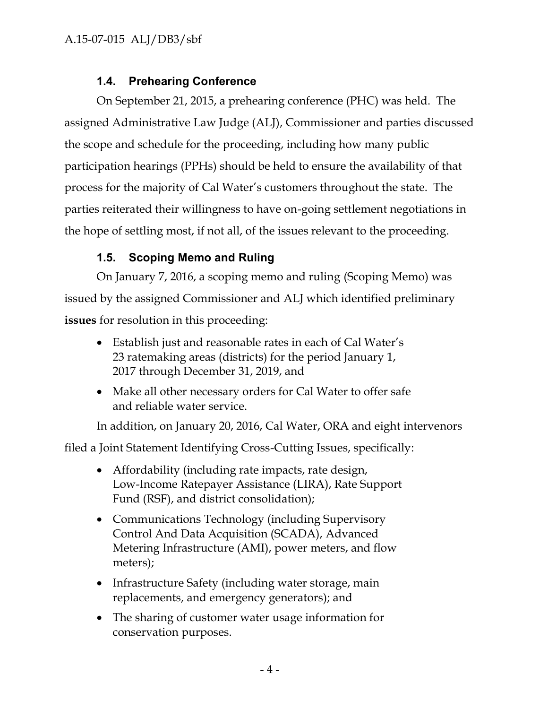# **1.4. Prehearing Conference**

On September 21, 2015, a prehearing conference (PHC) was held. The assigned Administrative Law Judge (ALJ), Commissioner and parties discussed the scope and schedule for the proceeding, including how many public participation hearings (PPHs) should be held to ensure the availability of that process for the majority of Cal Water's customers throughout the state. The parties reiterated their willingness to have on-going settlement negotiations in the hope of settling most, if not all, of the issues relevant to the proceeding.

# **1.5. Scoping Memo and Ruling**

On January 7, 2016, a scoping memo and ruling (Scoping Memo) was issued by the assigned Commissioner and ALJ which identified preliminary **issues** for resolution in this proceeding:

- Establish just and reasonable rates in each of Cal Water's 23 ratemaking areas (districts) for the period January 1, 2017 through December 31, 2019, and
- Make all other necessary orders for Cal Water to offer safe and reliable water service.

In addition, on January 20, 2016, Cal Water, ORA and eight intervenors

filed a Joint Statement Identifying Cross-Cutting Issues, specifically:

- Affordability (including rate impacts, rate design, Low-Income Ratepayer Assistance (LIRA), Rate Support Fund (RSF), and district consolidation);
- Communications Technology (including Supervisory Control And Data Acquisition (SCADA), Advanced Metering Infrastructure (AMI), power meters, and flow meters);
- Infrastructure Safety (including water storage, main replacements, and emergency generators); and
- The sharing of customer water usage information for conservation purposes.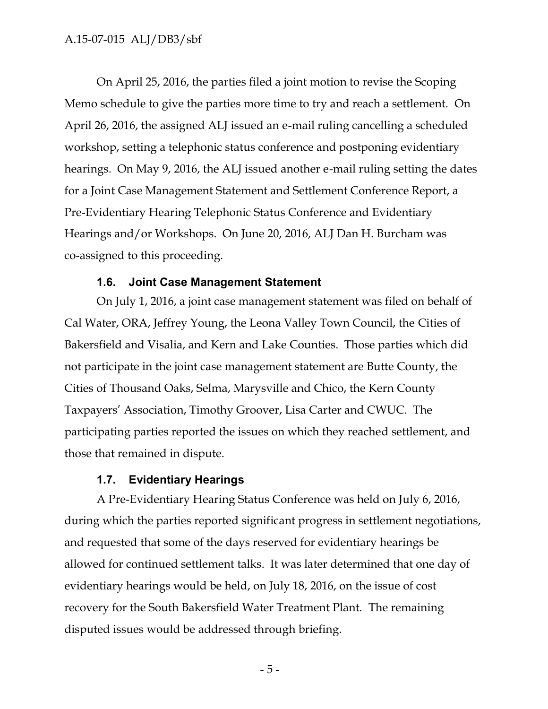### A.15-07-015 ALJ/DB3/sbf

On April 25, 2016, the parties filed a joint motion to revise the Scoping Memo schedule to give the parties more time to try and reach a settlement. On April 26, 2016, the assigned ALJ issued an e-mail ruling cancelling a scheduled workshop, setting a telephonic status conference and postponing evidentiary hearings. On May 9, 2016, the ALJ issued another e-mail ruling setting the dates for a Joint Case Management Statement and Settlement Conference Report, a Pre-Evidentiary Hearing Telephonic Status Conference and Evidentiary Hearings and/or Workshops. On June 20, 2016, ALJ Dan H. Burcham was co-assigned to this proceeding.

#### **1.6. Joint Case Management Statement**

On July 1, 2016, a joint case management statement was filed on behalf of Cal Water, ORA, Jeffrey Young, the Leona Valley Town Council, the Cities of Bakersfield and Visalia, and Kern and Lake Counties. Those parties which did not participate in the joint case management statement are Butte County, the Cities of Thousand Oaks, Selma, Marysville and Chico, the Kern County Taxpayers' Association, Timothy Groover, Lisa Carter and CWUC. The participating parties reported the issues on which they reached settlement, and those that remained in dispute.

## **1.7. Evidentiary Hearings**

A Pre-Evidentiary Hearing Status Conference was held on July 6, 2016, during which the parties reported significant progress in settlement negotiations, and requested that some of the days reserved for evidentiary hearings be allowed for continued settlement talks. It was later determined that one day of evidentiary hearings would be held, on July 18, 2016, on the issue of cost recovery for the South Bakersfield Water Treatment Plant. The remaining disputed issues would be addressed through briefing.

- 5 -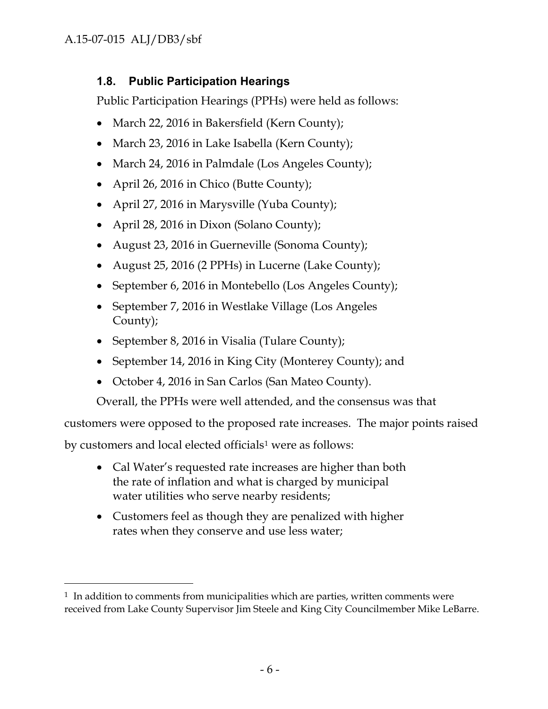# **1.8. Public Participation Hearings**

Public Participation Hearings (PPHs) were held as follows:

- March 22, 2016 in Bakersfield (Kern County);
- March 23, 2016 in Lake Isabella (Kern County);
- March 24, 2016 in Palmdale (Los Angeles County);
- April 26, 2016 in Chico (Butte County);
- April 27, 2016 in Marysville (Yuba County);
- April 28, 2016 in Dixon (Solano County);
- August 23, 2016 in Guerneville (Sonoma County);
- August 25, 2016 (2 PPHs) in Lucerne (Lake County);
- September 6, 2016 in Montebello (Los Angeles County);
- September 7, 2016 in Westlake Village (Los Angeles County);
- September 8, 2016 in Visalia (Tulare County);
- September 14, 2016 in King City (Monterey County); and
- October 4, 2016 in San Carlos (San Mateo County).

Overall, the PPHs were well attended, and the consensus was that

customers were opposed to the proposed rate increases. The major points raised

by customers and local elected officials<sup>1</sup> were as follows:

- Cal Water's requested rate increases are higher than both the rate of inflation and what is charged by municipal water utilities who serve nearby residents;
- Customers feel as though they are penalized with higher rates when they conserve and use less water;

 $1$  In addition to comments from municipalities which are parties, written comments were received from Lake County Supervisor Jim Steele and King City Councilmember Mike LeBarre.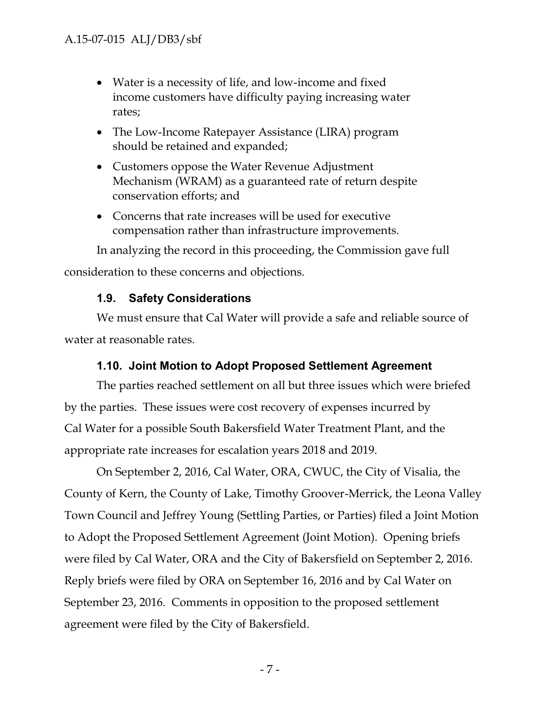# A.15-07-015 ALJ/DB3/sbf

- Water is a necessity of life, and low-income and fixed income customers have difficulty paying increasing water rates;
- The Low-Income Ratepayer Assistance (LIRA) program should be retained and expanded;
- Customers oppose the Water Revenue Adjustment Mechanism (WRAM) as a guaranteed rate of return despite conservation efforts; and
- Concerns that rate increases will be used for executive compensation rather than infrastructure improvements.

In analyzing the record in this proceeding, the Commission gave full consideration to these concerns and objections.

## **1.9. Safety Considerations**

We must ensure that Cal Water will provide a safe and reliable source of water at reasonable rates.

#### **1.10. Joint Motion to Adopt Proposed Settlement Agreement**

The parties reached settlement on all but three issues which were briefed by the parties. These issues were cost recovery of expenses incurred by Cal Water for a possible South Bakersfield Water Treatment Plant, and the appropriate rate increases for escalation years 2018 and 2019.

On September 2, 2016, Cal Water, ORA, CWUC, the City of Visalia, the County of Kern, the County of Lake, Timothy Groover-Merrick, the Leona Valley Town Council and Jeffrey Young (Settling Parties, or Parties) filed a Joint Motion to Adopt the Proposed Settlement Agreement (Joint Motion). Opening briefs were filed by Cal Water, ORA and the City of Bakersfield on September 2, 2016. Reply briefs were filed by ORA on September 16, 2016 and by Cal Water on September 23, 2016. Comments in opposition to the proposed settlement agreement were filed by the City of Bakersfield.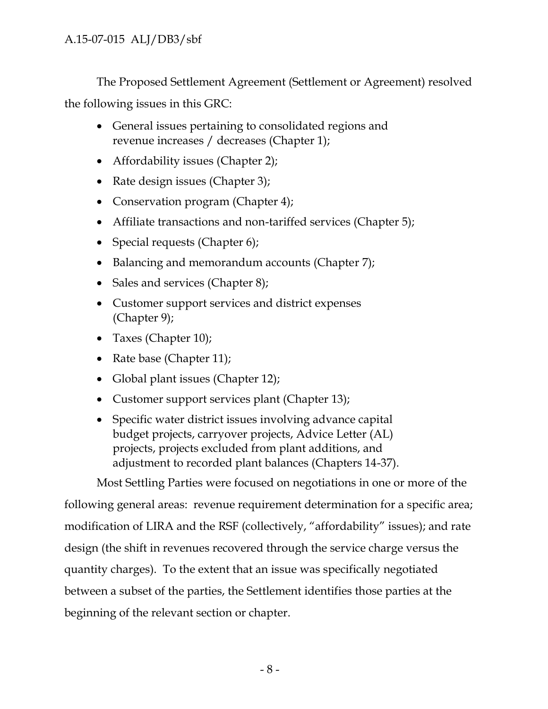The Proposed Settlement Agreement (Settlement or Agreement) resolved the following issues in this GRC:

- General issues pertaining to consolidated regions and revenue increases / decreases (Chapter 1);
- Affordability issues (Chapter 2);
- Rate design issues (Chapter 3);
- Conservation program (Chapter 4);
- Affiliate transactions and non-tariffed services (Chapter 5);
- Special requests (Chapter  $6$ );
- Balancing and memorandum accounts (Chapter 7);
- Sales and services (Chapter 8);
- Customer support services and district expenses (Chapter 9);
- Taxes (Chapter 10);
- Rate base (Chapter 11);
- Global plant issues (Chapter 12);
- Customer support services plant (Chapter 13);
- Specific water district issues involving advance capital budget projects, carryover projects, Advice Letter (AL) projects, projects excluded from plant additions, and adjustment to recorded plant balances (Chapters 14-37).

Most Settling Parties were focused on negotiations in one or more of the following general areas: revenue requirement determination for a specific area; modification of LIRA and the RSF (collectively, "affordability" issues); and rate design (the shift in revenues recovered through the service charge versus the quantity charges). To the extent that an issue was specifically negotiated between a subset of the parties, the Settlement identifies those parties at the beginning of the relevant section or chapter.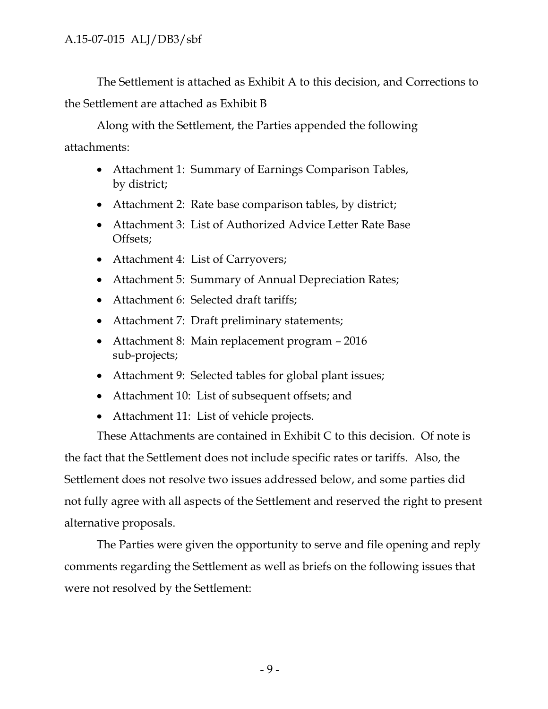The Settlement is attached as Exhibit A to this decision, and Corrections to the Settlement are attached as Exhibit B

Along with the Settlement, the Parties appended the following attachments:

- Attachment 1: Summary of Earnings Comparison Tables, by district;
- Attachment 2: Rate base comparison tables, by district;
- Attachment 3: List of Authorized Advice Letter Rate Base Offsets;
- Attachment 4: List of Carryovers;
- Attachment 5: Summary of Annual Depreciation Rates;
- Attachment 6: Selected draft tariffs;
- Attachment 7: Draft preliminary statements;
- Attachment 8: Main replacement program 2016 sub-projects;
- Attachment 9: Selected tables for global plant issues;
- Attachment 10: List of subsequent offsets; and
- Attachment 11: List of vehicle projects.

These Attachments are contained in Exhibit C to this decision. Of note is the fact that the Settlement does not include specific rates or tariffs. Also, the Settlement does not resolve two issues addressed below, and some parties did not fully agree with all aspects of the Settlement and reserved the right to present alternative proposals.

The Parties were given the opportunity to serve and file opening and reply comments regarding the Settlement as well as briefs on the following issues that were not resolved by the Settlement: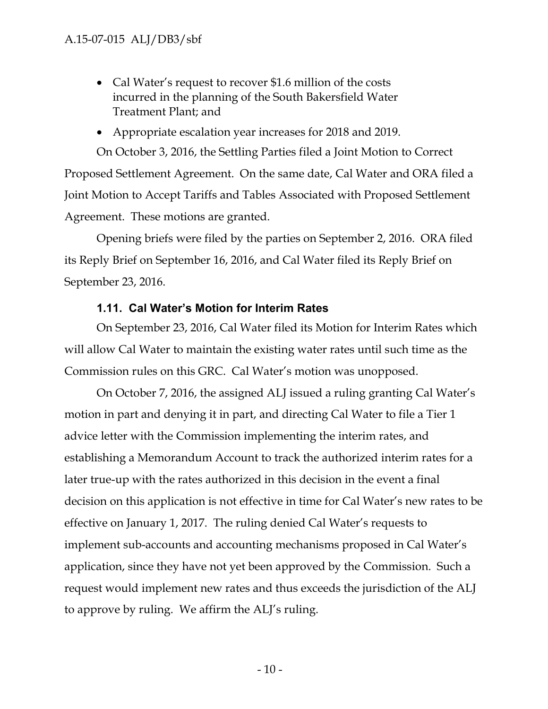• Cal Water's request to recover \$1.6 million of the costs incurred in the planning of the South Bakersfield Water Treatment Plant; and

# Appropriate escalation year increases for 2018 and 2019.

On October 3, 2016, the Settling Parties filed a Joint Motion to Correct Proposed Settlement Agreement. On the same date, Cal Water and ORA filed a Joint Motion to Accept Tariffs and Tables Associated with Proposed Settlement Agreement. These motions are granted.

Opening briefs were filed by the parties on September 2, 2016. ORA filed its Reply Brief on September 16, 2016, and Cal Water filed its Reply Brief on September 23, 2016.

## **1.11. Cal Water's Motion for Interim Rates**

On September 23, 2016, Cal Water filed its Motion for Interim Rates which will allow Cal Water to maintain the existing water rates until such time as the Commission rules on this GRC. Cal Water's motion was unopposed.

On October 7, 2016, the assigned ALJ issued a ruling granting Cal Water's motion in part and denying it in part, and directing Cal Water to file a Tier 1 advice letter with the Commission implementing the interim rates, and establishing a Memorandum Account to track the authorized interim rates for a later true-up with the rates authorized in this decision in the event a final decision on this application is not effective in time for Cal Water's new rates to be effective on January 1, 2017. The ruling denied Cal Water's requests to implement sub-accounts and accounting mechanisms proposed in Cal Water's application, since they have not yet been approved by the Commission. Such a request would implement new rates and thus exceeds the jurisdiction of the ALJ to approve by ruling. We affirm the ALJ's ruling.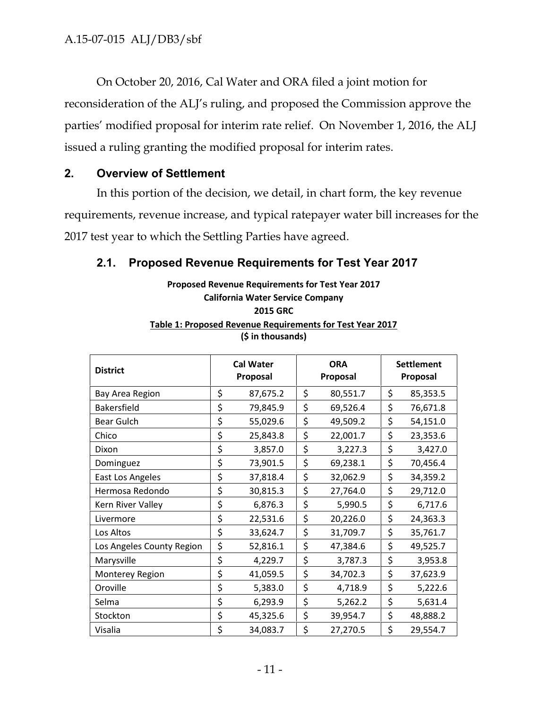On October 20, 2016, Cal Water and ORA filed a joint motion for reconsideration of the ALJ's ruling, and proposed the Commission approve the parties' modified proposal for interim rate relief. On November 1, 2016, the ALJ issued a ruling granting the modified proposal for interim rates.

## **2. Overview of Settlement**

In this portion of the decision, we detail, in chart form, the key revenue requirements, revenue increase, and typical ratepayer water bill increases for the 2017 test year to which the Settling Parties have agreed.

# **2.1. Proposed Revenue Requirements for Test Year 2017**

### **Proposed Revenue Requirements for Test Year 2017 California Water Service Company 2015 GRC Table 1: Proposed Revenue Requirements for Test Year 2017 (\$ in thousands)**

| <b>District</b>           |    | <b>Cal Water</b><br>Proposal | <b>ORA</b><br>Proposal | <b>Settlement</b><br>Proposal |          |  |
|---------------------------|----|------------------------------|------------------------|-------------------------------|----------|--|
| Bay Area Region           | \$ | 87,675.2                     | \$<br>80,551.7         | \$                            | 85,353.5 |  |
| <b>Bakersfield</b>        | \$ | 79,845.9                     | \$<br>69,526.4         | \$                            | 76,671.8 |  |
| Bear Gulch                | \$ | 55,029.6                     | \$<br>49,509.2         | \$                            | 54,151.0 |  |
| Chico                     | \$ | 25,843.8                     | \$<br>22,001.7         | \$                            | 23,353.6 |  |
| Dixon                     | \$ | 3,857.0                      | \$<br>3,227.3          | \$                            | 3,427.0  |  |
| Dominguez                 | \$ | 73,901.5                     | \$<br>69,238.1         | \$                            | 70,456.4 |  |
| East Los Angeles          | \$ | 37,818.4                     | \$<br>32,062.9         | \$                            | 34,359.2 |  |
| Hermosa Redondo           | \$ | 30,815.3                     | \$<br>27,764.0         | \$                            | 29,712.0 |  |
| Kern River Valley         | \$ | 6,876.3                      | \$<br>5,990.5          | \$                            | 6,717.6  |  |
| Livermore                 | \$ | 22,531.6                     | \$<br>20,226.0         | \$                            | 24,363.3 |  |
| Los Altos                 | \$ | 33,624.7                     | \$<br>31,709.7         | \$                            | 35,761.7 |  |
| Los Angeles County Region | \$ | 52,816.1                     | \$<br>47,384.6         | \$                            | 49,525.7 |  |
| Marysville                | \$ | 4,229.7                      | \$<br>3,787.3          | \$                            | 3,953.8  |  |
| Monterey Region           | \$ | 41,059.5                     | \$<br>34,702.3         | \$                            | 37,623.9 |  |
| Oroville                  | \$ | 5,383.0                      | \$<br>4,718.9          | \$                            | 5,222.6  |  |
| Selma                     | \$ | 6,293.9                      | \$<br>5,262.2          | \$                            | 5,631.4  |  |
| Stockton                  | \$ | 45,325.6                     | \$<br>39,954.7         | \$                            | 48,888.2 |  |
| Visalia                   | \$ | 34,083.7                     | \$<br>27,270.5         | \$                            | 29,554.7 |  |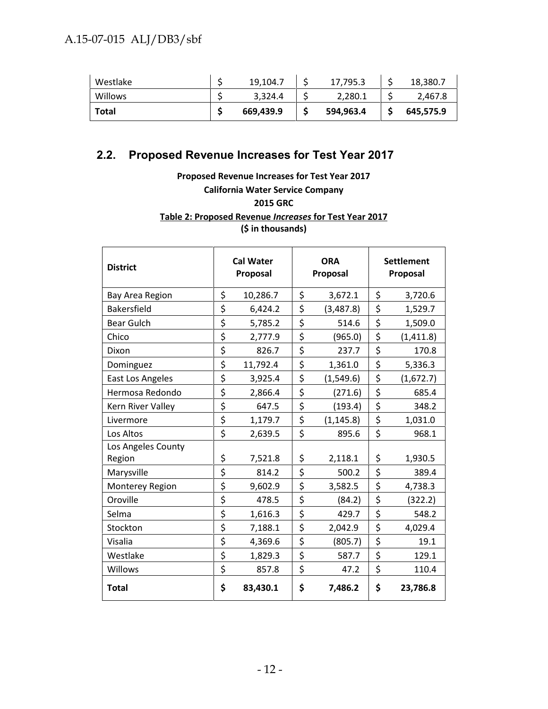| Westlake | 19,104.7  | 17,795.3  | 18,380.7  |
|----------|-----------|-----------|-----------|
| Willows  | 3.324.4   | 2,280.1   | 2,467.8   |
| Total    | 669,439.9 | 594,963.4 | 645,575.9 |

# **2.2. Proposed Revenue Increases for Test Year 2017**

**Proposed Revenue Increases for Test Year 2017 California Water Service Company 2015 GRC Table 2: Proposed Revenue** *Increases* **for Test Year 2017 (\$ in thousands)**

| <b>District</b>    | <b>Cal Water</b><br>Proposal | <b>ORA</b><br>Proposal | <b>Settlement</b><br>Proposal |           |  |
|--------------------|------------------------------|------------------------|-------------------------------|-----------|--|
| Bay Area Region    | \$<br>10,286.7               | \$<br>3,672.1          | \$                            | 3,720.6   |  |
| Bakersfield        | \$<br>6,424.2                | \$<br>(3,487.8)        | \$                            | 1,529.7   |  |
| <b>Bear Gulch</b>  | \$<br>5,785.2                | \$<br>514.6            | \$                            | 1,509.0   |  |
| Chico              | \$<br>2,777.9                | \$<br>(965.0)          | \$                            | (1,411.8) |  |
| Dixon              | \$<br>826.7                  | \$<br>237.7            | \$                            | 170.8     |  |
| Dominguez          | \$<br>11,792.4               | \$<br>1,361.0          | \$                            | 5,336.3   |  |
| East Los Angeles   | \$<br>3,925.4                | \$<br>(1,549.6)        | \$                            | (1,672.7) |  |
| Hermosa Redondo    | \$<br>2,866.4                | \$<br>(271.6)          | \$                            | 685.4     |  |
| Kern River Valley  | \$<br>647.5                  | \$<br>(193.4)          | \$                            | 348.2     |  |
| Livermore          | \$<br>1,179.7                | \$<br>(1, 145.8)       | \$                            | 1,031.0   |  |
| Los Altos          | \$<br>2,639.5                | \$<br>895.6            | \$                            | 968.1     |  |
| Los Angeles County |                              |                        |                               |           |  |
| Region             | \$<br>7,521.8                | \$<br>2,118.1          | \$                            | 1,930.5   |  |
| Marysville         | \$<br>814.2                  | \$<br>500.2            | \$                            | 389.4     |  |
| Monterey Region    | \$<br>9,602.9                | \$<br>3,582.5          | \$                            | 4,738.3   |  |
| Oroville           | \$<br>478.5                  | \$<br>(84.2)           | \$                            | (322.2)   |  |
| Selma              | \$<br>1,616.3                | \$<br>429.7            | \$                            | 548.2     |  |
| Stockton           | \$<br>7,188.1                | \$<br>2,042.9          | \$                            | 4,029.4   |  |
| Visalia            | \$<br>4,369.6                | \$<br>(805.7)          | \$                            | 19.1      |  |
| Westlake           | \$<br>1,829.3                | \$<br>587.7            | \$                            | 129.1     |  |
| Willows            | \$<br>857.8                  | \$<br>47.2             | \$                            | 110.4     |  |
| <b>Total</b>       | \$<br>83,430.1               | \$<br>7,486.2          | \$                            | 23,786.8  |  |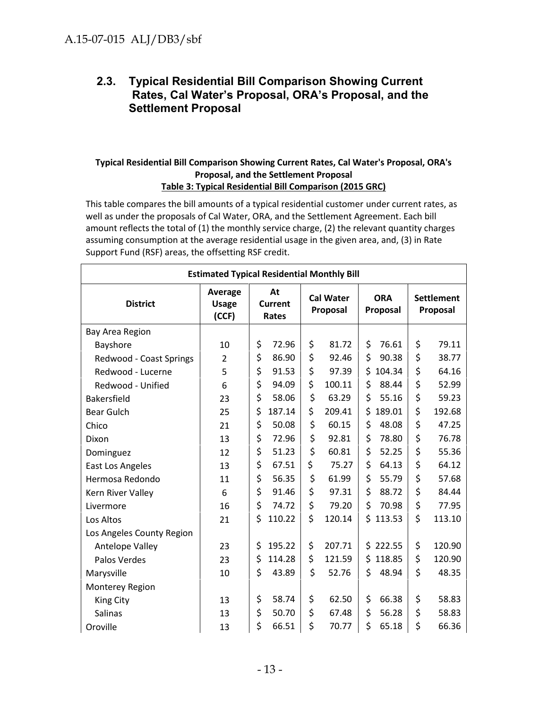## **2.3. Typical Residential Bill Comparison Showing Current Rates, Cal Water's Proposal, ORA's Proposal, and the Settlement Proposal**

#### **Typical Residential Bill Comparison Showing Current Rates, Cal Water's Proposal, ORA's Proposal, and the Settlement Proposal Table 3: Typical Residential Bill Comparison (2015 GRC)**

This table compares the bill amounts of a typical residential customer under current rates, as well as under the proposals of Cal Water, ORA, and the Settlement Agreement. Each bill amount reflects the total of (1) the monthly service charge, (2) the relevant quantity charges assuming consumption at the average residential usage in the given area, and, (3) in Rate Support Fund (RSF) areas, the offsetting RSF credit.

| <b>Estimated Typical Residential Monthly Bill</b> |                                  |                               |    |                              |                        |                               |        |  |  |
|---------------------------------------------------|----------------------------------|-------------------------------|----|------------------------------|------------------------|-------------------------------|--------|--|--|
| <b>District</b>                                   | Average<br><b>Usage</b><br>(CCF) | At<br><b>Current</b><br>Rates |    | <b>Cal Water</b><br>Proposal | <b>ORA</b><br>Proposal | <b>Settlement</b><br>Proposal |        |  |  |
| Bay Area Region                                   |                                  |                               |    |                              |                        |                               |        |  |  |
| Bayshore                                          | 10                               | \$<br>72.96                   | \$ | 81.72                        | \$<br>76.61            | \$                            | 79.11  |  |  |
| Redwood - Coast Springs                           | $\overline{2}$                   | \$<br>86.90                   | \$ | 92.46                        | \$<br>90.38            | \$                            | 38.77  |  |  |
| Redwood - Lucerne                                 | 5                                | \$<br>91.53                   | \$ | 97.39                        | \$<br>104.34           | \$                            | 64.16  |  |  |
| Redwood - Unified                                 | 6                                | \$<br>94.09                   | \$ | 100.11                       | \$<br>88.44            | \$                            | 52.99  |  |  |
| Bakersfield                                       | 23                               | \$<br>58.06                   | \$ | 63.29                        | \$<br>55.16            | \$                            | 59.23  |  |  |
| <b>Bear Gulch</b>                                 | 25                               | \$<br>187.14                  | \$ | 209.41                       | \$<br>189.01           | \$                            | 192.68 |  |  |
| Chico                                             | 21                               | \$<br>50.08                   | \$ | 60.15                        | \$<br>48.08            | \$                            | 47.25  |  |  |
| Dixon                                             | 13                               | \$<br>72.96                   | \$ | 92.81                        | \$<br>78.80            | \$                            | 76.78  |  |  |
| Dominguez                                         | 12                               | \$<br>51.23                   | \$ | 60.81                        | \$<br>52.25            | \$                            | 55.36  |  |  |
| East Los Angeles                                  | 13                               | \$<br>67.51                   | \$ | 75.27                        | \$<br>64.13            | \$                            | 64.12  |  |  |
| Hermosa Redondo                                   | 11                               | \$<br>56.35                   | \$ | 61.99                        | \$<br>55.79            | \$                            | 57.68  |  |  |
| Kern River Valley                                 | 6                                | \$<br>91.46                   | \$ | 97.31                        | \$<br>88.72            | \$                            | 84.44  |  |  |
| Livermore                                         | 16                               | \$<br>74.72                   | \$ | 79.20                        | \$<br>70.98            | \$                            | 77.95  |  |  |
| Los Altos                                         | 21                               | \$<br>110.22                  | \$ | 120.14                       | \$<br>113.53           | \$                            | 113.10 |  |  |
| Los Angeles County Region                         |                                  |                               |    |                              |                        |                               |        |  |  |
| Antelope Valley                                   | 23                               | \$<br>195.22                  | \$ | 207.71                       | \$<br>222.55           | \$                            | 120.90 |  |  |
| Palos Verdes                                      | 23                               | \$<br>114.28                  | \$ | 121.59                       | \$<br>118.85           | \$                            | 120.90 |  |  |
| Marysville                                        | 10                               | \$<br>43.89                   | \$ | 52.76                        | \$<br>48.94            | \$                            | 48.35  |  |  |
| Monterey Region                                   |                                  |                               |    |                              |                        |                               |        |  |  |
| King City                                         | 13                               | \$<br>58.74                   | \$ | 62.50                        | \$<br>66.38            | \$                            | 58.83  |  |  |
| Salinas                                           | 13                               | \$<br>50.70                   | \$ | 67.48                        | \$<br>56.28            | \$                            | 58.83  |  |  |
| Oroville                                          | 13                               | \$<br>66.51                   | \$ | 70.77                        | \$<br>65.18            | \$                            | 66.36  |  |  |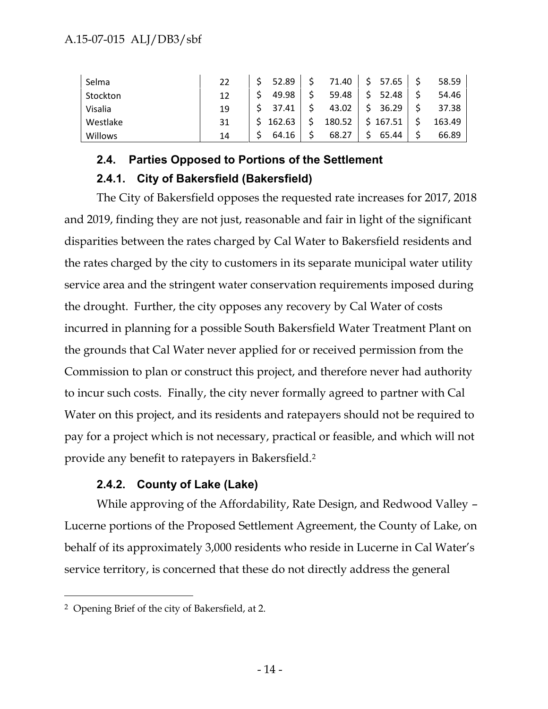| Selma    | 22 | 52.89  | 71.40  | 57.65  | 58.59  |  |
|----------|----|--------|--------|--------|--------|--|
| Stockton | 12 | 49.98  | 59.48  | 52.48  | 54.46  |  |
| Visalia  | 19 | 37.41  | 43.02  | 36.29  | 37.38  |  |
| Westlake | 31 | 162.63 | 180.52 | 167.51 | 163.49 |  |
| Willows  | 14 | 64.16  | 68.27  | 65.44  | 66.89  |  |

# **2.4. Parties Opposed to Portions of the Settlement 2.4.1. City of Bakersfield (Bakersfield)**

The City of Bakersfield opposes the requested rate increases for 2017, 2018 and 2019, finding they are not just, reasonable and fair in light of the significant disparities between the rates charged by Cal Water to Bakersfield residents and the rates charged by the city to customers in its separate municipal water utility service area and the stringent water conservation requirements imposed during the drought. Further, the city opposes any recovery by Cal Water of costs incurred in planning for a possible South Bakersfield Water Treatment Plant on the grounds that Cal Water never applied for or received permission from the Commission to plan or construct this project, and therefore never had authority to incur such costs. Finally, the city never formally agreed to partner with Cal Water on this project, and its residents and ratepayers should not be required to pay for a project which is not necessary, practical or feasible, and which will not provide any benefit to ratepayers in Bakersfield.<sup>2</sup>

# **2.4.2. County of Lake (Lake)**

While approving of the Affordability, Rate Design, and Redwood Valley – Lucerne portions of the Proposed Settlement Agreement, the County of Lake, on behalf of its approximately 3,000 residents who reside in Lucerne in Cal Water's service territory, is concerned that these do not directly address the general

<sup>2</sup> Opening Brief of the city of Bakersfield, at 2.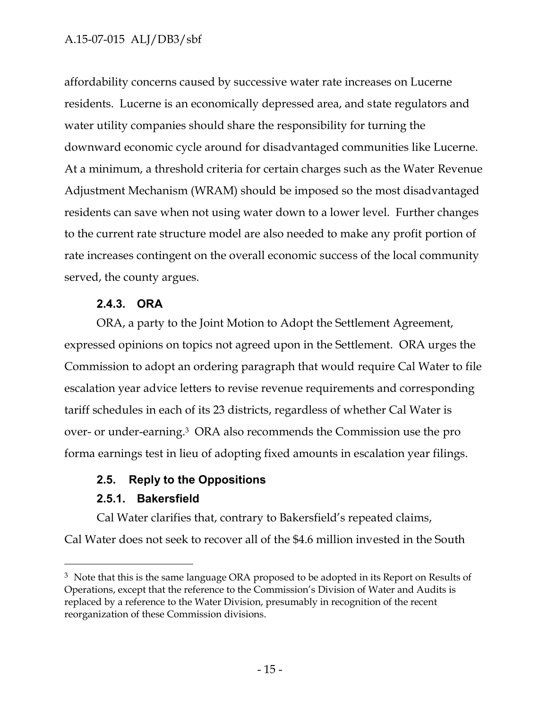# A.15-07-015 ALJ/DB3/sbf

affordability concerns caused by successive water rate increases on Lucerne residents. Lucerne is an economically depressed area, and state regulators and water utility companies should share the responsibility for turning the downward economic cycle around for disadvantaged communities like Lucerne. At a minimum, a threshold criteria for certain charges such as the Water Revenue Adjustment Mechanism (WRAM) should be imposed so the most disadvantaged residents can save when not using water down to a lower level. Further changes to the current rate structure model are also needed to make any profit portion of rate increases contingent on the overall economic success of the local community served, the county argues.

## **2.4.3. ORA**

ORA, a party to the Joint Motion to Adopt the Settlement Agreement, expressed opinions on topics not agreed upon in the Settlement. ORA urges the Commission to adopt an ordering paragraph that would require Cal Water to file escalation year advice letters to revise revenue requirements and corresponding tariff schedules in each of its 23 districts, regardless of whether Cal Water is over- or under-earning.<sup>3</sup> ORA also recommends the Commission use the pro forma earnings test in lieu of adopting fixed amounts in escalation year filings.

# **2.5. Reply to the Oppositions**

## **2.5.1. Bakersfield**

Cal Water clarifies that, contrary to Bakersfield's repeated claims,

Cal Water does not seek to recover all of the \$4.6 million invested in the South

<sup>&</sup>lt;sup>3</sup> Note that this is the same language ORA proposed to be adopted in its Report on Results of Operations, except that the reference to the Commission's Division of Water and Audits is replaced by a reference to the Water Division, presumably in recognition of the recent reorganization of these Commission divisions.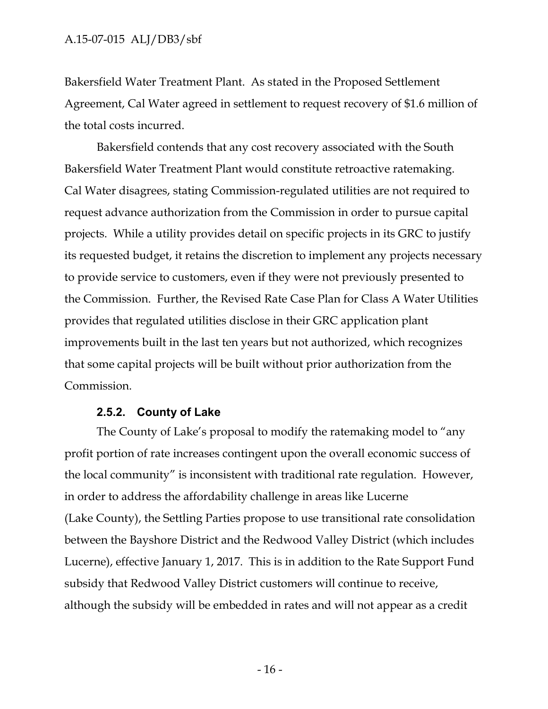Bakersfield Water Treatment Plant. As stated in the Proposed Settlement Agreement, Cal Water agreed in settlement to request recovery of \$1.6 million of the total costs incurred.

Bakersfield contends that any cost recovery associated with the South Bakersfield Water Treatment Plant would constitute retroactive ratemaking. Cal Water disagrees, stating Commission-regulated utilities are not required to request advance authorization from the Commission in order to pursue capital projects. While a utility provides detail on specific projects in its GRC to justify its requested budget, it retains the discretion to implement any projects necessary to provide service to customers, even if they were not previously presented to the Commission. Further, the Revised Rate Case Plan for Class A Water Utilities provides that regulated utilities disclose in their GRC application plant improvements built in the last ten years but not authorized, which recognizes that some capital projects will be built without prior authorization from the Commission.

#### **2.5.2. County of Lake**

The County of Lake's proposal to modify the ratemaking model to "any profit portion of rate increases contingent upon the overall economic success of the local community" is inconsistent with traditional rate regulation. However, in order to address the affordability challenge in areas like Lucerne (Lake County), the Settling Parties propose to use transitional rate consolidation between the Bayshore District and the Redwood Valley District (which includes Lucerne), effective January 1, 2017. This is in addition to the Rate Support Fund subsidy that Redwood Valley District customers will continue to receive, although the subsidy will be embedded in rates and will not appear as a credit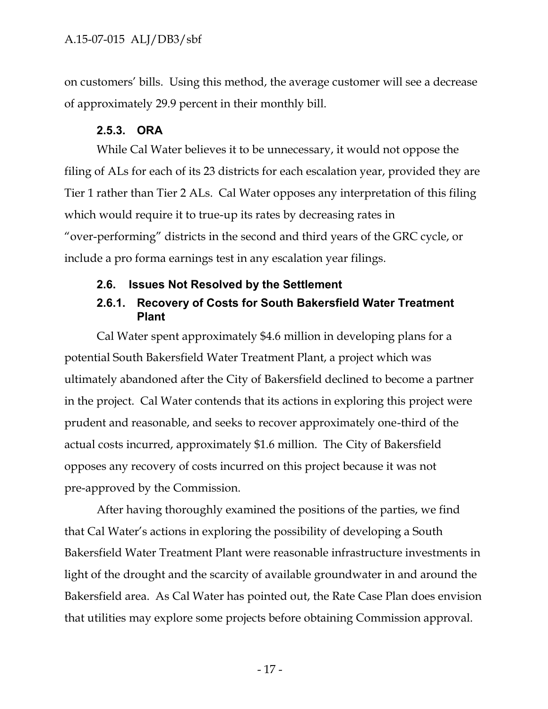on customers' bills. Using this method, the average customer will see a decrease of approximately 29.9 percent in their monthly bill.

## **2.5.3. ORA**

While Cal Water believes it to be unnecessary, it would not oppose the filing of ALs for each of its 23 districts for each escalation year, provided they are Tier 1 rather than Tier 2 ALs. Cal Water opposes any interpretation of this filing which would require it to true-up its rates by decreasing rates in "over-performing" districts in the second and third years of the GRC cycle, or include a pro forma earnings test in any escalation year filings.

## **2.6. Issues Not Resolved by the Settlement**

## **2.6.1. Recovery of Costs for South Bakersfield Water Treatment Plant**

Cal Water spent approximately \$4.6 million in developing plans for a potential South Bakersfield Water Treatment Plant, a project which was ultimately abandoned after the City of Bakersfield declined to become a partner in the project. Cal Water contends that its actions in exploring this project were prudent and reasonable, and seeks to recover approximately one-third of the actual costs incurred, approximately \$1.6 million. The City of Bakersfield opposes any recovery of costs incurred on this project because it was not pre-approved by the Commission.

After having thoroughly examined the positions of the parties, we find that Cal Water's actions in exploring the possibility of developing a South Bakersfield Water Treatment Plant were reasonable infrastructure investments in light of the drought and the scarcity of available groundwater in and around the Bakersfield area. As Cal Water has pointed out, the Rate Case Plan does envision that utilities may explore some projects before obtaining Commission approval.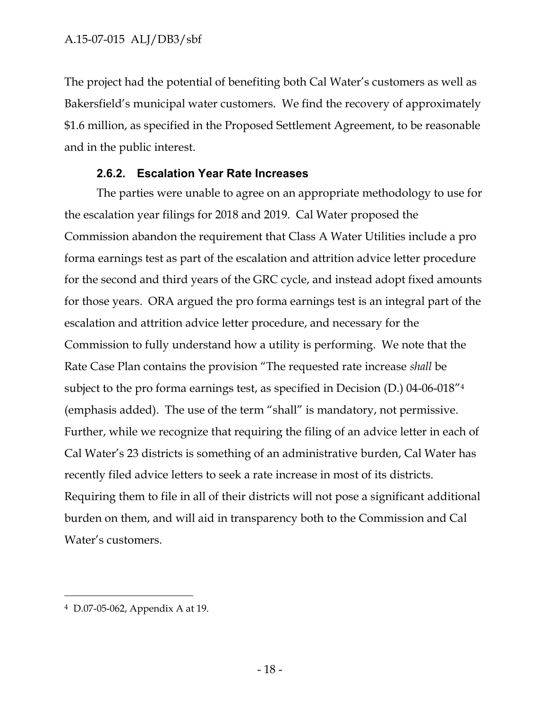The project had the potential of benefiting both Cal Water's customers as well as Bakersfield's municipal water customers. We find the recovery of approximately \$1.6 million, as specified in the Proposed Settlement Agreement, to be reasonable and in the public interest.

## **2.6.2. Escalation Year Rate Increases**

The parties were unable to agree on an appropriate methodology to use for the escalation year filings for 2018 and 2019. Cal Water proposed the Commission abandon the requirement that Class A Water Utilities include a pro forma earnings test as part of the escalation and attrition advice letter procedure for the second and third years of the GRC cycle, and instead adopt fixed amounts for those years. ORA argued the pro forma earnings test is an integral part of the escalation and attrition advice letter procedure, and necessary for the Commission to fully understand how a utility is performing. We note that the Rate Case Plan contains the provision "The requested rate increase *shall* be subject to the pro forma earnings test, as specified in Decision (D.) 04-06-018"<sup>4</sup> (emphasis added). The use of the term "shall" is mandatory, not permissive. Further, while we recognize that requiring the filing of an advice letter in each of Cal Water's 23 districts is something of an administrative burden, Cal Water has recently filed advice letters to seek a rate increase in most of its districts. Requiring them to file in all of their districts will not pose a significant additional burden on them, and will aid in transparency both to the Commission and Cal Water's customers.

<sup>4</sup> D.07-05-062, Appendix A at 19.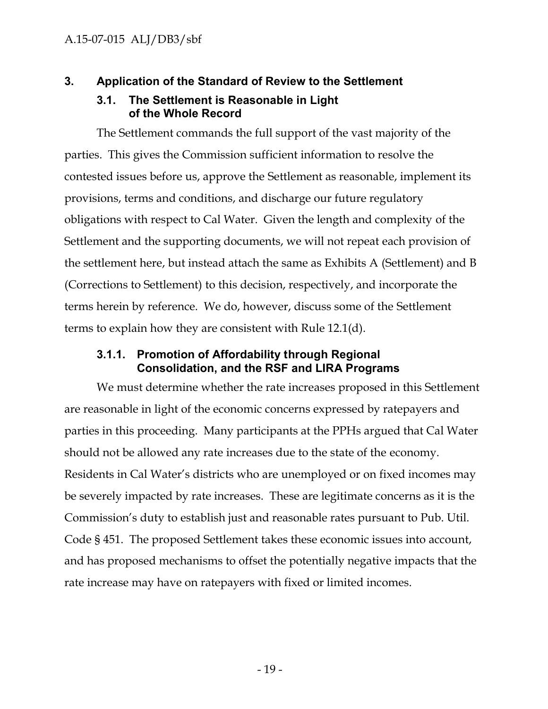# **3. Application of the Standard of Review to the Settlement**

## **3.1. The Settlement is Reasonable in Light of the Whole Record**

The Settlement commands the full support of the vast majority of the parties. This gives the Commission sufficient information to resolve the contested issues before us, approve the Settlement as reasonable, implement its provisions, terms and conditions, and discharge our future regulatory obligations with respect to Cal Water. Given the length and complexity of the Settlement and the supporting documents, we will not repeat each provision of the settlement here, but instead attach the same as Exhibits A (Settlement) and B (Corrections to Settlement) to this decision, respectively, and incorporate the terms herein by reference. We do, however, discuss some of the Settlement terms to explain how they are consistent with Rule 12.1(d).

## **3.1.1. Promotion of Affordability through Regional Consolidation, and the RSF and LIRA Programs**

We must determine whether the rate increases proposed in this Settlement are reasonable in light of the economic concerns expressed by ratepayers and parties in this proceeding. Many participants at the PPHs argued that Cal Water should not be allowed any rate increases due to the state of the economy. Residents in Cal Water's districts who are unemployed or on fixed incomes may be severely impacted by rate increases. These are legitimate concerns as it is the Commission's duty to establish just and reasonable rates pursuant to Pub. Util. Code § 451. The proposed Settlement takes these economic issues into account, and has proposed mechanisms to offset the potentially negative impacts that the rate increase may have on ratepayers with fixed or limited incomes.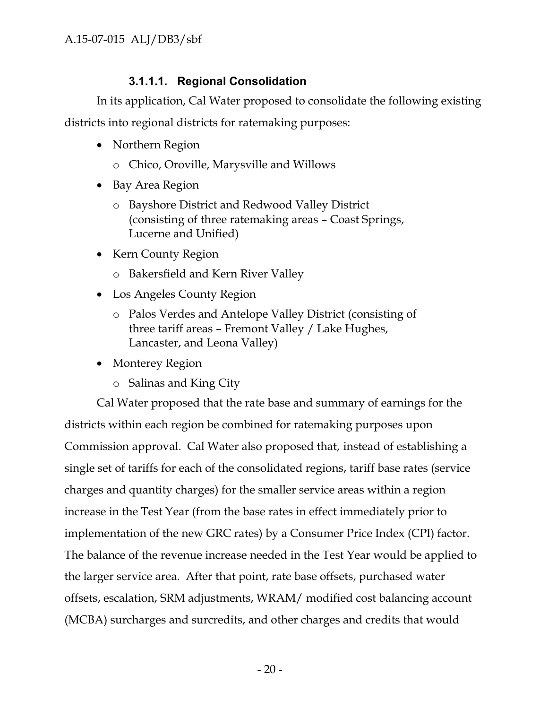# **3.1.1.1. Regional Consolidation**

In its application, Cal Water proposed to consolidate the following existing districts into regional districts for ratemaking purposes:

- Northern Region
	- o Chico, Oroville, Marysville and Willows
- Bay Area Region
	- o Bayshore District and Redwood Valley District (consisting of three ratemaking areas – Coast Springs, Lucerne and Unified)
- Kern County Region
	- o Bakersfield and Kern River Valley
- Los Angeles County Region
	- o Palos Verdes and Antelope Valley District (consisting of three tariff areas – Fremont Valley / Lake Hughes, Lancaster, and Leona Valley)
- Monterey Region
	- o Salinas and King City

Cal Water proposed that the rate base and summary of earnings for the districts within each region be combined for ratemaking purposes upon Commission approval. Cal Water also proposed that, instead of establishing a single set of tariffs for each of the consolidated regions, tariff base rates (service charges and quantity charges) for the smaller service areas within a region increase in the Test Year (from the base rates in effect immediately prior to implementation of the new GRC rates) by a Consumer Price Index (CPI) factor. The balance of the revenue increase needed in the Test Year would be applied to the larger service area. After that point, rate base offsets, purchased water offsets, escalation, SRM adjustments, WRAM/ modified cost balancing account (MCBA) surcharges and surcredits, and other charges and credits that would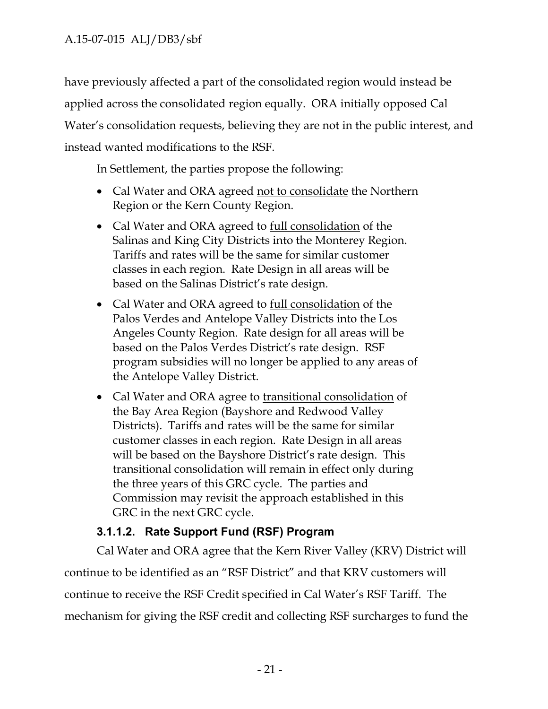have previously affected a part of the consolidated region would instead be applied across the consolidated region equally. ORA initially opposed Cal Water's consolidation requests, believing they are not in the public interest, and instead wanted modifications to the RSF.

In Settlement, the parties propose the following:

- Cal Water and ORA agreed not to consolidate the Northern Region or the Kern County Region.
- Cal Water and ORA agreed to full consolidation of the Salinas and King City Districts into the Monterey Region. Tariffs and rates will be the same for similar customer classes in each region. Rate Design in all areas will be based on the Salinas District's rate design.
- Cal Water and ORA agreed to <u>full consolidation</u> of the Palos Verdes and Antelope Valley Districts into the Los Angeles County Region. Rate design for all areas will be based on the Palos Verdes District's rate design. RSF program subsidies will no longer be applied to any areas of the Antelope Valley District.
- Cal Water and ORA agree to transitional consolidation of the Bay Area Region (Bayshore and Redwood Valley Districts). Tariffs and rates will be the same for similar customer classes in each region. Rate Design in all areas will be based on the Bayshore District's rate design. This transitional consolidation will remain in effect only during the three years of this GRC cycle. The parties and Commission may revisit the approach established in this GRC in the next GRC cycle.

# **3.1.1.2. Rate Support Fund (RSF) Program**

Cal Water and ORA agree that the Kern River Valley (KRV) District will continue to be identified as an "RSF District" and that KRV customers will continue to receive the RSF Credit specified in Cal Water's RSF Tariff. The mechanism for giving the RSF credit and collecting RSF surcharges to fund the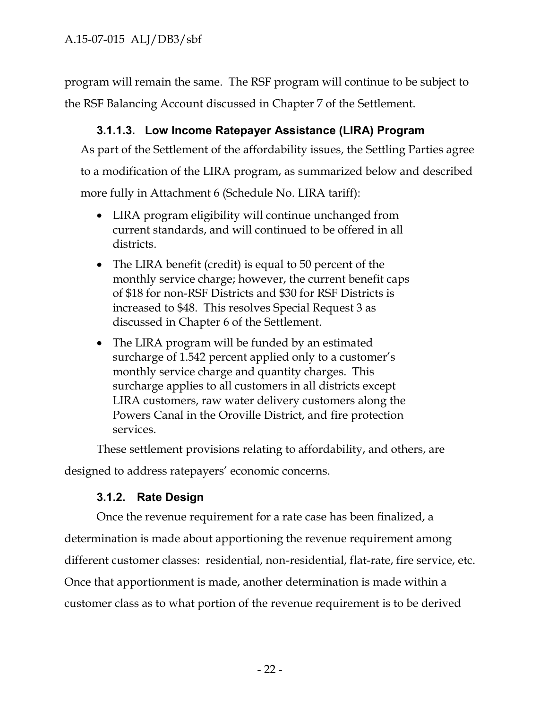program will remain the same. The RSF program will continue to be subject to the RSF Balancing Account discussed in Chapter 7 of the Settlement.

# **3.1.1.3. Low Income Ratepayer Assistance (LIRA) Program**

As part of the Settlement of the affordability issues, the Settling Parties agree to a modification of the LIRA program, as summarized below and described more fully in Attachment 6 (Schedule No. LIRA tariff):

- LIRA program eligibility will continue unchanged from current standards, and will continued to be offered in all districts.
- The LIRA benefit (credit) is equal to 50 percent of the monthly service charge; however, the current benefit caps of \$18 for non-RSF Districts and \$30 for RSF Districts is increased to \$48. This resolves Special Request 3 as discussed in Chapter 6 of the Settlement.
- The LIRA program will be funded by an estimated surcharge of 1.542 percent applied only to a customer's monthly service charge and quantity charges. This surcharge applies to all customers in all districts except LIRA customers, raw water delivery customers along the Powers Canal in the Oroville District, and fire protection services.

These settlement provisions relating to affordability, and others, are

designed to address ratepayers' economic concerns.

# **3.1.2. Rate Design**

Once the revenue requirement for a rate case has been finalized, a determination is made about apportioning the revenue requirement among different customer classes: residential, non-residential, flat-rate, fire service, etc. Once that apportionment is made, another determination is made within a customer class as to what portion of the revenue requirement is to be derived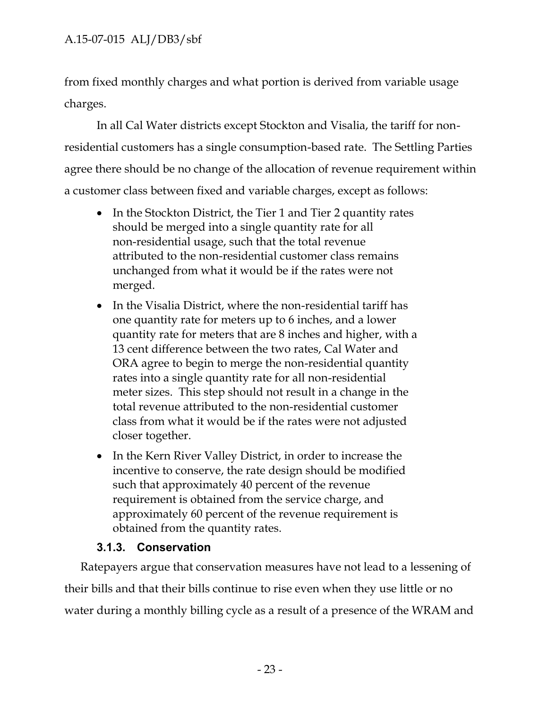from fixed monthly charges and what portion is derived from variable usage charges.

In all Cal Water districts except Stockton and Visalia, the tariff for non residential customers has a single consumption-based rate. The Settling Parties agree there should be no change of the allocation of revenue requirement within a customer class between fixed and variable charges, except as follows:

- In the Stockton District, the Tier 1 and Tier 2 quantity rates should be merged into a single quantity rate for all non-residential usage, such that the total revenue attributed to the non-residential customer class remains unchanged from what it would be if the rates were not merged.
- In the Visalia District, where the non-residential tariff has one quantity rate for meters up to 6 inches, and a lower quantity rate for meters that are 8 inches and higher, with a 13 cent difference between the two rates, Cal Water and ORA agree to begin to merge the non-residential quantity rates into a single quantity rate for all non-residential meter sizes. This step should not result in a change in the total revenue attributed to the non-residential customer class from what it would be if the rates were not adjusted closer together.
- In the Kern River Valley District, in order to increase the incentive to conserve, the rate design should be modified such that approximately 40 percent of the revenue requirement is obtained from the service charge, and approximately 60 percent of the revenue requirement is obtained from the quantity rates.

# **3.1.3. Conservation**

Ratepayers argue that conservation measures have not lead to a lessening of their bills and that their bills continue to rise even when they use little or no water during a monthly billing cycle as a result of a presence of the WRAM and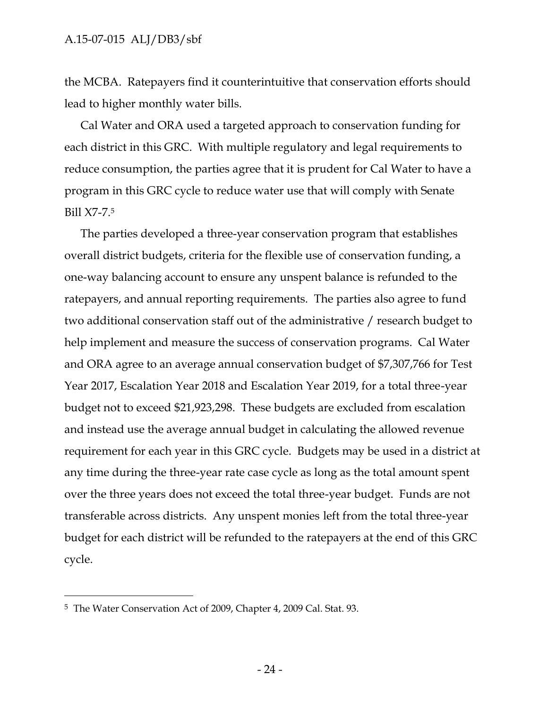the MCBA. Ratepayers find it counterintuitive that conservation efforts should lead to higher monthly water bills.

Cal Water and ORA used a targeted approach to conservation funding for each district in this GRC. With multiple regulatory and legal requirements to reduce consumption, the parties agree that it is prudent for Cal Water to have a program in this GRC cycle to reduce water use that will comply with Senate Bill X7-7.<sup>5</sup>

The parties developed a three-year conservation program that establishes overall district budgets, criteria for the flexible use of conservation funding, a one-way balancing account to ensure any unspent balance is refunded to the ratepayers, and annual reporting requirements. The parties also agree to fund two additional conservation staff out of the administrative / research budget to help implement and measure the success of conservation programs. Cal Water and ORA agree to an average annual conservation budget of \$7,307,766 for Test Year 2017, Escalation Year 2018 and Escalation Year 2019, for a total three-year budget not to exceed \$21,923,298. These budgets are excluded from escalation and instead use the average annual budget in calculating the allowed revenue requirement for each year in this GRC cycle. Budgets may be used in a district at any time during the three-year rate case cycle as long as the total amount spent over the three years does not exceed the total three-year budget. Funds are not transferable across districts. Any unspent monies left from the total three-year budget for each district will be refunded to the ratepayers at the end of this GRC cycle.

<sup>5</sup> The Water Conservation Act of 2009, Chapter 4, 2009 Cal. Stat. 93.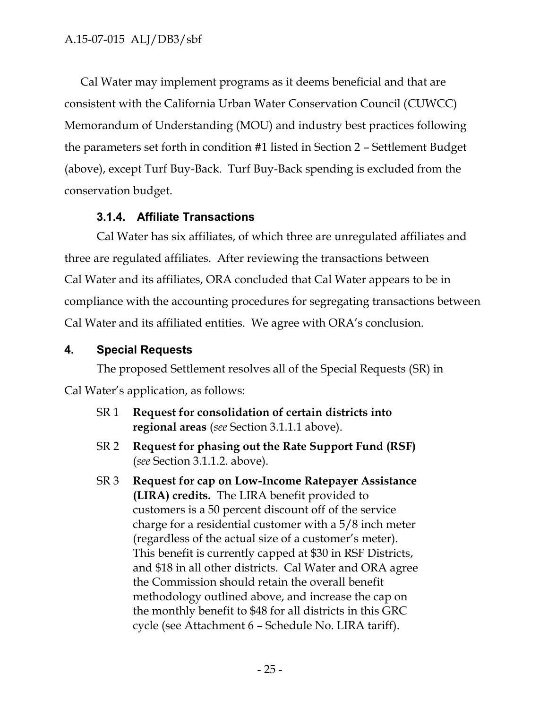Cal Water may implement programs as it deems beneficial and that are consistent with the California Urban Water Conservation Council (CUWCC) Memorandum of Understanding (MOU) and industry best practices following the parameters set forth in condition #1 listed in Section 2 – Settlement Budget (above), except Turf Buy-Back. Turf Buy-Back spending is excluded from the conservation budget.

## **3.1.4. Affiliate Transactions**

Cal Water has six affiliates, of which three are unregulated affiliates and three are regulated affiliates. After reviewing the transactions between Cal Water and its affiliates, ORA concluded that Cal Water appears to be in compliance with the accounting procedures for segregating transactions between Cal Water and its affiliated entities. We agree with ORA's conclusion.

## **4. Special Requests**

The proposed Settlement resolves all of the Special Requests (SR) in Cal Water's application, as follows:

- SR 1 **Request for consolidation of certain districts into regional areas** (*see* Section 3.1.1.1 above).
- SR 2 **Request for phasing out the Rate Support Fund (RSF)** (*see* Section 3.1.1.2. above).
- SR 3 **Request for cap on Low-Income Ratepayer Assistance (LIRA) credits.** The LIRA benefit provided to customers is a 50 percent discount off of the service charge for a residential customer with a 5/8 inch meter (regardless of the actual size of a customer's meter). This benefit is currently capped at \$30 in RSF Districts, and \$18 in all other districts. Cal Water and ORA agree the Commission should retain the overall benefit methodology outlined above, and increase the cap on the monthly benefit to \$48 for all districts in this GRC cycle (see Attachment 6 – Schedule No. LIRA tariff).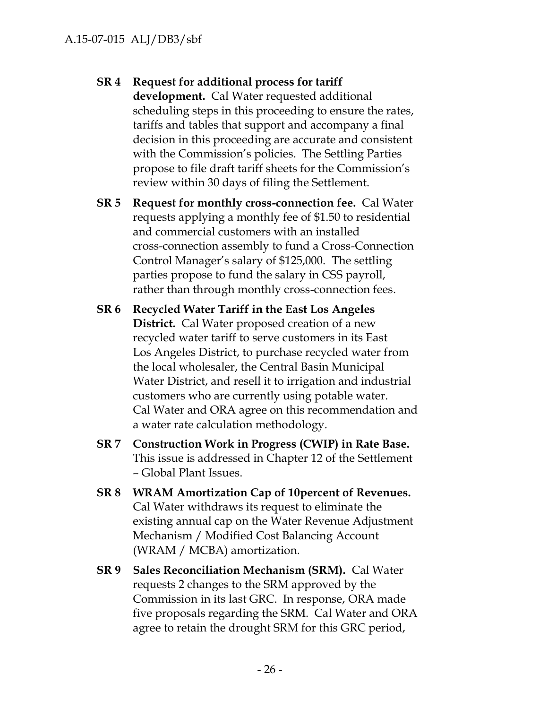# **SR 4 Request for additional process for tariff**

**development.** Cal Water requested additional scheduling steps in this proceeding to ensure the rates, tariffs and tables that support and accompany a final decision in this proceeding are accurate and consistent with the Commission's policies. The Settling Parties propose to file draft tariff sheets for the Commission's review within 30 days of filing the Settlement.

- **SR 5 Request for monthly cross-connection fee.** Cal Water requests applying a monthly fee of \$1.50 to residential and commercial customers with an installed cross-connection assembly to fund a Cross-Connection Control Manager's salary of \$125,000. The settling parties propose to fund the salary in CSS payroll, rather than through monthly cross-connection fees.
- **SR 6 Recycled Water Tariff in the East Los Angeles District.** Cal Water proposed creation of a new recycled water tariff to serve customers in its East Los Angeles District, to purchase recycled water from the local wholesaler, the Central Basin Municipal Water District, and resell it to irrigation and industrial customers who are currently using potable water. Cal Water and ORA agree on this recommendation and a water rate calculation methodology.
- **SR 7 Construction Work in Progress (CWIP) in Rate Base.** This issue is addressed in Chapter 12 of the Settlement – Global Plant Issues.
- **SR 8 WRAM Amortization Cap of 10percent of Revenues.** Cal Water withdraws its request to eliminate the existing annual cap on the Water Revenue Adjustment Mechanism / Modified Cost Balancing Account (WRAM / MCBA) amortization.
- **SR 9 Sales Reconciliation Mechanism (SRM).** Cal Water requests 2 changes to the SRM approved by the Commission in its last GRC. In response, ORA made five proposals regarding the SRM. Cal Water and ORA agree to retain the drought SRM for this GRC period,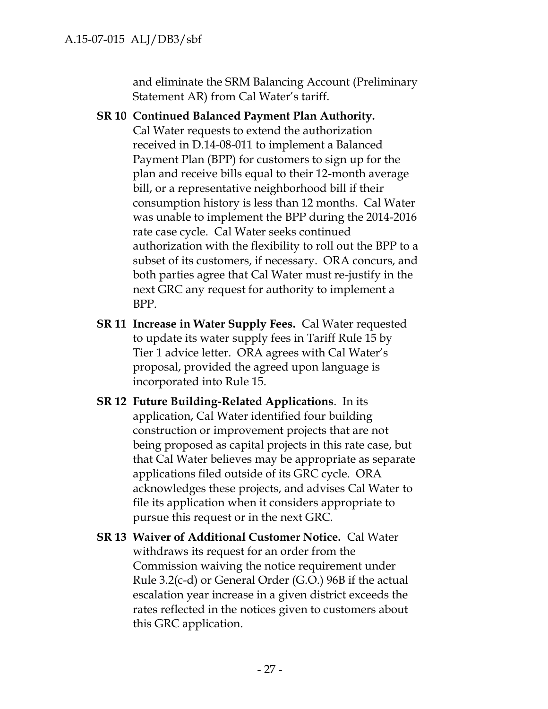and eliminate the SRM Balancing Account (Preliminary Statement AR) from Cal Water's tariff.

**SR 10 Continued Balanced Payment Plan Authority.** Cal Water requests to extend the authorization received in D.14-08-011 to implement a Balanced Payment Plan (BPP) for customers to sign up for the plan and receive bills equal to their 12-month average bill, or a representative neighborhood bill if their consumption history is less than 12 months. Cal Water was unable to implement the BPP during the 2014-2016 rate case cycle. Cal Water seeks continued authorization with the flexibility to roll out the BPP to a subset of its customers, if necessary. ORA concurs, and both parties agree that Cal Water must re-justify in the next GRC any request for authority to implement a BPP.

- **SR 11 Increase in Water Supply Fees.** Cal Water requested to update its water supply fees in Tariff Rule 15 by Tier 1 advice letter. ORA agrees with Cal Water's proposal, provided the agreed upon language is incorporated into Rule 15.
- **SR 12 Future Building-Related Applications**. In its application, Cal Water identified four building construction or improvement projects that are not being proposed as capital projects in this rate case, but that Cal Water believes may be appropriate as separate applications filed outside of its GRC cycle. ORA acknowledges these projects, and advises Cal Water to file its application when it considers appropriate to pursue this request or in the next GRC.
- **SR 13 Waiver of Additional Customer Notice.** Cal Water withdraws its request for an order from the Commission waiving the notice requirement under Rule 3.2(c-d) or General Order (G.O.) 96B if the actual escalation year increase in a given district exceeds the rates reflected in the notices given to customers about this GRC application.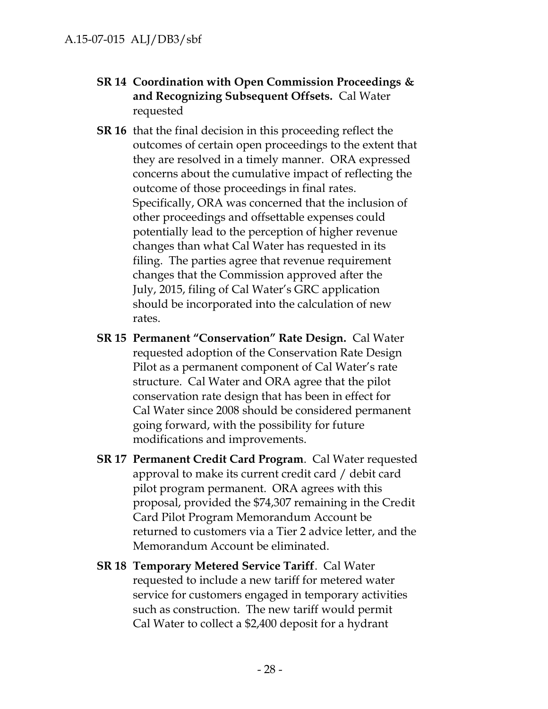- **SR 14 Coordination with Open Commission Proceedings & and Recognizing Subsequent Offsets.** Cal Water requested
- **SR 16** that the final decision in this proceeding reflect the outcomes of certain open proceedings to the extent that they are resolved in a timely manner. ORA expressed concerns about the cumulative impact of reflecting the outcome of those proceedings in final rates. Specifically, ORA was concerned that the inclusion of other proceedings and offsettable expenses could potentially lead to the perception of higher revenue changes than what Cal Water has requested in its filing. The parties agree that revenue requirement changes that the Commission approved after the July, 2015, filing of Cal Water's GRC application should be incorporated into the calculation of new rates.
- **SR 15 Permanent "Conservation" Rate Design.** Cal Water requested adoption of the Conservation Rate Design Pilot as a permanent component of Cal Water's rate structure. Cal Water and ORA agree that the pilot conservation rate design that has been in effect for Cal Water since 2008 should be considered permanent going forward, with the possibility for future modifications and improvements.
- **SR 17 Permanent Credit Card Program**. Cal Water requested approval to make its current credit card / debit card pilot program permanent. ORA agrees with this proposal, provided the \$74,307 remaining in the Credit Card Pilot Program Memorandum Account be returned to customers via a Tier 2 advice letter, and the Memorandum Account be eliminated.
- **SR 18 Temporary Metered Service Tariff**. Cal Water requested to include a new tariff for metered water service for customers engaged in temporary activities such as construction. The new tariff would permit Cal Water to collect a \$2,400 deposit for a hydrant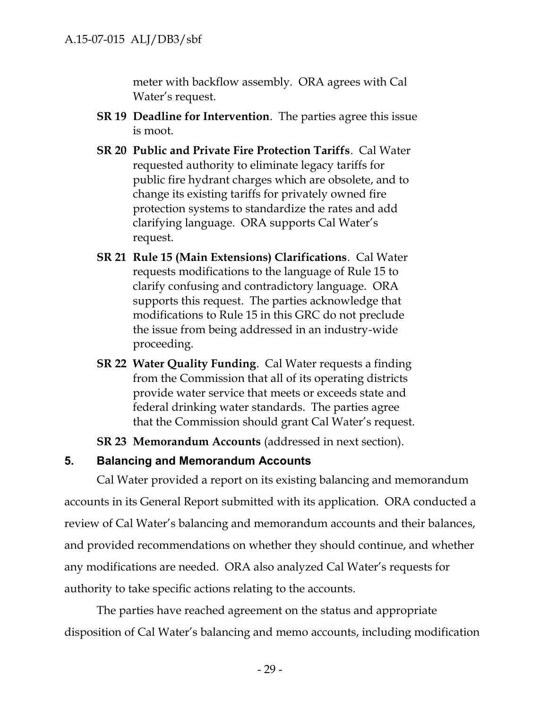meter with backflow assembly. ORA agrees with Cal Water's request.

- **SR 19 Deadline for Intervention**. The parties agree this issue is moot.
- **SR 20 Public and Private Fire Protection Tariffs**. Cal Water requested authority to eliminate legacy tariffs for public fire hydrant charges which are obsolete, and to change its existing tariffs for privately owned fire protection systems to standardize the rates and add clarifying language. ORA supports Cal Water's request.
- **SR 21 Rule 15 (Main Extensions) Clarifications**. Cal Water requests modifications to the language of Rule 15 to clarify confusing and contradictory language. ORA supports this request. The parties acknowledge that modifications to Rule 15 in this GRC do not preclude the issue from being addressed in an industry-wide proceeding.
- **SR 22 Water Quality Funding**. Cal Water requests a finding from the Commission that all of its operating districts provide water service that meets or exceeds state and federal drinking water standards. The parties agree that the Commission should grant Cal Water's request.
- **SR 23 Memorandum Accounts** (addressed in next section).

# **5. Balancing and Memorandum Accounts**

Cal Water provided a report on its existing balancing and memorandum accounts in its General Report submitted with its application. ORA conducted a review of Cal Water's balancing and memorandum accounts and their balances, and provided recommendations on whether they should continue, and whether any modifications are needed. ORA also analyzed Cal Water's requests for authority to take specific actions relating to the accounts.

The parties have reached agreement on the status and appropriate disposition of Cal Water's balancing and memo accounts, including modification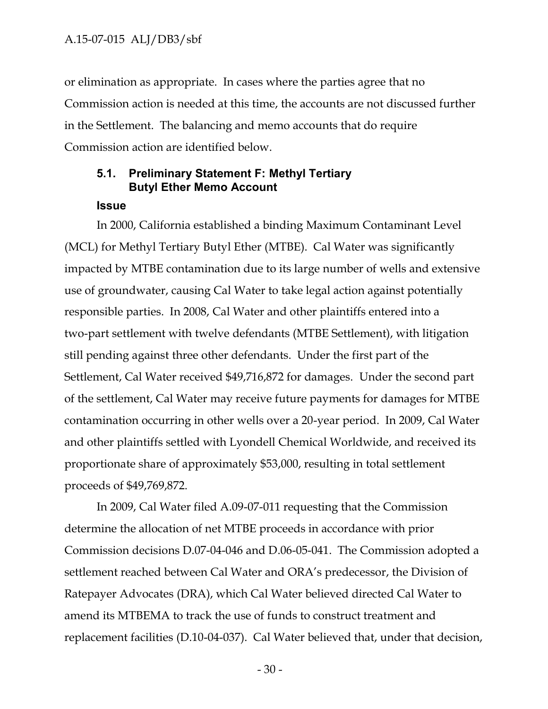or elimination as appropriate. In cases where the parties agree that no Commission action is needed at this time, the accounts are not discussed further in the Settlement. The balancing and memo accounts that do require Commission action are identified below.

## **5.1. Preliminary Statement F: Methyl Tertiary Butyl Ether Memo Account**

#### **Issue**

In 2000, California established a binding Maximum Contaminant Level (MCL) for Methyl Tertiary Butyl Ether (MTBE). Cal Water was significantly impacted by MTBE contamination due to its large number of wells and extensive use of groundwater, causing Cal Water to take legal action against potentially responsible parties. In 2008, Cal Water and other plaintiffs entered into a two-part settlement with twelve defendants (MTBE Settlement), with litigation still pending against three other defendants. Under the first part of the Settlement, Cal Water received \$49,716,872 for damages. Under the second part of the settlement, Cal Water may receive future payments for damages for MTBE contamination occurring in other wells over a 20-year period. In 2009, Cal Water and other plaintiffs settled with Lyondell Chemical Worldwide, and received its proportionate share of approximately \$53,000, resulting in total settlement proceeds of \$49,769,872.

In 2009, Cal Water filed A.09-07-011 requesting that the Commission determine the allocation of net MTBE proceeds in accordance with prior Commission decisions D.07-04-046 and D.06-05-041. The Commission adopted a settlement reached between Cal Water and ORA's predecessor, the Division of Ratepayer Advocates (DRA), which Cal Water believed directed Cal Water to amend its MTBEMA to track the use of funds to construct treatment and replacement facilities (D.10-04-037). Cal Water believed that, under that decision,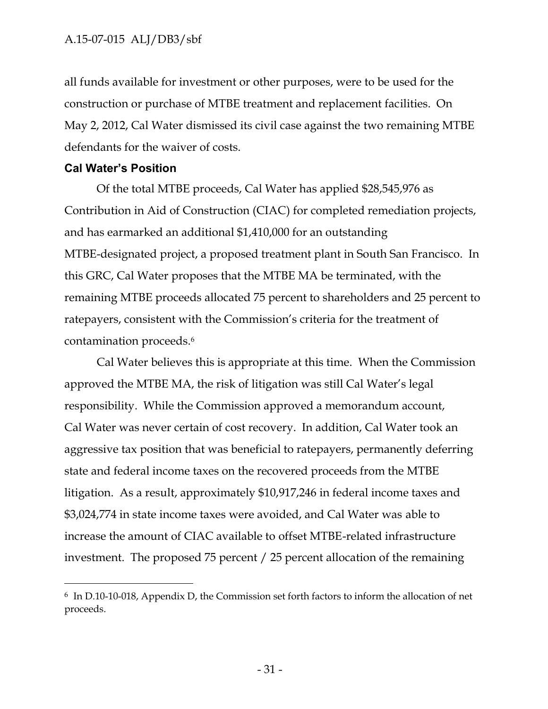## A.15-07-015 ALJ/DB3/sbf

all funds available for investment or other purposes, were to be used for the construction or purchase of MTBE treatment and replacement facilities. On May 2, 2012, Cal Water dismissed its civil case against the two remaining MTBE defendants for the waiver of costs.

### **Cal Water's Position**

Of the total MTBE proceeds, Cal Water has applied \$28,545,976 as Contribution in Aid of Construction (CIAC) for completed remediation projects, and has earmarked an additional \$1,410,000 for an outstanding MTBE-designated project, a proposed treatment plant in South San Francisco. In this GRC, Cal Water proposes that the MTBE MA be terminated, with the remaining MTBE proceeds allocated 75 percent to shareholders and 25 percent to ratepayers, consistent with the Commission's criteria for the treatment of contamination proceeds.<sup>6</sup>

Cal Water believes this is appropriate at this time. When the Commission approved the MTBE MA, the risk of litigation was still Cal Water's legal responsibility. While the Commission approved a memorandum account, Cal Water was never certain of cost recovery. In addition, Cal Water took an aggressive tax position that was beneficial to ratepayers, permanently deferring state and federal income taxes on the recovered proceeds from the MTBE litigation. As a result, approximately \$10,917,246 in federal income taxes and \$3,024,774 in state income taxes were avoided, and Cal Water was able to increase the amount of CIAC available to offset MTBE-related infrastructure investment. The proposed 75 percent / 25 percent allocation of the remaining

<sup>6</sup> In D.10-10-018, Appendix D, the Commission set forth factors to inform the allocation of net proceeds.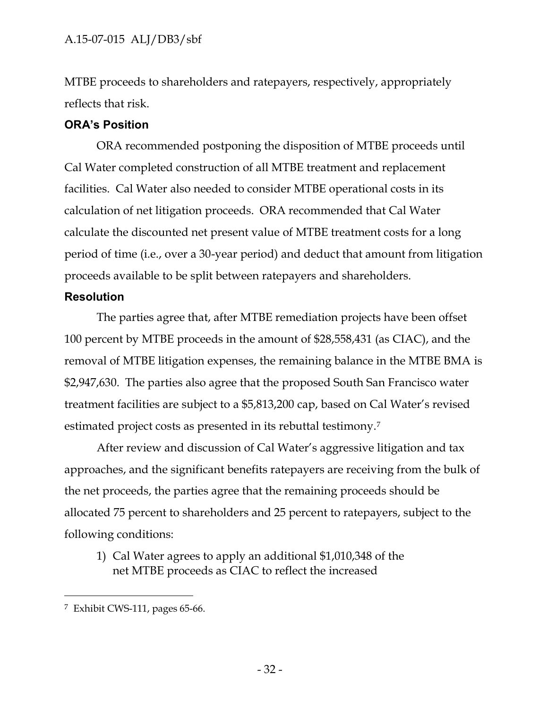MTBE proceeds to shareholders and ratepayers, respectively, appropriately reflects that risk.

# **ORA's Position**

ORA recommended postponing the disposition of MTBE proceeds until Cal Water completed construction of all MTBE treatment and replacement facilities. Cal Water also needed to consider MTBE operational costs in its calculation of net litigation proceeds. ORA recommended that Cal Water calculate the discounted net present value of MTBE treatment costs for a long period of time (i.e., over a 30-year period) and deduct that amount from litigation proceeds available to be split between ratepayers and shareholders.

# **Resolution**

The parties agree that, after MTBE remediation projects have been offset 100 percent by MTBE proceeds in the amount of \$28,558,431 (as CIAC), and the removal of MTBE litigation expenses, the remaining balance in the MTBE BMA is \$2,947,630. The parties also agree that the proposed South San Francisco water treatment facilities are subject to a \$5,813,200 cap, based on Cal Water's revised estimated project costs as presented in its rebuttal testimony.<sup>7</sup>

After review and discussion of Cal Water's aggressive litigation and tax approaches, and the significant benefits ratepayers are receiving from the bulk of the net proceeds, the parties agree that the remaining proceeds should be allocated 75 percent to shareholders and 25 percent to ratepayers, subject to the following conditions:

1) Cal Water agrees to apply an additional \$1,010,348 of the net MTBE proceeds as CIAC to reflect the increased

 $7$  Exhibit CWS-111, pages 65-66.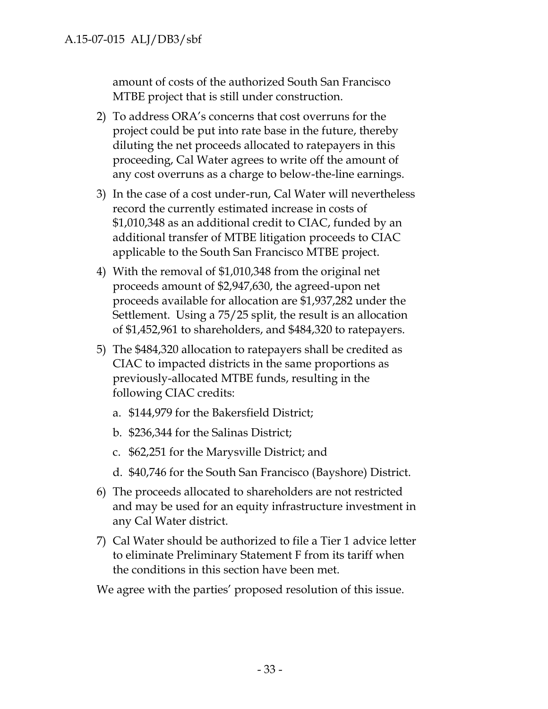amount of costs of the authorized South San Francisco MTBE project that is still under construction.

- 2) To address ORA's concerns that cost overruns for the project could be put into rate base in the future, thereby diluting the net proceeds allocated to ratepayers in this proceeding, Cal Water agrees to write off the amount of any cost overruns as a charge to below-the-line earnings.
- 3) In the case of a cost under-run, Cal Water will nevertheless record the currently estimated increase in costs of \$1,010,348 as an additional credit to CIAC, funded by an additional transfer of MTBE litigation proceeds to CIAC applicable to the South San Francisco MTBE project.
- 4) With the removal of \$1,010,348 from the original net proceeds amount of \$2,947,630, the agreed-upon net proceeds available for allocation are \$1,937,282 under the Settlement. Using a 75/25 split, the result is an allocation of \$1,452,961 to shareholders, and \$484,320 to ratepayers.
- 5) The \$484,320 allocation to ratepayers shall be credited as CIAC to impacted districts in the same proportions as previously-allocated MTBE funds, resulting in the following CIAC credits:
	- a. \$144,979 for the Bakersfield District;
	- b. \$236,344 for the Salinas District;
	- c. \$62,251 for the Marysville District; and
	- d. \$40,746 for the South San Francisco (Bayshore) District.
- 6) The proceeds allocated to shareholders are not restricted and may be used for an equity infrastructure investment in any Cal Water district.
- 7) Cal Water should be authorized to file a Tier 1 advice letter to eliminate Preliminary Statement F from its tariff when the conditions in this section have been met.

We agree with the parties' proposed resolution of this issue.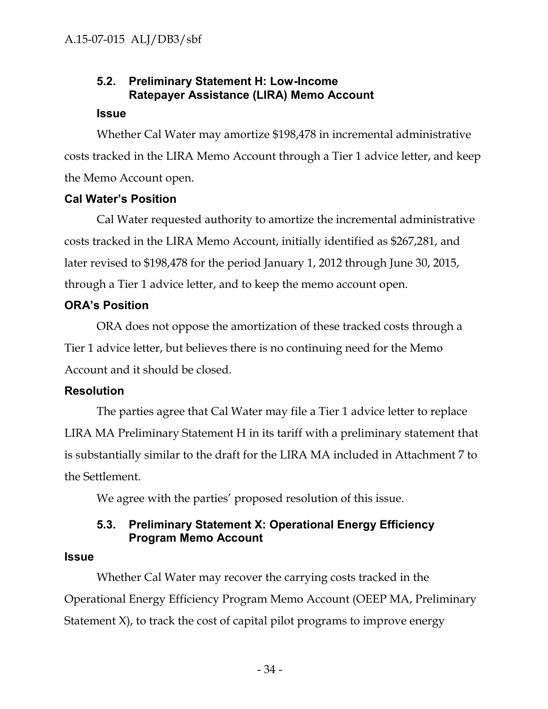## **5.2. Preliminary Statement H: Low-Income Ratepayer Assistance (LIRA) Memo Account**

#### **Issue**

Whether Cal Water may amortize \$198,478 in incremental administrative costs tracked in the LIRA Memo Account through a Tier 1 advice letter, and keep the Memo Account open.

## **Cal Water's Position**

Cal Water requested authority to amortize the incremental administrative costs tracked in the LIRA Memo Account, initially identified as \$267,281, and later revised to \$198,478 for the period January 1, 2012 through June 30, 2015, through a Tier 1 advice letter, and to keep the memo account open.

## **ORA's Position**

ORA does not oppose the amortization of these tracked costs through a Tier 1 advice letter, but believes there is no continuing need for the Memo Account and it should be closed.

## **Resolution**

The parties agree that Cal Water may file a Tier 1 advice letter to replace LIRA MA Preliminary Statement H in its tariff with a preliminary statement that is substantially similar to the draft for the LIRA MA included in Attachment 7 to the Settlement.

We agree with the parties' proposed resolution of this issue.

## **5.3. Preliminary Statement X: Operational Energy Efficiency Program Memo Account**

### **Issue**

Whether Cal Water may recover the carrying costs tracked in the Operational Energy Efficiency Program Memo Account (OEEP MA, Preliminary Statement X), to track the cost of capital pilot programs to improve energy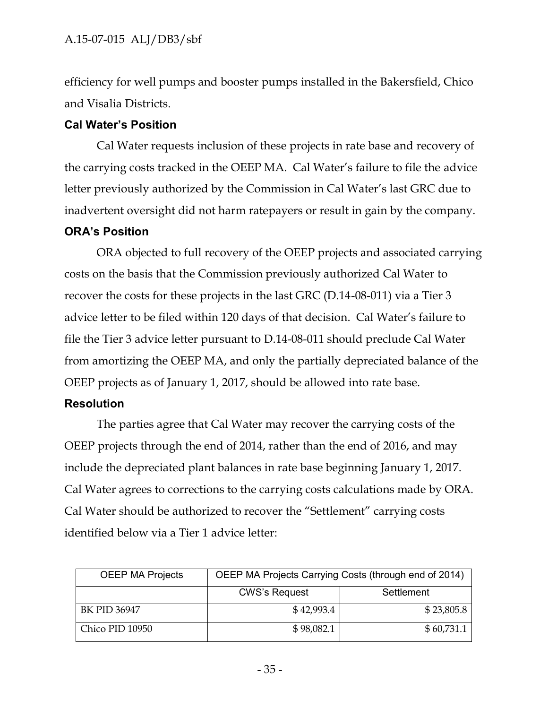efficiency for well pumps and booster pumps installed in the Bakersfield, Chico and Visalia Districts.

## **Cal Water's Position**

Cal Water requests inclusion of these projects in rate base and recovery of the carrying costs tracked in the OEEP MA. Cal Water's failure to file the advice letter previously authorized by the Commission in Cal Water's last GRC due to inadvertent oversight did not harm ratepayers or result in gain by the company.

## **ORA's Position**

ORA objected to full recovery of the OEEP projects and associated carrying costs on the basis that the Commission previously authorized Cal Water to recover the costs for these projects in the last GRC (D.14-08-011) via a Tier 3 advice letter to be filed within 120 days of that decision. Cal Water's failure to file the Tier 3 advice letter pursuant to D.14-08-011 should preclude Cal Water from amortizing the OEEP MA, and only the partially depreciated balance of the OEEP projects as of January 1, 2017, should be allowed into rate base.

## **Resolution**

The parties agree that Cal Water may recover the carrying costs of the OEEP projects through the end of 2014, rather than the end of 2016, and may include the depreciated plant balances in rate base beginning January 1, 2017. Cal Water agrees to corrections to the carrying costs calculations made by ORA. Cal Water should be authorized to recover the "Settlement" carrying costs identified below via a Tier 1 advice letter:

| <b>OEEP MA Projects</b> | OEEP MA Projects Carrying Costs (through end of 2014) |            |  |  |
|-------------------------|-------------------------------------------------------|------------|--|--|
|                         | <b>CWS's Request</b>                                  | Settlement |  |  |
| BK PID 36947            | \$42,993.4                                            | \$23,805.8 |  |  |
| Chico PID 10950         | \$98,082.1                                            | \$60,731.1 |  |  |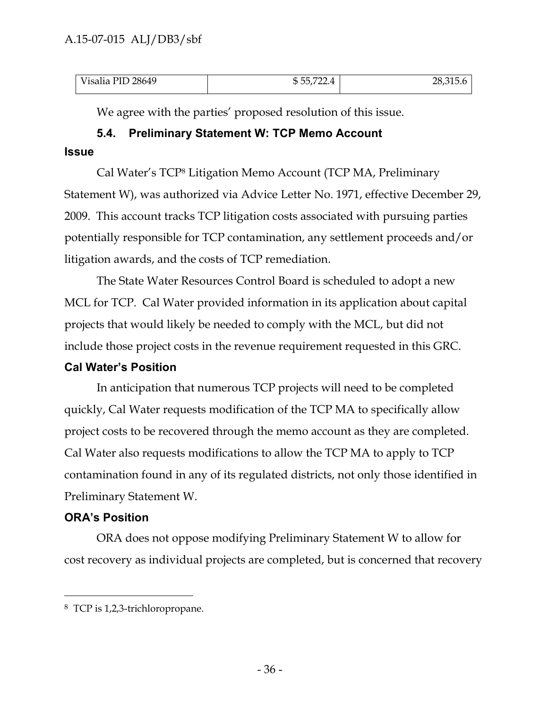| <b>Wicalia</b><br>28649<br>____ | m<br>רה<br>≖ | $\sim$ $-$<br>$\mathbf{r}$<br>Z0,313.0 |  |
|---------------------------------|--------------|----------------------------------------|--|

We agree with the parties' proposed resolution of this issue.

### **5.4. Preliminary Statement W: TCP Memo Account**

#### **Issue**

Cal Water's TCP<sup>8</sup> Litigation Memo Account (TCP MA, Preliminary Statement W), was authorized via Advice Letter No. 1971, effective December 29, 2009. This account tracks TCP litigation costs associated with pursuing parties potentially responsible for TCP contamination, any settlement proceeds and/or litigation awards, and the costs of TCP remediation.

The State Water Resources Control Board is scheduled to adopt a new MCL for TCP. Cal Water provided information in its application about capital projects that would likely be needed to comply with the MCL, but did not include those project costs in the revenue requirement requested in this GRC.

### **Cal Water's Position**

In anticipation that numerous TCP projects will need to be completed quickly, Cal Water requests modification of the TCP MA to specifically allow project costs to be recovered through the memo account as they are completed. Cal Water also requests modifications to allow the TCP MA to apply to TCP contamination found in any of its regulated districts, not only those identified in Preliminary Statement W.

### **ORA's Position**

ORA does not oppose modifying Preliminary Statement W to allow for cost recovery as individual projects are completed, but is concerned that recovery

<sup>8</sup> TCP is 1,2,3-trichloropropane.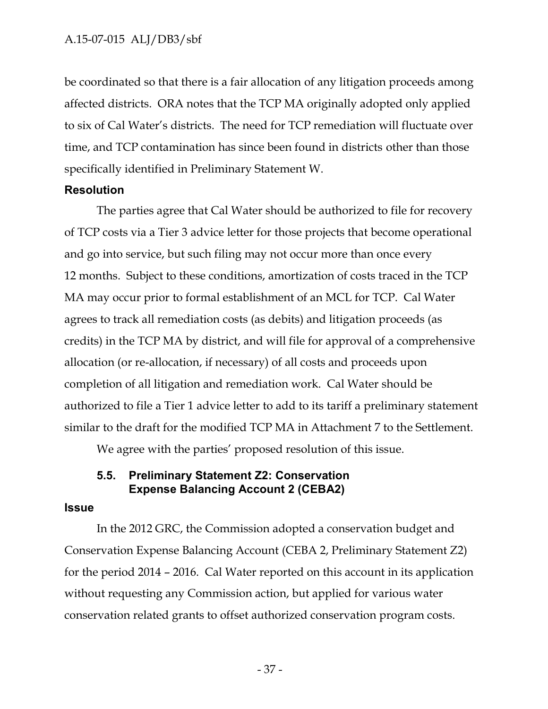be coordinated so that there is a fair allocation of any litigation proceeds among affected districts. ORA notes that the TCP MA originally adopted only applied to six of Cal Water's districts. The need for TCP remediation will fluctuate over time, and TCP contamination has since been found in districts other than those specifically identified in Preliminary Statement W.

#### **Resolution**

The parties agree that Cal Water should be authorized to file for recovery of TCP costs via a Tier 3 advice letter for those projects that become operational and go into service, but such filing may not occur more than once every 12 months. Subject to these conditions, amortization of costs traced in the TCP MA may occur prior to formal establishment of an MCL for TCP. Cal Water agrees to track all remediation costs (as debits) and litigation proceeds (as credits) in the TCP MA by district, and will file for approval of a comprehensive allocation (or re-allocation, if necessary) of all costs and proceeds upon completion of all litigation and remediation work. Cal Water should be authorized to file a Tier 1 advice letter to add to its tariff a preliminary statement similar to the draft for the modified TCP MA in Attachment 7 to the Settlement.

We agree with the parties' proposed resolution of this issue.

### **5.5. Preliminary Statement Z2: Conservation Expense Balancing Account 2 (CEBA2)**

#### **Issue**

In the 2012 GRC, the Commission adopted a conservation budget and Conservation Expense Balancing Account (CEBA 2, Preliminary Statement Z2) for the period 2014 – 2016. Cal Water reported on this account in its application without requesting any Commission action, but applied for various water conservation related grants to offset authorized conservation program costs.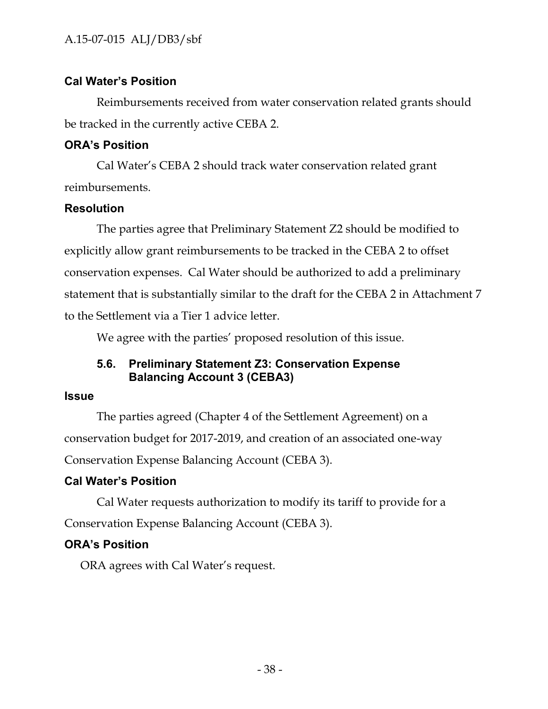## **Cal Water's Position**

Reimbursements received from water conservation related grants should be tracked in the currently active CEBA 2.

## **ORA's Position**

Cal Water's CEBA 2 should track water conservation related grant reimbursements.

## **Resolution**

The parties agree that Preliminary Statement Z2 should be modified to explicitly allow grant reimbursements to be tracked in the CEBA 2 to offset conservation expenses. Cal Water should be authorized to add a preliminary statement that is substantially similar to the draft for the CEBA 2 in Attachment 7 to the Settlement via a Tier 1 advice letter.

We agree with the parties' proposed resolution of this issue.

# **5.6. Preliminary Statement Z3: Conservation Expense Balancing Account 3 (CEBA3)**

## **Issue**

The parties agreed (Chapter 4 of the Settlement Agreement) on a conservation budget for 2017-2019, and creation of an associated one-way Conservation Expense Balancing Account (CEBA 3).

# **Cal Water's Position**

Cal Water requests authorization to modify its tariff to provide for a Conservation Expense Balancing Account (CEBA 3).

# **ORA's Position**

ORA agrees with Cal Water's request.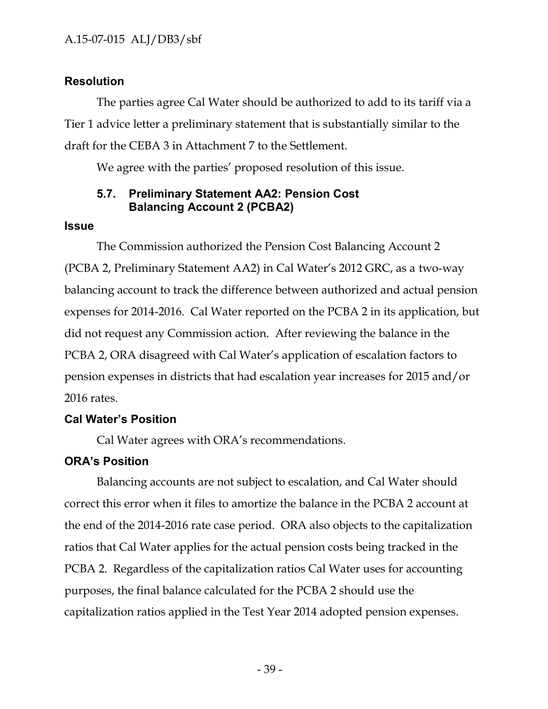### **Resolution**

The parties agree Cal Water should be authorized to add to its tariff via a Tier 1 advice letter a preliminary statement that is substantially similar to the draft for the CEBA 3 in Attachment 7 to the Settlement.

We agree with the parties' proposed resolution of this issue.

### **5.7. Preliminary Statement AA2: Pension Cost Balancing Account 2 (PCBA2)**

#### **Issue**

The Commission authorized the Pension Cost Balancing Account 2 (PCBA 2, Preliminary Statement AA2) in Cal Water's 2012 GRC, as a two-way balancing account to track the difference between authorized and actual pension expenses for 2014-2016. Cal Water reported on the PCBA 2 in its application, but did not request any Commission action. After reviewing the balance in the PCBA 2, ORA disagreed with Cal Water's application of escalation factors to pension expenses in districts that had escalation year increases for 2015 and/or 2016 rates.

### **Cal Water's Position**

Cal Water agrees with ORA's recommendations.

## **ORA's Position**

Balancing accounts are not subject to escalation, and Cal Water should correct this error when it files to amortize the balance in the PCBA 2 account at the end of the 2014-2016 rate case period. ORA also objects to the capitalization ratios that Cal Water applies for the actual pension costs being tracked in the PCBA 2. Regardless of the capitalization ratios Cal Water uses for accounting purposes, the final balance calculated for the PCBA 2 should use the capitalization ratios applied in the Test Year 2014 adopted pension expenses.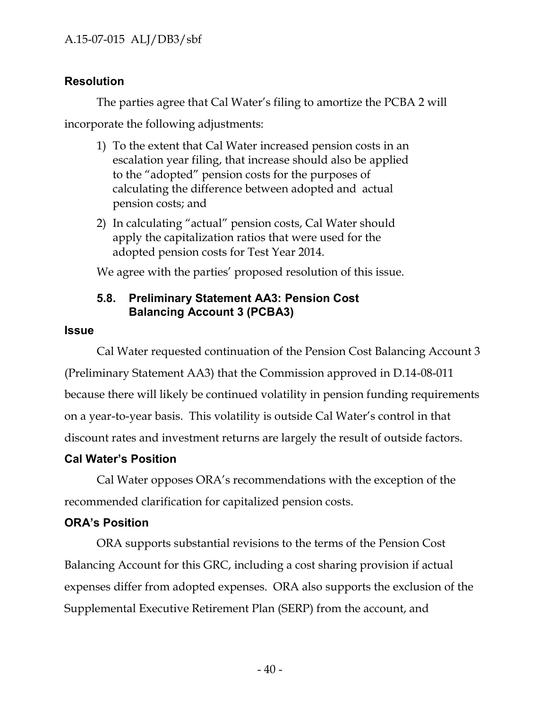# **Resolution**

The parties agree that Cal Water's filing to amortize the PCBA 2 will

incorporate the following adjustments:

- 1) To the extent that Cal Water increased pension costs in an escalation year filing, that increase should also be applied to the "adopted" pension costs for the purposes of calculating the difference between adopted and actual pension costs; and
- 2) In calculating "actual" pension costs, Cal Water should apply the capitalization ratios that were used for the adopted pension costs for Test Year 2014.

We agree with the parties' proposed resolution of this issue.

# **5.8. Preliminary Statement AA3: Pension Cost Balancing Account 3 (PCBA3)**

# **Issue**

Cal Water requested continuation of the Pension Cost Balancing Account 3 (Preliminary Statement AA3) that the Commission approved in D.14-08-011 because there will likely be continued volatility in pension funding requirements on a year-to-year basis. This volatility is outside Cal Water's control in that discount rates and investment returns are largely the result of outside factors.

# **Cal Water's Position**

Cal Water opposes ORA's recommendations with the exception of the recommended clarification for capitalized pension costs.

# **ORA's Position**

ORA supports substantial revisions to the terms of the Pension Cost Balancing Account for this GRC, including a cost sharing provision if actual expenses differ from adopted expenses. ORA also supports the exclusion of the Supplemental Executive Retirement Plan (SERP) from the account, and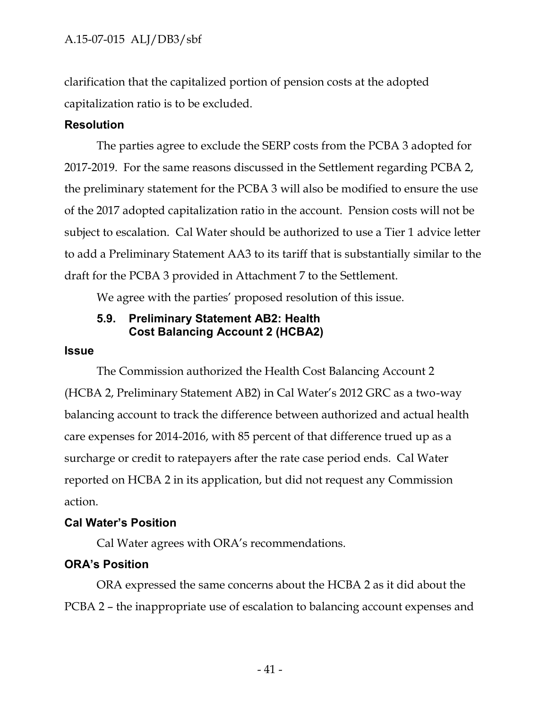clarification that the capitalized portion of pension costs at the adopted capitalization ratio is to be excluded.

### **Resolution**

The parties agree to exclude the SERP costs from the PCBA 3 adopted for 2017-2019. For the same reasons discussed in the Settlement regarding PCBA 2, the preliminary statement for the PCBA 3 will also be modified to ensure the use of the 2017 adopted capitalization ratio in the account. Pension costs will not be subject to escalation. Cal Water should be authorized to use a Tier 1 advice letter to add a Preliminary Statement AA3 to its tariff that is substantially similar to the draft for the PCBA 3 provided in Attachment 7 to the Settlement.

We agree with the parties' proposed resolution of this issue.

### **5.9. Preliminary Statement AB2: Health Cost Balancing Account 2 (HCBA2)**

### **Issue**

The Commission authorized the Health Cost Balancing Account 2 (HCBA 2, Preliminary Statement AB2) in Cal Water's 2012 GRC as a two-way balancing account to track the difference between authorized and actual health care expenses for 2014-2016, with 85 percent of that difference trued up as a surcharge or credit to ratepayers after the rate case period ends. Cal Water reported on HCBA 2 in its application, but did not request any Commission action.

## **Cal Water's Position**

Cal Water agrees with ORA's recommendations.

## **ORA's Position**

ORA expressed the same concerns about the HCBA 2 as it did about the PCBA 2 – the inappropriate use of escalation to balancing account expenses and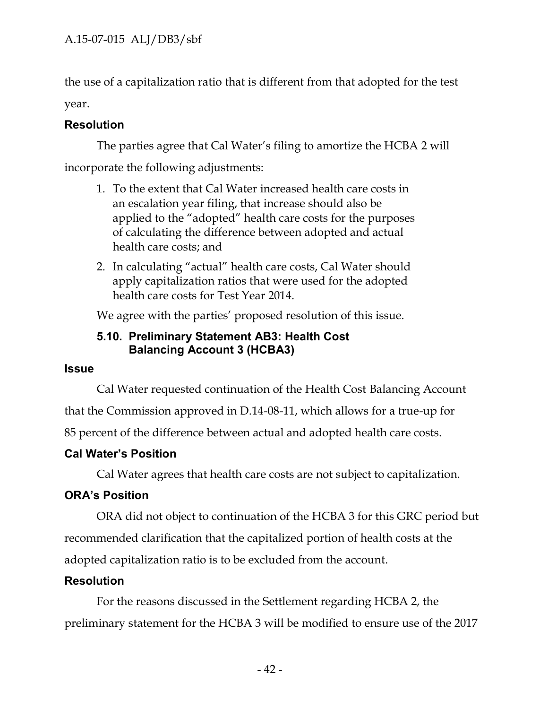the use of a capitalization ratio that is different from that adopted for the test year.

# **Resolution**

The parties agree that Cal Water's filing to amortize the HCBA 2 will incorporate the following adjustments:

- 1. To the extent that Cal Water increased health care costs in an escalation year filing, that increase should also be applied to the "adopted" health care costs for the purposes of calculating the difference between adopted and actual health care costs; and
- 2. In calculating "actual" health care costs, Cal Water should apply capitalization ratios that were used for the adopted health care costs for Test Year 2014.

We agree with the parties' proposed resolution of this issue.

## **5.10. Preliminary Statement AB3: Health Cost Balancing Account 3 (HCBA3)**

## **Issue**

Cal Water requested continuation of the Health Cost Balancing Account

that the Commission approved in D.14-08-11, which allows for a true-up for

85 percent of the difference between actual and adopted health care costs.

# **Cal Water's Position**

Cal Water agrees that health care costs are not subject to capitalization.

# **ORA's Position**

ORA did not object to continuation of the HCBA 3 for this GRC period but recommended clarification that the capitalized portion of health costs at the adopted capitalization ratio is to be excluded from the account.

# **Resolution**

For the reasons discussed in the Settlement regarding HCBA 2, the preliminary statement for the HCBA 3 will be modified to ensure use of the 2017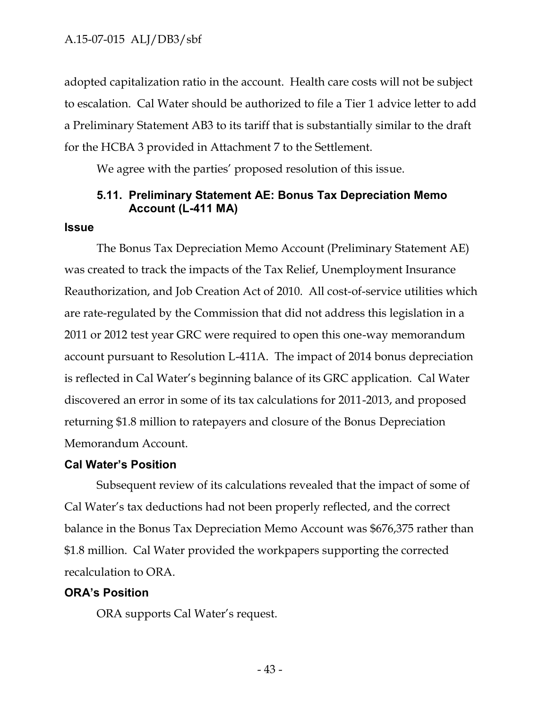adopted capitalization ratio in the account. Health care costs will not be subject to escalation. Cal Water should be authorized to file a Tier 1 advice letter to add a Preliminary Statement AB3 to its tariff that is substantially similar to the draft for the HCBA 3 provided in Attachment 7 to the Settlement.

We agree with the parties' proposed resolution of this issue.

## **5.11. Preliminary Statement AE: Bonus Tax Depreciation Memo Account (L-411 MA)**

#### **Issue**

The Bonus Tax Depreciation Memo Account (Preliminary Statement AE) was created to track the impacts of the Tax Relief, Unemployment Insurance Reauthorization, and Job Creation Act of 2010. All cost-of-service utilities which are rate-regulated by the Commission that did not address this legislation in a 2011 or 2012 test year GRC were required to open this one-way memorandum account pursuant to Resolution L-411A. The impact of 2014 bonus depreciation is reflected in Cal Water's beginning balance of its GRC application. Cal Water discovered an error in some of its tax calculations for 2011-2013, and proposed returning \$1.8 million to ratepayers and closure of the Bonus Depreciation Memorandum Account.

#### **Cal Water's Position**

Subsequent review of its calculations revealed that the impact of some of Cal Water's tax deductions had not been properly reflected, and the correct balance in the Bonus Tax Depreciation Memo Account was \$676,375 rather than \$1.8 million. Cal Water provided the workpapers supporting the corrected recalculation to ORA.

#### **ORA's Position**

ORA supports Cal Water's request.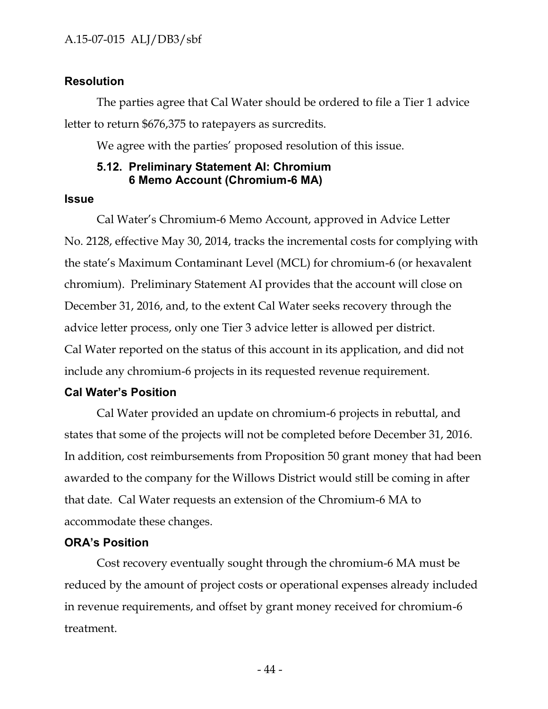### **Resolution**

The parties agree that Cal Water should be ordered to file a Tier 1 advice letter to return \$676,375 to ratepayers as surcredits.

We agree with the parties' proposed resolution of this issue.

### **5.12. Preliminary Statement AI: Chromium 6 Memo Account (Chromium-6 MA)**

#### **Issue**

Cal Water's Chromium-6 Memo Account, approved in Advice Letter No. 2128, effective May 30, 2014, tracks the incremental costs for complying with the state's Maximum Contaminant Level (MCL) for chromium-6 (or hexavalent chromium). Preliminary Statement AI provides that the account will close on December 31, 2016, and, to the extent Cal Water seeks recovery through the advice letter process, only one Tier 3 advice letter is allowed per district. Cal Water reported on the status of this account in its application, and did not include any chromium-6 projects in its requested revenue requirement.

#### **Cal Water's Position**

Cal Water provided an update on chromium-6 projects in rebuttal, and states that some of the projects will not be completed before December 31, 2016. In addition, cost reimbursements from Proposition 50 grant money that had been awarded to the company for the Willows District would still be coming in after that date. Cal Water requests an extension of the Chromium-6 MA to accommodate these changes.

#### **ORA's Position**

Cost recovery eventually sought through the chromium-6 MA must be reduced by the amount of project costs or operational expenses already included in revenue requirements, and offset by grant money received for chromium-6 treatment.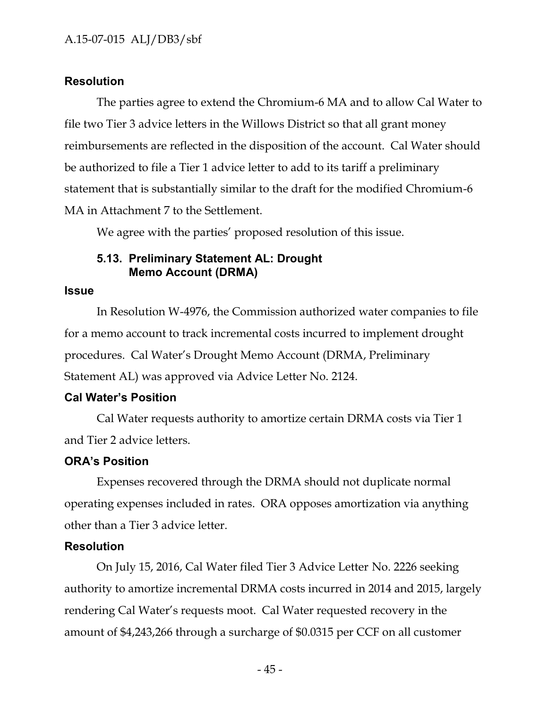## **Resolution**

The parties agree to extend the Chromium-6 MA and to allow Cal Water to file two Tier 3 advice letters in the Willows District so that all grant money reimbursements are reflected in the disposition of the account. Cal Water should be authorized to file a Tier 1 advice letter to add to its tariff a preliminary statement that is substantially similar to the draft for the modified Chromium-6 MA in Attachment 7 to the Settlement.

We agree with the parties' proposed resolution of this issue.

### **5.13. Preliminary Statement AL: Drought Memo Account (DRMA)**

#### **Issue**

In Resolution W-4976, the Commission authorized water companies to file for a memo account to track incremental costs incurred to implement drought procedures. Cal Water's Drought Memo Account (DRMA, Preliminary Statement AL) was approved via Advice Letter No. 2124.

## **Cal Water's Position**

Cal Water requests authority to amortize certain DRMA costs via Tier 1 and Tier 2 advice letters.

### **ORA's Position**

Expenses recovered through the DRMA should not duplicate normal operating expenses included in rates. ORA opposes amortization via anything other than a Tier 3 advice letter.

### **Resolution**

On July 15, 2016, Cal Water filed Tier 3 Advice Letter No. 2226 seeking authority to amortize incremental DRMA costs incurred in 2014 and 2015, largely rendering Cal Water's requests moot. Cal Water requested recovery in the amount of \$4,243,266 through a surcharge of \$0.0315 per CCF on all customer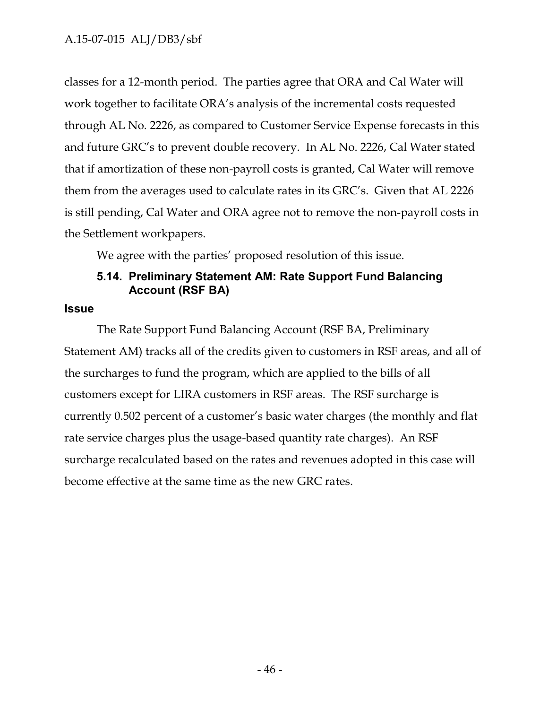classes for a 12-month period. The parties agree that ORA and Cal Water will work together to facilitate ORA's analysis of the incremental costs requested through AL No. 2226, as compared to Customer Service Expense forecasts in this and future GRC's to prevent double recovery. In AL No. 2226, Cal Water stated that if amortization of these non-payroll costs is granted, Cal Water will remove them from the averages used to calculate rates in its GRC's. Given that AL 2226 is still pending, Cal Water and ORA agree not to remove the non-payroll costs in the Settlement workpapers.

We agree with the parties' proposed resolution of this issue.

# **5.14. Preliminary Statement AM: Rate Support Fund Balancing Account (RSF BA)**

### **Issue**

The Rate Support Fund Balancing Account (RSF BA, Preliminary Statement AM) tracks all of the credits given to customers in RSF areas, and all of the surcharges to fund the program, which are applied to the bills of all customers except for LIRA customers in RSF areas. The RSF surcharge is currently 0.502 percent of a customer's basic water charges (the monthly and flat rate service charges plus the usage-based quantity rate charges). An RSF surcharge recalculated based on the rates and revenues adopted in this case will become effective at the same time as the new GRC rates.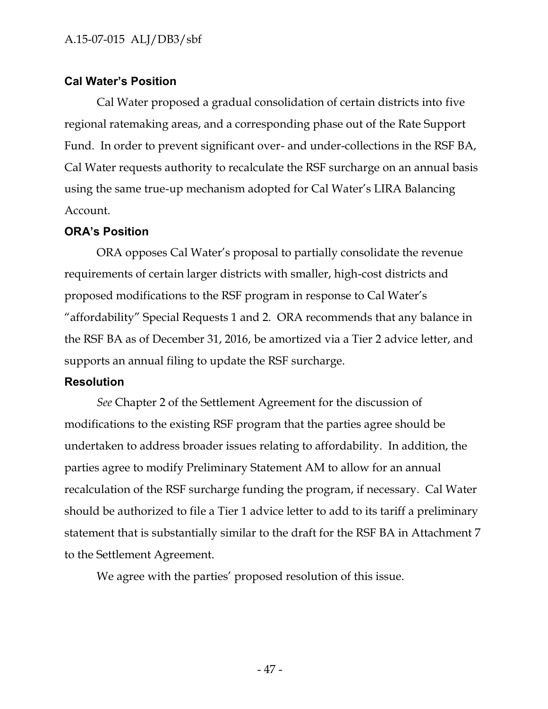## **Cal Water's Position**

Cal Water proposed a gradual consolidation of certain districts into five regional ratemaking areas, and a corresponding phase out of the Rate Support Fund. In order to prevent significant over- and under-collections in the RSF BA, Cal Water requests authority to recalculate the RSF surcharge on an annual basis using the same true-up mechanism adopted for Cal Water's LIRA Balancing Account.

## **ORA's Position**

ORA opposes Cal Water's proposal to partially consolidate the revenue requirements of certain larger districts with smaller, high-cost districts and proposed modifications to the RSF program in response to Cal Water's "affordability" Special Requests 1 and 2. ORA recommends that any balance in the RSF BA as of December 31, 2016, be amortized via a Tier 2 advice letter, and supports an annual filing to update the RSF surcharge.

## **Resolution**

*See* Chapter 2 of the Settlement Agreement for the discussion of modifications to the existing RSF program that the parties agree should be undertaken to address broader issues relating to affordability. In addition, the parties agree to modify Preliminary Statement AM to allow for an annual recalculation of the RSF surcharge funding the program, if necessary. Cal Water should be authorized to file a Tier 1 advice letter to add to its tariff a preliminary statement that is substantially similar to the draft for the RSF BA in Attachment 7 to the Settlement Agreement.

We agree with the parties' proposed resolution of this issue.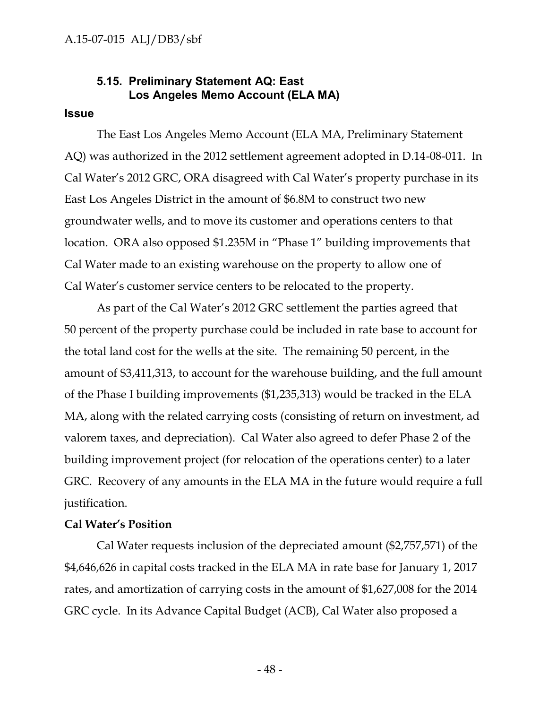### **5.15. Preliminary Statement AQ: East Los Angeles Memo Account (ELA MA)**

#### **Issue**

The East Los Angeles Memo Account (ELA MA, Preliminary Statement AQ) was authorized in the 2012 settlement agreement adopted in D.14-08-011. In Cal Water's 2012 GRC, ORA disagreed with Cal Water's property purchase in its East Los Angeles District in the amount of \$6.8M to construct two new groundwater wells, and to move its customer and operations centers to that location. ORA also opposed \$1.235M in "Phase 1" building improvements that Cal Water made to an existing warehouse on the property to allow one of Cal Water's customer service centers to be relocated to the property.

As part of the Cal Water's 2012 GRC settlement the parties agreed that 50 percent of the property purchase could be included in rate base to account for the total land cost for the wells at the site. The remaining 50 percent, in the amount of \$3,411,313, to account for the warehouse building, and the full amount of the Phase I building improvements (\$1,235,313) would be tracked in the ELA MA, along with the related carrying costs (consisting of return on investment, ad valorem taxes, and depreciation). Cal Water also agreed to defer Phase 2 of the building improvement project (for relocation of the operations center) to a later GRC. Recovery of any amounts in the ELA MA in the future would require a full justification.

#### **Cal Water's Position**

Cal Water requests inclusion of the depreciated amount (\$2,757,571) of the \$4,646,626 in capital costs tracked in the ELA MA in rate base for January 1, 2017 rates, and amortization of carrying costs in the amount of \$1,627,008 for the 2014 GRC cycle. In its Advance Capital Budget (ACB), Cal Water also proposed a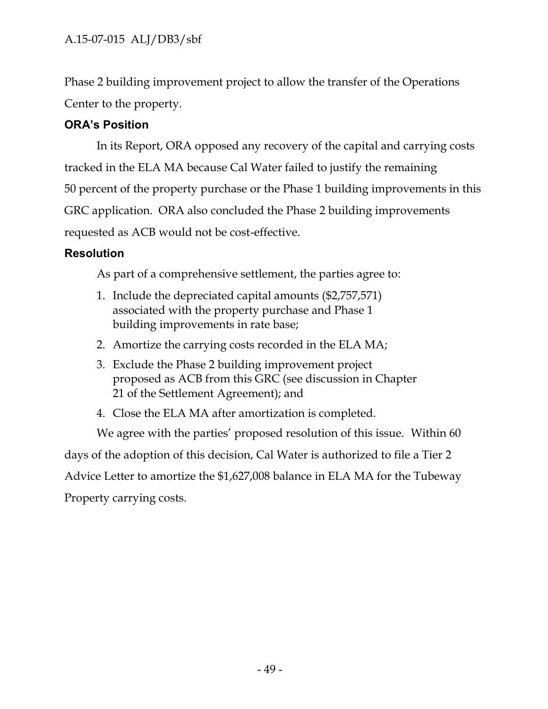Phase 2 building improvement project to allow the transfer of the Operations Center to the property.

# **ORA's Position**

In its Report, ORA opposed any recovery of the capital and carrying costs tracked in the ELA MA because Cal Water failed to justify the remaining 50 percent of the property purchase or the Phase 1 building improvements in this GRC application. ORA also concluded the Phase 2 building improvements requested as ACB would not be cost-effective.

# **Resolution**

As part of a comprehensive settlement, the parties agree to:

- 1. Include the depreciated capital amounts (\$2,757,571) associated with the property purchase and Phase 1 building improvements in rate base;
- 2. Amortize the carrying costs recorded in the ELA MA;
- 3. Exclude the Phase 2 building improvement project proposed as ACB from this GRC (see discussion in Chapter 21 of the Settlement Agreement); and

4. Close the ELA MA after amortization is completed.

We agree with the parties' proposed resolution of this issue. Within 60 days of the adoption of this decision, Cal Water is authorized to file a Tier 2 Advice Letter to amortize the \$1,627,008 balance in ELA MA for the Tubeway Property carrying costs.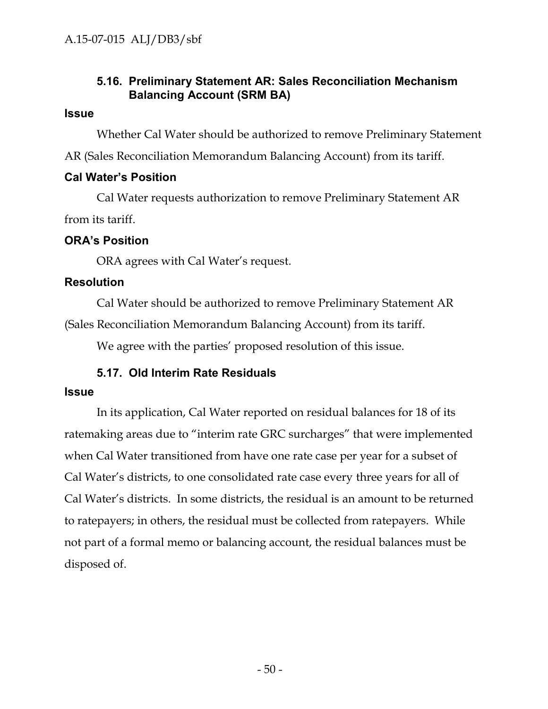## **5.16. Preliminary Statement AR: Sales Reconciliation Mechanism Balancing Account (SRM BA)**

### **Issue**

Whether Cal Water should be authorized to remove Preliminary Statement AR (Sales Reconciliation Memorandum Balancing Account) from its tariff.

### **Cal Water's Position**

Cal Water requests authorization to remove Preliminary Statement AR from its tariff.

## **ORA's Position**

ORA agrees with Cal Water's request.

## **Resolution**

Cal Water should be authorized to remove Preliminary Statement AR (Sales Reconciliation Memorandum Balancing Account) from its tariff.

We agree with the parties' proposed resolution of this issue.

# **5.17. Old Interim Rate Residuals**

### **Issue**

In its application, Cal Water reported on residual balances for 18 of its ratemaking areas due to "interim rate GRC surcharges" that were implemented when Cal Water transitioned from have one rate case per year for a subset of Cal Water's districts, to one consolidated rate case every three years for all of Cal Water's districts. In some districts, the residual is an amount to be returned to ratepayers; in others, the residual must be collected from ratepayers. While not part of a formal memo or balancing account, the residual balances must be disposed of.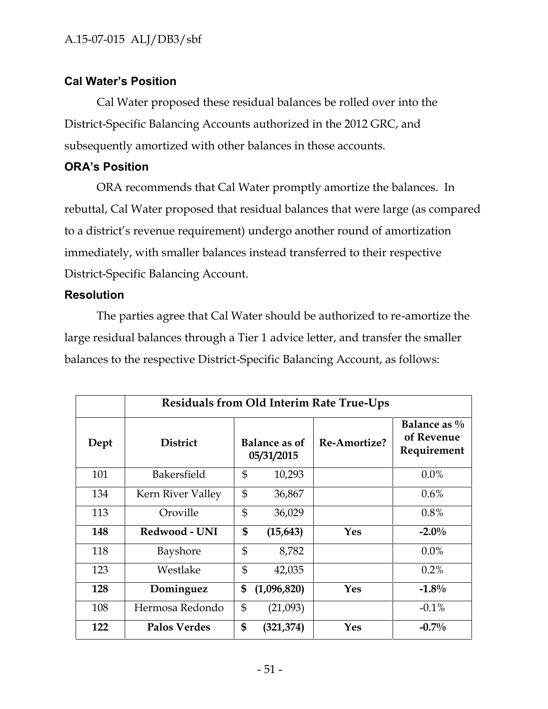## **Cal Water's Position**

Cal Water proposed these residual balances be rolled over into the District-Specific Balancing Accounts authorized in the 2012 GRC, and subsequently amortized with other balances in those accounts.

## **ORA's Position**

ORA recommends that Cal Water promptly amortize the balances. In rebuttal, Cal Water proposed that residual balances that were large (as compared to a district's revenue requirement) undergo another round of amortization immediately, with smaller balances instead transferred to their respective District-Specific Balancing Account.

## **Resolution**

The parties agree that Cal Water should be authorized to re-amortize the large residual balances through a Tier 1 advice letter, and transfer the smaller balances to the respective District-Specific Balancing Account, as follows:

|      |                     | <b>Residuals from Old Interim Rate True-Ups</b> |                                    |              |                                              |  |
|------|---------------------|-------------------------------------------------|------------------------------------|--------------|----------------------------------------------|--|
| Dept | <b>District</b>     |                                                 | <b>Balance as of</b><br>05/31/2015 | Re-Amortize? | Balance as $\%$<br>of Revenue<br>Requirement |  |
| 101  | Bakersfield         | $\mathfrak{S}$                                  | 10,293                             |              | $0.0\%$                                      |  |
| 134  | Kern River Valley   | $\mathfrak{S}$                                  | 36,867                             |              | $0.6\%$                                      |  |
| 113  | Oroville            | $\mathbb{S}$                                    | 36,029                             |              | $0.8\%$                                      |  |
| 148  | Redwood - UNI       | \$                                              | (15, 643)                          | Yes          | $-2.0\%$                                     |  |
| 118  | Bayshore            | $\mathfrak{S}$                                  | 8,782                              |              | $0.0\%$                                      |  |
| 123  | Westlake            | $\mathbb{S}$                                    | 42,035                             |              | 0.2%                                         |  |
| 128  | Dominguez           | \$                                              | (1,096,820)                        | <b>Yes</b>   | $-1.8\%$                                     |  |
| 108  | Hermosa Redondo     | $\mathfrak{S}$                                  | (21,093)                           |              | $-0.1\%$                                     |  |
| 122  | <b>Palos Verdes</b> | \$                                              | (321, 374)                         | Yes          | $-0.7\%$                                     |  |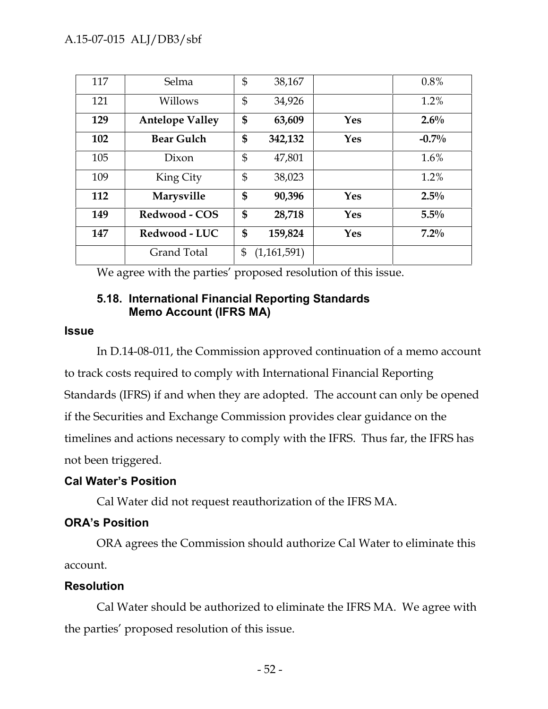| 117 | Selma                  | \$             | 38,167      |            | $0.8\%$ |
|-----|------------------------|----------------|-------------|------------|---------|
| 121 | Willows                | $\mathfrak{S}$ | 34,926      |            | 1.2%    |
| 129 | <b>Antelope Valley</b> | \$             | 63,609      | <b>Yes</b> | $2.6\%$ |
| 102 | <b>Bear Gulch</b>      | \$             | 342,132     | <b>Yes</b> | $-0.7%$ |
| 105 | Dixon                  | $\mathfrak{S}$ | 47,801      |            | 1.6%    |
| 109 | King City              | $\mathfrak{S}$ | 38,023      |            | 1.2%    |
| 112 | Marysville             | \$             | 90,396      | <b>Yes</b> | $2.5\%$ |
| 149 | Redwood - COS          | \$             | 28,718      | Yes        | 5.5%    |
| 147 | Redwood - LUC          | \$             | 159,824     | <b>Yes</b> | $7.2\%$ |
|     | <b>Grand Total</b>     | \$             | (1,161,591) |            |         |

We agree with the parties' proposed resolution of this issue.

## **5.18. International Financial Reporting Standards Memo Account (IFRS MA)**

#### **Issue**

In D.14-08-011, the Commission approved continuation of a memo account to track costs required to comply with International Financial Reporting Standards (IFRS) if and when they are adopted. The account can only be opened if the Securities and Exchange Commission provides clear guidance on the timelines and actions necessary to comply with the IFRS. Thus far, the IFRS has not been triggered.

## **Cal Water's Position**

Cal Water did not request reauthorization of the IFRS MA.

# **ORA's Position**

ORA agrees the Commission should authorize Cal Water to eliminate this account.

## **Resolution**

Cal Water should be authorized to eliminate the IFRS MA. We agree with the parties' proposed resolution of this issue.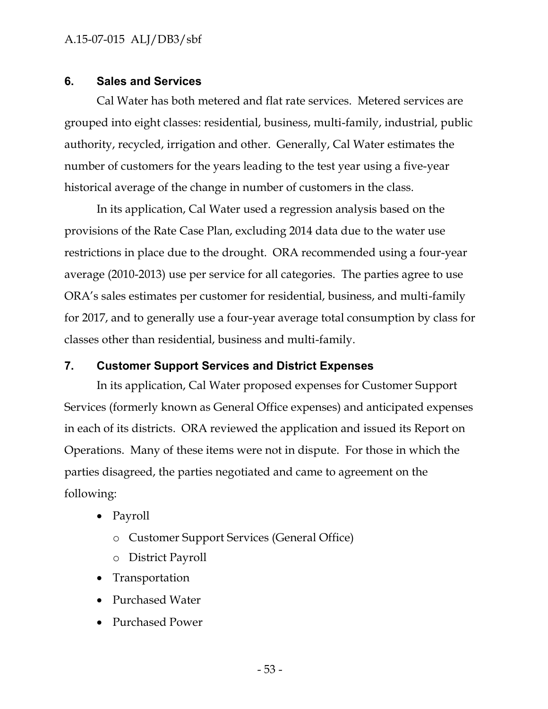### **6. Sales and Services**

Cal Water has both metered and flat rate services. Metered services are grouped into eight classes: residential, business, multi-family, industrial, public authority, recycled, irrigation and other. Generally, Cal Water estimates the number of customers for the years leading to the test year using a five-year historical average of the change in number of customers in the class.

In its application, Cal Water used a regression analysis based on the provisions of the Rate Case Plan, excluding 2014 data due to the water use restrictions in place due to the drought. ORA recommended using a four-year average (2010-2013) use per service for all categories. The parties agree to use ORA's sales estimates per customer for residential, business, and multi-family for 2017, and to generally use a four-year average total consumption by class for classes other than residential, business and multi-family.

## **7. Customer Support Services and District Expenses**

In its application, Cal Water proposed expenses for Customer Support Services (formerly known as General Office expenses) and anticipated expenses in each of its districts. ORA reviewed the application and issued its Report on Operations. Many of these items were not in dispute. For those in which the parties disagreed, the parties negotiated and came to agreement on the following:

- Payroll
	- o Customer Support Services (General Office)
	- o District Payroll
- Transportation
- Purchased Water
- Purchased Power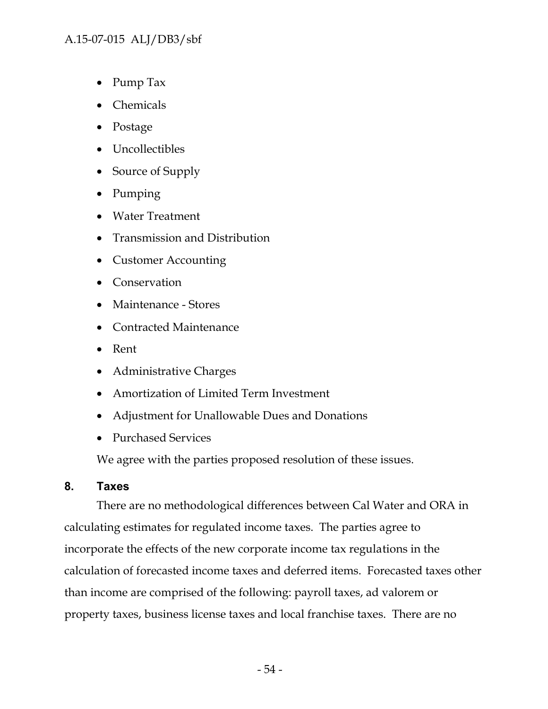## A.15-07-015 ALJ/DB3/sbf

- Pump Tax
- Chemicals
- Postage
- Uncollectibles
- Source of Supply
- Pumping
- Water Treatment
- Transmission and Distribution
- Customer Accounting
- Conservation
- Maintenance Stores
- Contracted Maintenance
- Rent
- Administrative Charges
- Amortization of Limited Term Investment
- Adjustment for Unallowable Dues and Donations
- Purchased Services

We agree with the parties proposed resolution of these issues.

## **8. Taxes**

There are no methodological differences between Cal Water and ORA in calculating estimates for regulated income taxes. The parties agree to incorporate the effects of the new corporate income tax regulations in the calculation of forecasted income taxes and deferred items. Forecasted taxes other than income are comprised of the following: payroll taxes, ad valorem or property taxes, business license taxes and local franchise taxes. There are no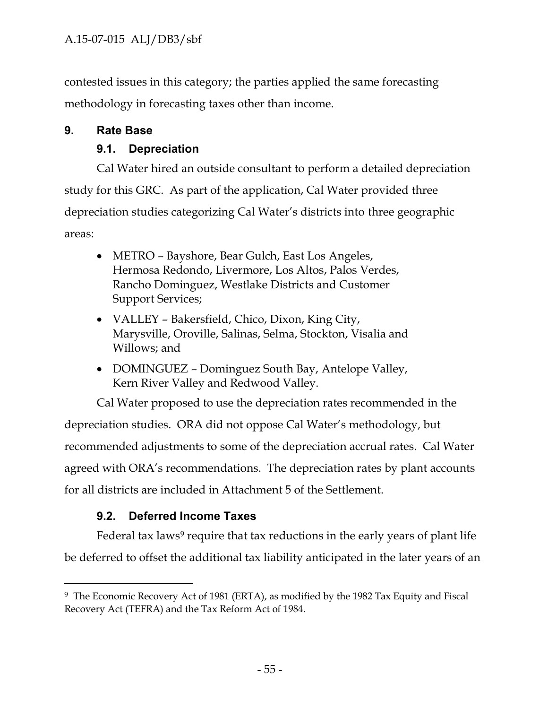contested issues in this category; the parties applied the same forecasting methodology in forecasting taxes other than income.

# **9. Rate Base**

# **9.1. Depreciation**

Cal Water hired an outside consultant to perform a detailed depreciation study for this GRC. As part of the application, Cal Water provided three depreciation studies categorizing Cal Water's districts into three geographic areas:

- METRO Bayshore, Bear Gulch, East Los Angeles, Hermosa Redondo, Livermore, Los Altos, Palos Verdes, Rancho Dominguez, Westlake Districts and Customer Support Services;
- VALLEY Bakersfield, Chico, Dixon, King City, Marysville, Oroville, Salinas, Selma, Stockton, Visalia and Willows; and
- DOMINGUEZ Dominguez South Bay, Antelope Valley, Kern River Valley and Redwood Valley.

Cal Water proposed to use the depreciation rates recommended in the depreciation studies. ORA did not oppose Cal Water's methodology, but recommended adjustments to some of the depreciation accrual rates. Cal Water agreed with ORA's recommendations. The depreciation rates by plant accounts for all districts are included in Attachment 5 of the Settlement.

# **9.2. Deferred Income Taxes**

Federal tax laws<sup>9</sup> require that tax reductions in the early years of plant life be deferred to offset the additional tax liability anticipated in the later years of an

<sup>&</sup>lt;sup>9</sup> The Economic Recovery Act of 1981 (ERTA), as modified by the 1982 Tax Equity and Fiscal Recovery Act (TEFRA) and the Tax Reform Act of 1984.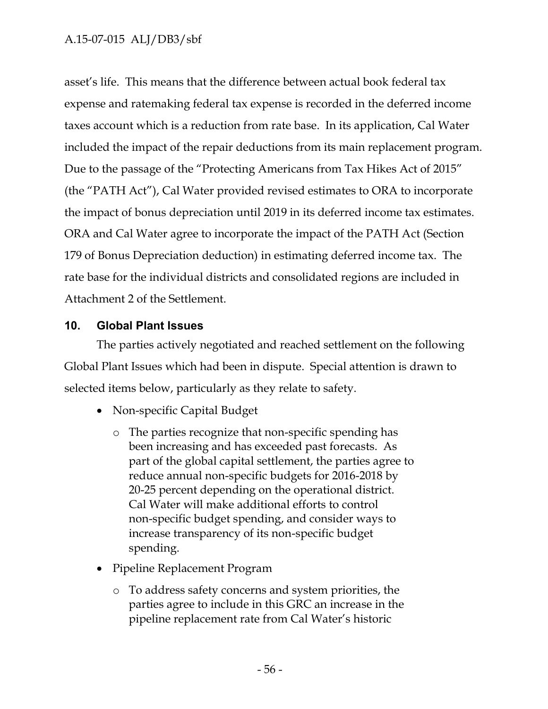## A.15-07-015 ALJ/DB3/sbf

asset's life. This means that the difference between actual book federal tax expense and ratemaking federal tax expense is recorded in the deferred income taxes account which is a reduction from rate base. In its application, Cal Water included the impact of the repair deductions from its main replacement program. Due to the passage of the "Protecting Americans from Tax Hikes Act of 2015" (the "PATH Act"), Cal Water provided revised estimates to ORA to incorporate the impact of bonus depreciation until 2019 in its deferred income tax estimates. ORA and Cal Water agree to incorporate the impact of the PATH Act (Section 179 of Bonus Depreciation deduction) in estimating deferred income tax. The rate base for the individual districts and consolidated regions are included in Attachment 2 of the Settlement.

### **10. Global Plant Issues**

The parties actively negotiated and reached settlement on the following Global Plant Issues which had been in dispute. Special attention is drawn to selected items below, particularly as they relate to safety.

- Non-specific Capital Budget
	- o The parties recognize that non-specific spending has been increasing and has exceeded past forecasts. As part of the global capital settlement, the parties agree to reduce annual non-specific budgets for 2016-2018 by 20-25 percent depending on the operational district. Cal Water will make additional efforts to control non-specific budget spending, and consider ways to increase transparency of its non-specific budget spending.
- Pipeline Replacement Program
	- o To address safety concerns and system priorities, the parties agree to include in this GRC an increase in the pipeline replacement rate from Cal Water's historic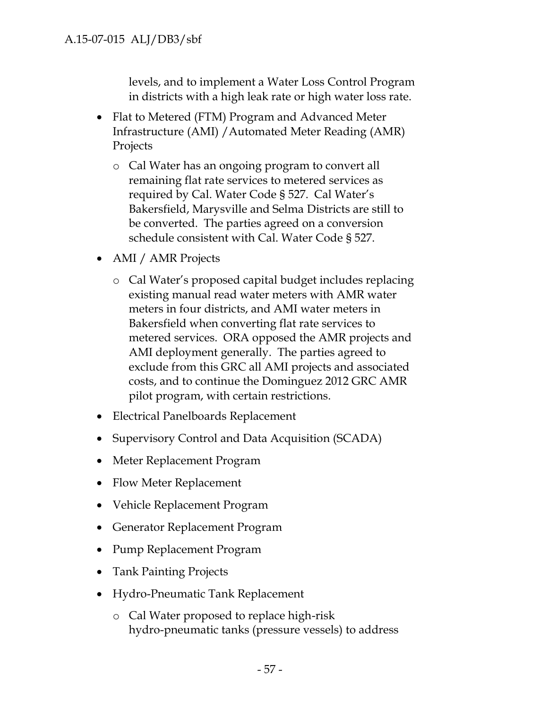levels, and to implement a Water Loss Control Program in districts with a high leak rate or high water loss rate.

- Flat to Metered (FTM) Program and Advanced Meter Infrastructure (AMI) /Automated Meter Reading (AMR) Projects
	- o Cal Water has an ongoing program to convert all remaining flat rate services to metered services as required by Cal. Water Code § 527. Cal Water's Bakersfield, Marysville and Selma Districts are still to be converted. The parties agreed on a conversion schedule consistent with Cal. Water Code § 527.
- AMI / AMR Projects
	- o Cal Water's proposed capital budget includes replacing existing manual read water meters with AMR water meters in four districts, and AMI water meters in Bakersfield when converting flat rate services to metered services. ORA opposed the AMR projects and AMI deployment generally. The parties agreed to exclude from this GRC all AMI projects and associated costs, and to continue the Dominguez 2012 GRC AMR pilot program, with certain restrictions.
- Electrical Panelboards Replacement
- Supervisory Control and Data Acquisition (SCADA)
- Meter Replacement Program
- Flow Meter Replacement
- Vehicle Replacement Program
- Generator Replacement Program
- Pump Replacement Program
- Tank Painting Projects
- Hydro-Pneumatic Tank Replacement
	- o Cal Water proposed to replace high-risk hydro-pneumatic tanks (pressure vessels) to address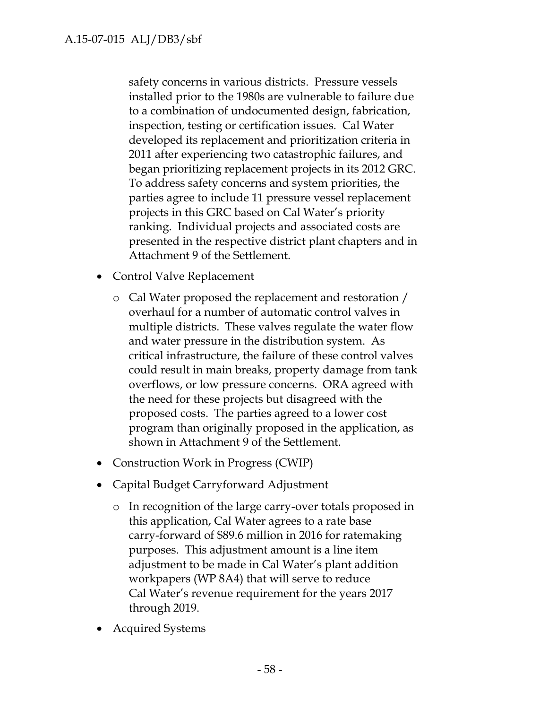safety concerns in various districts. Pressure vessels installed prior to the 1980s are vulnerable to failure due to a combination of undocumented design, fabrication, inspection, testing or certification issues. Cal Water developed its replacement and prioritization criteria in 2011 after experiencing two catastrophic failures, and began prioritizing replacement projects in its 2012 GRC. To address safety concerns and system priorities, the parties agree to include 11 pressure vessel replacement projects in this GRC based on Cal Water's priority ranking. Individual projects and associated costs are presented in the respective district plant chapters and in Attachment 9 of the Settlement.

- Control Valve Replacement
	- o Cal Water proposed the replacement and restoration / overhaul for a number of automatic control valves in multiple districts. These valves regulate the water flow and water pressure in the distribution system. As critical infrastructure, the failure of these control valves could result in main breaks, property damage from tank overflows, or low pressure concerns. ORA agreed with the need for these projects but disagreed with the proposed costs. The parties agreed to a lower cost program than originally proposed in the application, as shown in Attachment 9 of the Settlement.
- Construction Work in Progress (CWIP)
- Capital Budget Carryforward Adjustment
	- o In recognition of the large carry-over totals proposed in this application, Cal Water agrees to a rate base carry-forward of \$89.6 million in 2016 for ratemaking purposes. This adjustment amount is a line item adjustment to be made in Cal Water's plant addition workpapers (WP 8A4) that will serve to reduce Cal Water's revenue requirement for the years 2017 through 2019.
- Acquired Systems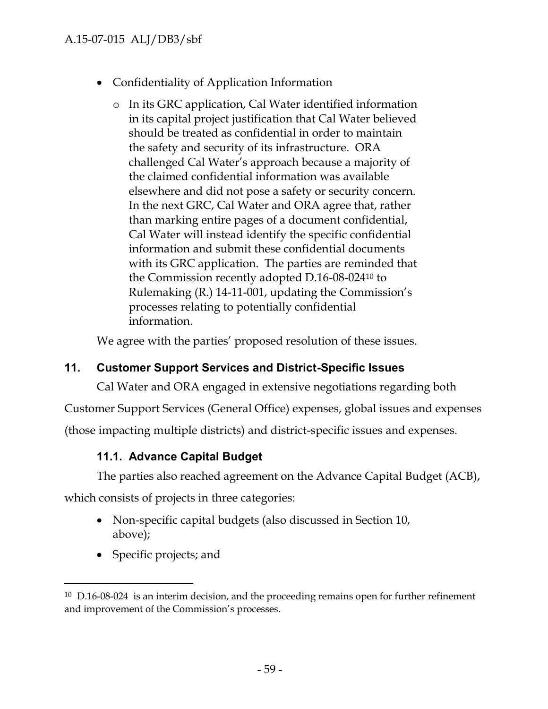- Confidentiality of Application Information
	- o In its GRC application, Cal Water identified information in its capital project justification that Cal Water believed should be treated as confidential in order to maintain the safety and security of its infrastructure. ORA challenged Cal Water's approach because a majority of the claimed confidential information was available elsewhere and did not pose a safety or security concern. In the next GRC, Cal Water and ORA agree that, rather than marking entire pages of a document confidential, Cal Water will instead identify the specific confidential information and submit these confidential documents with its GRC application. The parties are reminded that the Commission recently adopted D.16-08-024<sup>10</sup> to Rulemaking (R.) 14-11-001, updating the Commission's processes relating to potentially confidential information.

We agree with the parties' proposed resolution of these issues.

# **11. Customer Support Services and District-Specific Issues**

Cal Water and ORA engaged in extensive negotiations regarding both

Customer Support Services (General Office) expenses, global issues and expenses

(those impacting multiple districts) and district-specific issues and expenses.

# **11.1. Advance Capital Budget**

The parties also reached agreement on the Advance Capital Budget (ACB),

which consists of projects in three categories:

- Non-specific capital budgets (also discussed in Section 10, above);
- Specific projects; and

 $10$  D.16-08-024 is an interim decision, and the proceeding remains open for further refinement and improvement of the Commission's processes.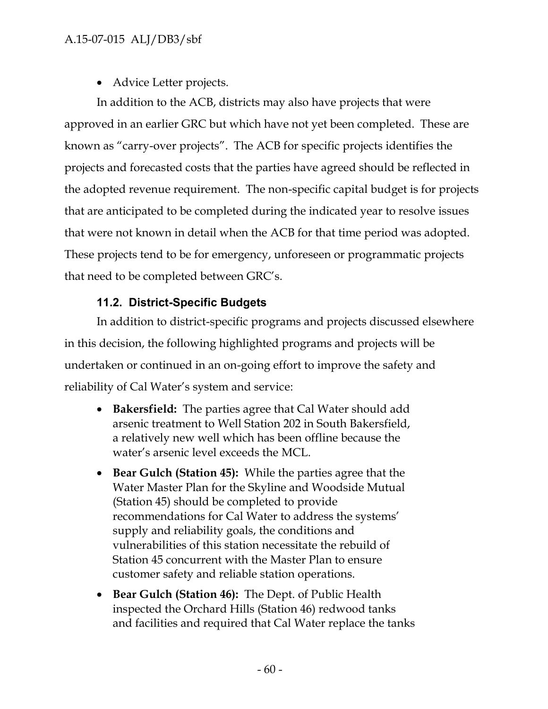• Advice Letter projects.

In addition to the ACB, districts may also have projects that were approved in an earlier GRC but which have not yet been completed. These are known as "carry-over projects". The ACB for specific projects identifies the projects and forecasted costs that the parties have agreed should be reflected in the adopted revenue requirement. The non-specific capital budget is for projects that are anticipated to be completed during the indicated year to resolve issues that were not known in detail when the ACB for that time period was adopted. These projects tend to be for emergency, unforeseen or programmatic projects that need to be completed between GRC's.

# **11.2. District-Specific Budgets**

In addition to district-specific programs and projects discussed elsewhere in this decision, the following highlighted programs and projects will be undertaken or continued in an on-going effort to improve the safety and reliability of Cal Water's system and service:

- **Bakersfield:** The parties agree that Cal Water should add arsenic treatment to Well Station 202 in South Bakersfield, a relatively new well which has been offline because the water's arsenic level exceeds the MCL.
- **Bear Gulch (Station 45):** While the parties agree that the Water Master Plan for the Skyline and Woodside Mutual (Station 45) should be completed to provide recommendations for Cal Water to address the systems' supply and reliability goals, the conditions and vulnerabilities of this station necessitate the rebuild of Station 45 concurrent with the Master Plan to ensure customer safety and reliable station operations.
- **Bear Gulch (Station 46):** The Dept. of Public Health inspected the Orchard Hills (Station 46) redwood tanks and facilities and required that Cal Water replace the tanks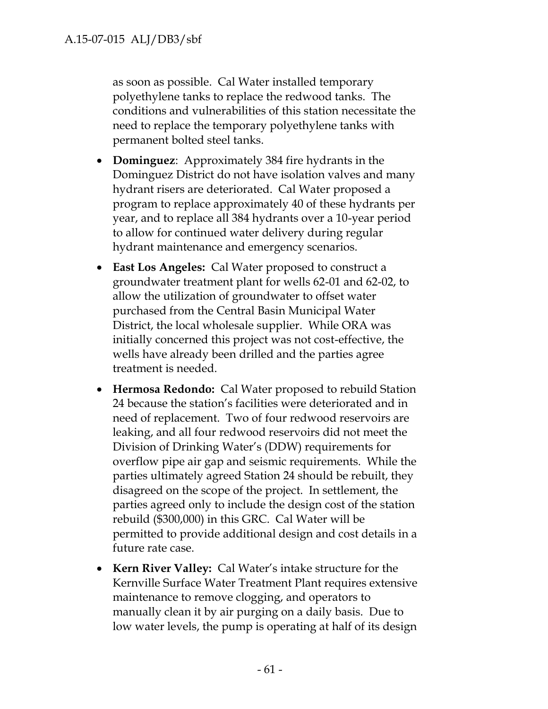as soon as possible. Cal Water installed temporary polyethylene tanks to replace the redwood tanks. The conditions and vulnerabilities of this station necessitate the need to replace the temporary polyethylene tanks with permanent bolted steel tanks.

- **Dominguez**: Approximately 384 fire hydrants in the Dominguez District do not have isolation valves and many hydrant risers are deteriorated. Cal Water proposed a program to replace approximately 40 of these hydrants per year, and to replace all 384 hydrants over a 10-year period to allow for continued water delivery during regular hydrant maintenance and emergency scenarios.
- **East Los Angeles:** Cal Water proposed to construct a groundwater treatment plant for wells 62-01 and 62-02, to allow the utilization of groundwater to offset water purchased from the Central Basin Municipal Water District, the local wholesale supplier. While ORA was initially concerned this project was not cost-effective, the wells have already been drilled and the parties agree treatment is needed.
- **Hermosa Redondo:** Cal Water proposed to rebuild Station 24 because the station's facilities were deteriorated and in need of replacement. Two of four redwood reservoirs are leaking, and all four redwood reservoirs did not meet the Division of Drinking Water's (DDW) requirements for overflow pipe air gap and seismic requirements. While the parties ultimately agreed Station 24 should be rebuilt, they disagreed on the scope of the project. In settlement, the parties agreed only to include the design cost of the station rebuild (\$300,000) in this GRC. Cal Water will be permitted to provide additional design and cost details in a future rate case.
- **Kern River Valley:** Cal Water's intake structure for the Kernville Surface Water Treatment Plant requires extensive maintenance to remove clogging, and operators to manually clean it by air purging on a daily basis. Due to low water levels, the pump is operating at half of its design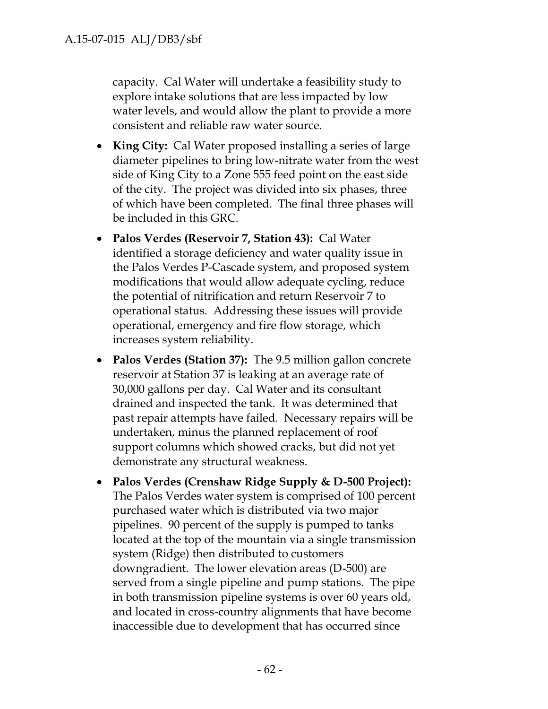capacity. Cal Water will undertake a feasibility study to explore intake solutions that are less impacted by low water levels, and would allow the plant to provide a more consistent and reliable raw water source.

- **King City:** Cal Water proposed installing a series of large diameter pipelines to bring low-nitrate water from the west side of King City to a Zone 555 feed point on the east side of the city. The project was divided into six phases, three of which have been completed. The final three phases will be included in this GRC.
- **Palos Verdes (Reservoir 7, Station 43):** Cal Water identified a storage deficiency and water quality issue in the Palos Verdes P-Cascade system, and proposed system modifications that would allow adequate cycling, reduce the potential of nitrification and return Reservoir 7 to operational status. Addressing these issues will provide operational, emergency and fire flow storage, which increases system reliability.
- **Palos Verdes (Station 37):** The 9.5 million gallon concrete reservoir at Station 37 is leaking at an average rate of 30,000 gallons per day. Cal Water and its consultant drained and inspected the tank. It was determined that past repair attempts have failed. Necessary repairs will be undertaken, minus the planned replacement of roof support columns which showed cracks, but did not yet demonstrate any structural weakness.
- **Palos Verdes (Crenshaw Ridge Supply & D-500 Project):** The Palos Verdes water system is comprised of 100 percent purchased water which is distributed via two major pipelines. 90 percent of the supply is pumped to tanks located at the top of the mountain via a single transmission system (Ridge) then distributed to customers downgradient. The lower elevation areas (D-500) are served from a single pipeline and pump stations. The pipe in both transmission pipeline systems is over 60 years old, and located in cross-country alignments that have become inaccessible due to development that has occurred since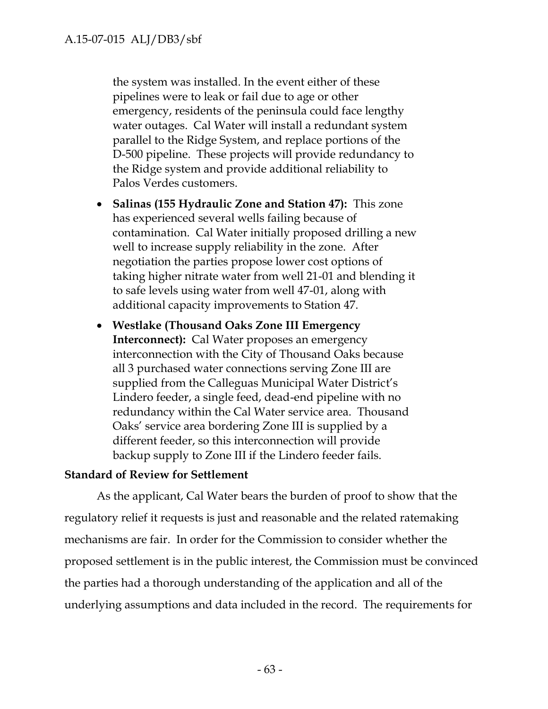the system was installed. In the event either of these pipelines were to leak or fail due to age or other emergency, residents of the peninsula could face lengthy water outages. Cal Water will install a redundant system parallel to the Ridge System, and replace portions of the D-500 pipeline. These projects will provide redundancy to the Ridge system and provide additional reliability to Palos Verdes customers.

- **Salinas (155 Hydraulic Zone and Station 47):** This zone has experienced several wells failing because of contamination. Cal Water initially proposed drilling a new well to increase supply reliability in the zone. After negotiation the parties propose lower cost options of taking higher nitrate water from well 21-01 and blending it to safe levels using water from well 47-01, along with additional capacity improvements to Station 47.
- **Westlake (Thousand Oaks Zone III Emergency Interconnect):** Cal Water proposes an emergency interconnection with the City of Thousand Oaks because all 3 purchased water connections serving Zone III are supplied from the Calleguas Municipal Water District's Lindero feeder, a single feed, dead-end pipeline with no redundancy within the Cal Water service area. Thousand Oaks' service area bordering Zone III is supplied by a different feeder, so this interconnection will provide backup supply to Zone III if the Lindero feeder fails.

### **Standard of Review for Settlement**

As the applicant, Cal Water bears the burden of proof to show that the regulatory relief it requests is just and reasonable and the related ratemaking mechanisms are fair. In order for the Commission to consider whether the proposed settlement is in the public interest, the Commission must be convinced the parties had a thorough understanding of the application and all of the underlying assumptions and data included in the record. The requirements for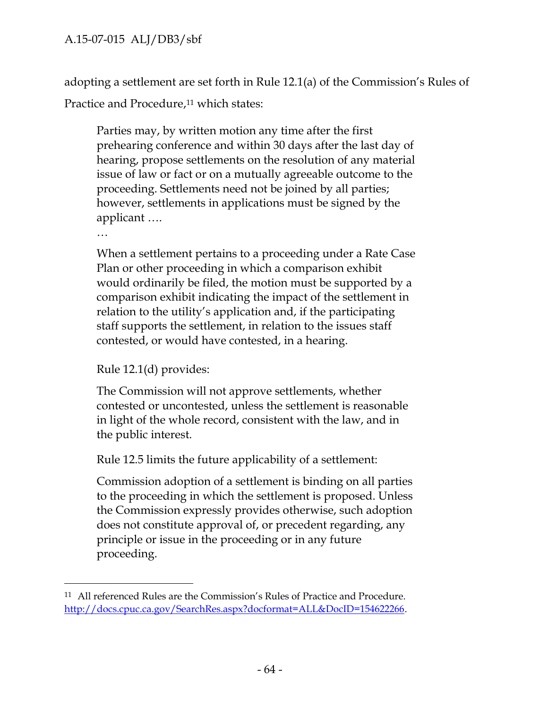adopting a settlement are set forth in Rule 12.1(a) of the Commission's Rules of Practice and Procedure,<sup>11</sup> which states:

Parties may, by written motion any time after the first prehearing conference and within 30 days after the last day of hearing, propose settlements on the resolution of any material issue of law or fact or on a mutually agreeable outcome to the proceeding. Settlements need not be joined by all parties; however, settlements in applications must be signed by the applicant ….

…

When a settlement pertains to a proceeding under a Rate Case Plan or other proceeding in which a comparison exhibit would ordinarily be filed, the motion must be supported by a comparison exhibit indicating the impact of the settlement in relation to the utility's application and, if the participating staff supports the settlement, in relation to the issues staff contested, or would have contested, in a hearing.

Rule 12.1(d) provides:

The Commission will not approve settlements, whether contested or uncontested, unless the settlement is reasonable in light of the whole record, consistent with the law, and in the public interest.

Rule 12.5 limits the future applicability of a settlement:

Commission adoption of a settlement is binding on all parties to the proceeding in which the settlement is proposed. Unless the Commission expressly provides otherwise, such adoption does not constitute approval of, or precedent regarding, any principle or issue in the proceeding or in any future proceeding.

<sup>11</sup> All referenced Rules are the Commission's Rules of Practice and Procedure. http://docs.cpuc.ca.gov/SearchRes.aspx?docformat=ALL&DocID=154622266.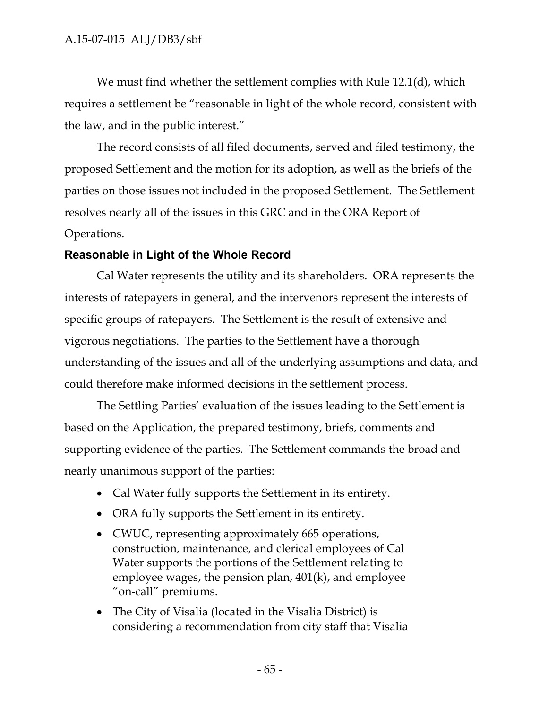We must find whether the settlement complies with Rule 12.1(d), which requires a settlement be "reasonable in light of the whole record, consistent with the law, and in the public interest."

The record consists of all filed documents, served and filed testimony, the proposed Settlement and the motion for its adoption, as well as the briefs of the parties on those issues not included in the proposed Settlement. The Settlement resolves nearly all of the issues in this GRC and in the ORA Report of Operations.

### **Reasonable in Light of the Whole Record**

Cal Water represents the utility and its shareholders. ORA represents the interests of ratepayers in general, and the intervenors represent the interests of specific groups of ratepayers. The Settlement is the result of extensive and vigorous negotiations. The parties to the Settlement have a thorough understanding of the issues and all of the underlying assumptions and data, and could therefore make informed decisions in the settlement process.

The Settling Parties' evaluation of the issues leading to the Settlement is based on the Application, the prepared testimony, briefs, comments and supporting evidence of the parties. The Settlement commands the broad and nearly unanimous support of the parties:

- Cal Water fully supports the Settlement in its entirety.
- ORA fully supports the Settlement in its entirety.
- CWUC, representing approximately 665 operations, construction, maintenance, and clerical employees of Cal Water supports the portions of the Settlement relating to employee wages, the pension plan, 401(k), and employee "on-call" premiums.
- The City of Visalia (located in the Visalia District) is considering a recommendation from city staff that Visalia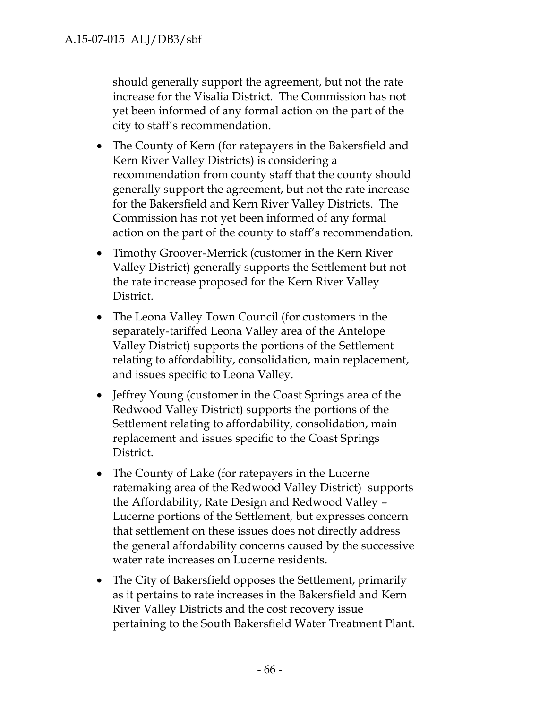should generally support the agreement, but not the rate increase for the Visalia District. The Commission has not yet been informed of any formal action on the part of the city to staff's recommendation.

- The County of Kern (for ratepayers in the Bakersfield and Kern River Valley Districts) is considering a recommendation from county staff that the county should generally support the agreement, but not the rate increase for the Bakersfield and Kern River Valley Districts. The Commission has not yet been informed of any formal action on the part of the county to staff's recommendation.
- Timothy Groover-Merrick (customer in the Kern River Valley District) generally supports the Settlement but not the rate increase proposed for the Kern River Valley District.
- The Leona Valley Town Council (for customers in the separately-tariffed Leona Valley area of the Antelope Valley District) supports the portions of the Settlement relating to affordability, consolidation, main replacement, and issues specific to Leona Valley.
- Jeffrey Young (customer in the Coast Springs area of the Redwood Valley District) supports the portions of the Settlement relating to affordability, consolidation, main replacement and issues specific to the Coast Springs District.
- The County of Lake (for ratepayers in the Lucerne ratemaking area of the Redwood Valley District) supports the Affordability, Rate Design and Redwood Valley – Lucerne portions of the Settlement, but expresses concern that settlement on these issues does not directly address the general affordability concerns caused by the successive water rate increases on Lucerne residents.
- The City of Bakersfield opposes the Settlement, primarily as it pertains to rate increases in the Bakersfield and Kern River Valley Districts and the cost recovery issue pertaining to the South Bakersfield Water Treatment Plant.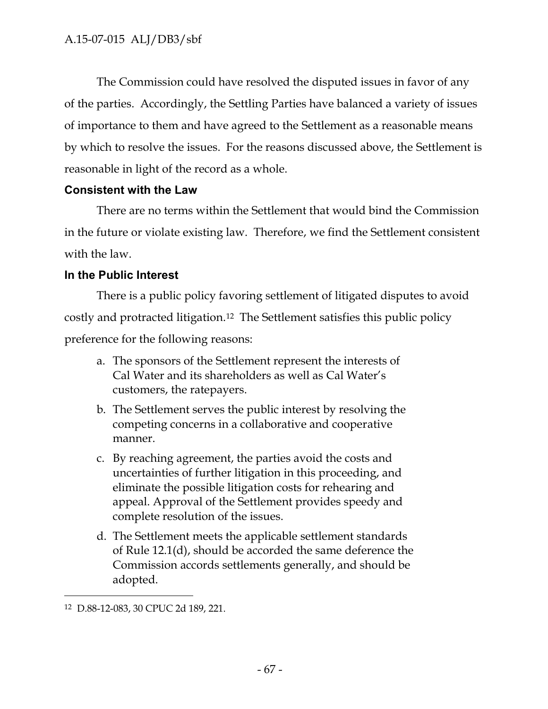The Commission could have resolved the disputed issues in favor of any of the parties. Accordingly, the Settling Parties have balanced a variety of issues of importance to them and have agreed to the Settlement as a reasonable means by which to resolve the issues. For the reasons discussed above, the Settlement is reasonable in light of the record as a whole.

## **Consistent with the Law**

There are no terms within the Settlement that would bind the Commission in the future or violate existing law. Therefore, we find the Settlement consistent with the law.

## **In the Public Interest**

There is a public policy favoring settlement of litigated disputes to avoid costly and protracted litigation.<sup>12</sup> The Settlement satisfies this public policy preference for the following reasons:

- a. The sponsors of the Settlement represent the interests of Cal Water and its shareholders as well as Cal Water's customers, the ratepayers.
- b. The Settlement serves the public interest by resolving the competing concerns in a collaborative and cooperative manner.
- c. By reaching agreement, the parties avoid the costs and uncertainties of further litigation in this proceeding, and eliminate the possible litigation costs for rehearing and appeal. Approval of the Settlement provides speedy and complete resolution of the issues.
- d. The Settlement meets the applicable settlement standards of Rule 12.1(d), should be accorded the same deference the Commission accords settlements generally, and should be adopted.

<sup>12</sup> D.88-12-083, 30 CPUC 2d 189, 221.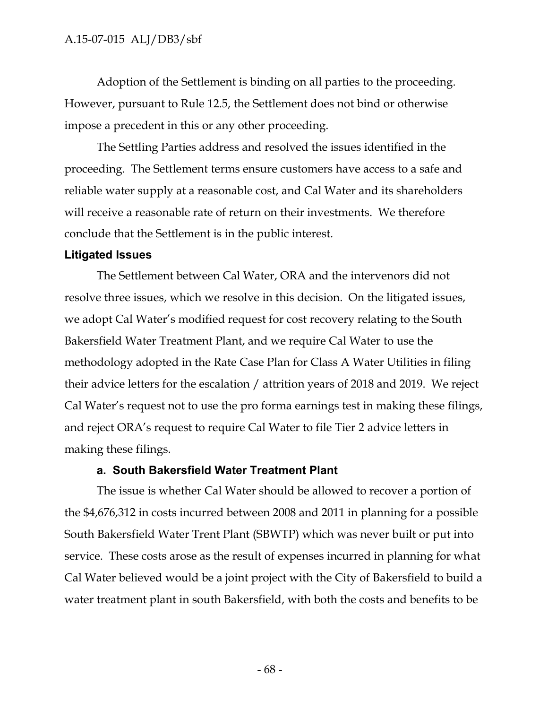Adoption of the Settlement is binding on all parties to the proceeding. However, pursuant to Rule 12.5, the Settlement does not bind or otherwise impose a precedent in this or any other proceeding.

The Settling Parties address and resolved the issues identified in the proceeding. The Settlement terms ensure customers have access to a safe and reliable water supply at a reasonable cost, and Cal Water and its shareholders will receive a reasonable rate of return on their investments. We therefore conclude that the Settlement is in the public interest.

#### **Litigated Issues**

The Settlement between Cal Water, ORA and the intervenors did not resolve three issues, which we resolve in this decision. On the litigated issues, we adopt Cal Water's modified request for cost recovery relating to the South Bakersfield Water Treatment Plant, and we require Cal Water to use the methodology adopted in the Rate Case Plan for Class A Water Utilities in filing their advice letters for the escalation / attrition years of 2018 and 2019. We reject Cal Water's request not to use the pro forma earnings test in making these filings, and reject ORA's request to require Cal Water to file Tier 2 advice letters in making these filings.

#### **a. South Bakersfield Water Treatment Plant**

The issue is whether Cal Water should be allowed to recover a portion of the \$4,676,312 in costs incurred between 2008 and 2011 in planning for a possible South Bakersfield Water Trent Plant (SBWTP) which was never built or put into service. These costs arose as the result of expenses incurred in planning for what Cal Water believed would be a joint project with the City of Bakersfield to build a water treatment plant in south Bakersfield, with both the costs and benefits to be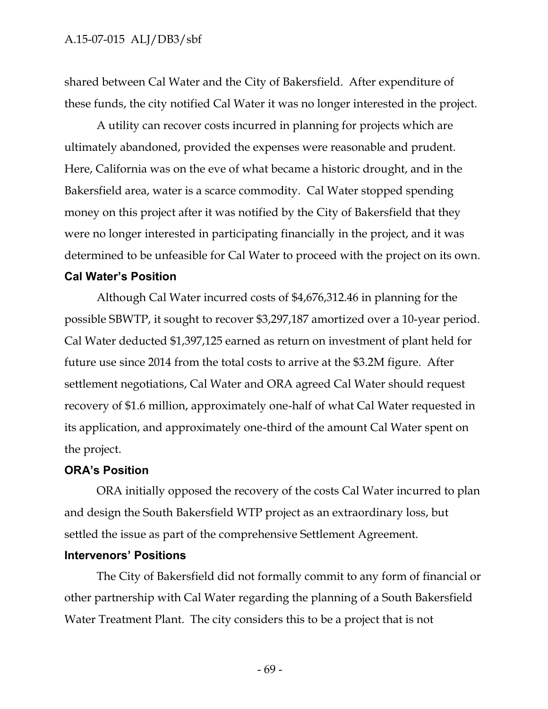shared between Cal Water and the City of Bakersfield. After expenditure of these funds, the city notified Cal Water it was no longer interested in the project.

A utility can recover costs incurred in planning for projects which are ultimately abandoned, provided the expenses were reasonable and prudent. Here, California was on the eve of what became a historic drought, and in the Bakersfield area, water is a scarce commodity. Cal Water stopped spending money on this project after it was notified by the City of Bakersfield that they were no longer interested in participating financially in the project, and it was determined to be unfeasible for Cal Water to proceed with the project on its own.

#### **Cal Water's Position**

Although Cal Water incurred costs of \$4,676,312.46 in planning for the possible SBWTP, it sought to recover \$3,297,187 amortized over a 10-year period. Cal Water deducted \$1,397,125 earned as return on investment of plant held for future use since 2014 from the total costs to arrive at the \$3.2M figure. After settlement negotiations, Cal Water and ORA agreed Cal Water should request recovery of \$1.6 million, approximately one-half of what Cal Water requested in its application, and approximately one-third of the amount Cal Water spent on the project.

#### **ORA's Position**

ORA initially opposed the recovery of the costs Cal Water incurred to plan and design the South Bakersfield WTP project as an extraordinary loss, but settled the issue as part of the comprehensive Settlement Agreement.

#### **Intervenors' Positions**

The City of Bakersfield did not formally commit to any form of financial or other partnership with Cal Water regarding the planning of a South Bakersfield Water Treatment Plant. The city considers this to be a project that is not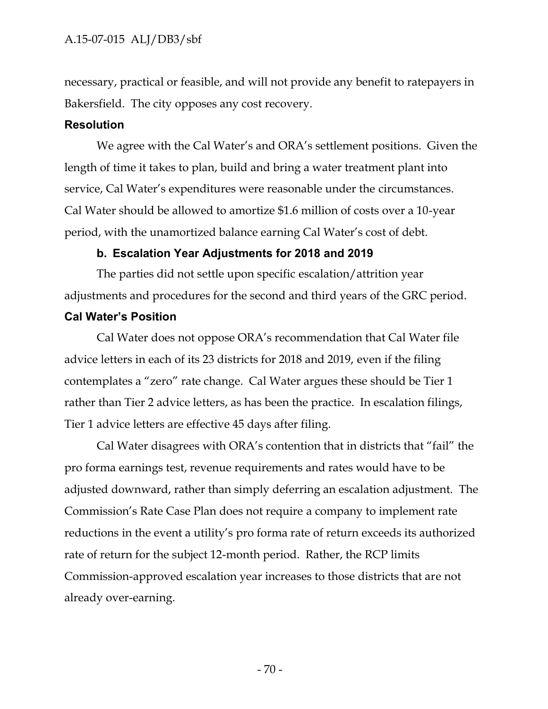necessary, practical or feasible, and will not provide any benefit to ratepayers in Bakersfield. The city opposes any cost recovery.

#### **Resolution**

We agree with the Cal Water's and ORA's settlement positions. Given the length of time it takes to plan, build and bring a water treatment plant into service, Cal Water's expenditures were reasonable under the circumstances. Cal Water should be allowed to amortize \$1.6 million of costs over a 10-year period, with the unamortized balance earning Cal Water's cost of debt.

#### **b. Escalation Year Adjustments for 2018 and 2019**

The parties did not settle upon specific escalation/attrition year adjustments and procedures for the second and third years of the GRC period.

## **Cal Water's Position**

Cal Water does not oppose ORA's recommendation that Cal Water file advice letters in each of its 23 districts for 2018 and 2019, even if the filing contemplates a "zero" rate change. Cal Water argues these should be Tier 1 rather than Tier 2 advice letters, as has been the practice. In escalation filings, Tier 1 advice letters are effective 45 days after filing.

Cal Water disagrees with ORA's contention that in districts that "fail" the pro forma earnings test, revenue requirements and rates would have to be adjusted downward, rather than simply deferring an escalation adjustment. The Commission's Rate Case Plan does not require a company to implement rate reductions in the event a utility's pro forma rate of return exceeds its authorized rate of return for the subject 12-month period. Rather, the RCP limits Commission-approved escalation year increases to those districts that are not already over-earning.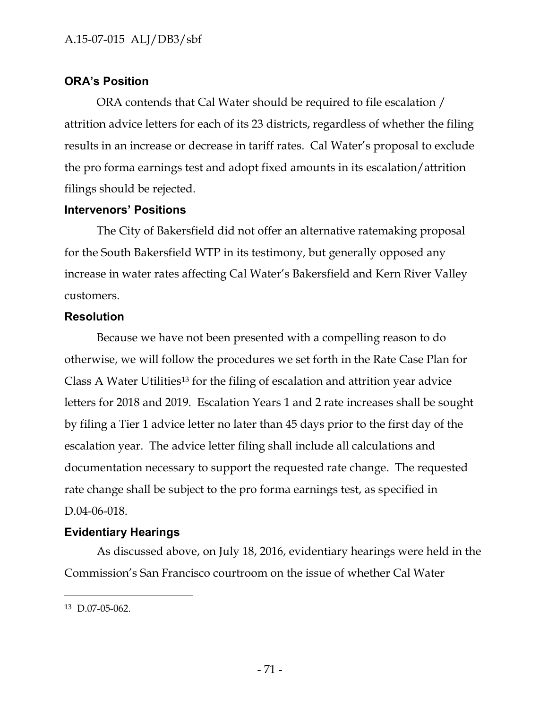## **ORA's Position**

ORA contends that Cal Water should be required to file escalation / attrition advice letters for each of its 23 districts, regardless of whether the filing results in an increase or decrease in tariff rates. Cal Water's proposal to exclude the pro forma earnings test and adopt fixed amounts in its escalation/attrition filings should be rejected.

## **Intervenors' Positions**

The City of Bakersfield did not offer an alternative ratemaking proposal for the South Bakersfield WTP in its testimony, but generally opposed any increase in water rates affecting Cal Water's Bakersfield and Kern River Valley customers.

## **Resolution**

Because we have not been presented with a compelling reason to do otherwise, we will follow the procedures we set forth in the Rate Case Plan for Class A Water Utilities<sup>13</sup> for the filing of escalation and attrition year advice letters for 2018 and 2019. Escalation Years 1 and 2 rate increases shall be sought by filing a Tier 1 advice letter no later than 45 days prior to the first day of the escalation year. The advice letter filing shall include all calculations and documentation necessary to support the requested rate change. The requested rate change shall be subject to the pro forma earnings test, as specified in D.04-06-018.

# **Evidentiary Hearings**

As discussed above, on July 18, 2016, evidentiary hearings were held in the Commission's San Francisco courtroom on the issue of whether Cal Water

<sup>13</sup> D.07-05-062.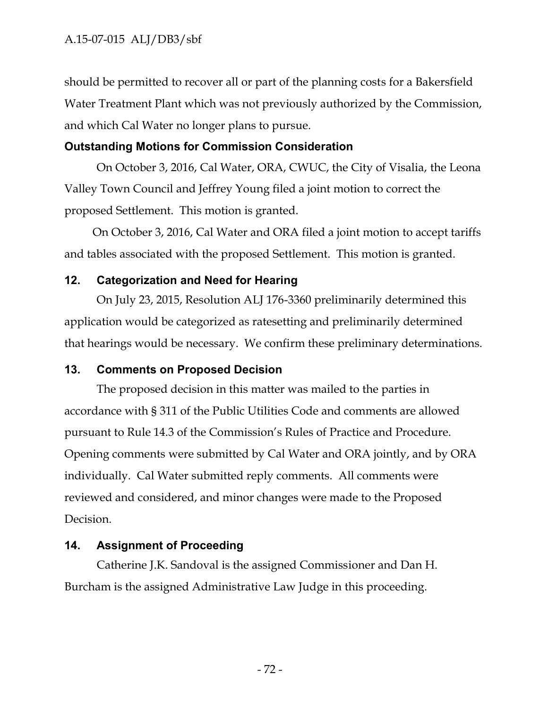should be permitted to recover all or part of the planning costs for a Bakersfield Water Treatment Plant which was not previously authorized by the Commission, and which Cal Water no longer plans to pursue.

## **Outstanding Motions for Commission Consideration**

On October 3, 2016, Cal Water, ORA, CWUC, the City of Visalia, the Leona Valley Town Council and Jeffrey Young filed a joint motion to correct the proposed Settlement. This motion is granted.

On October 3, 2016, Cal Water and ORA filed a joint motion to accept tariffs and tables associated with the proposed Settlement. This motion is granted.

## **12. Categorization and Need for Hearing**

On July 23, 2015, Resolution ALJ 176-3360 preliminarily determined this application would be categorized as ratesetting and preliminarily determined that hearings would be necessary. We confirm these preliminary determinations.

## **13. Comments on Proposed Decision**

The proposed decision in this matter was mailed to the parties in accordance with § 311 of the Public Utilities Code and comments are allowed pursuant to Rule 14.3 of the Commission's Rules of Practice and Procedure. Opening comments were submitted by Cal Water and ORA jointly, and by ORA individually. Cal Water submitted reply comments. All comments were reviewed and considered, and minor changes were made to the Proposed Decision.

# **14. Assignment of Proceeding**

Catherine J.K. Sandoval is the assigned Commissioner and Dan H. Burcham is the assigned Administrative Law Judge in this proceeding.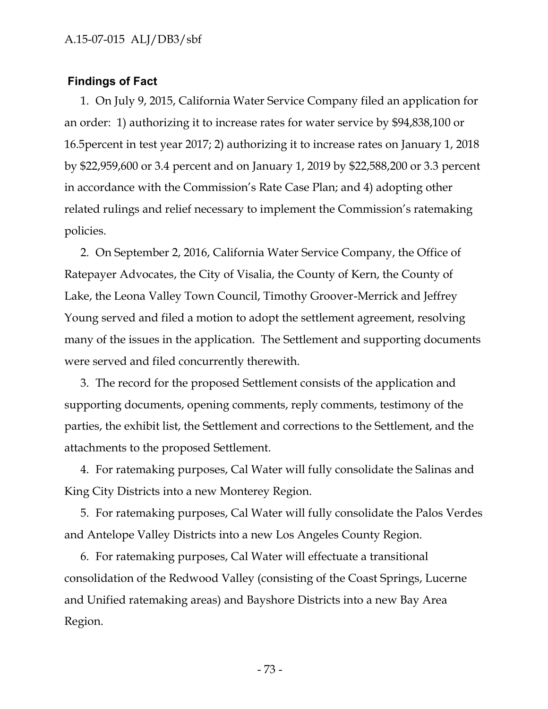#### **Findings of Fact**

1. On July 9, 2015, California Water Service Company filed an application for an order: 1) authorizing it to increase rates for water service by \$94,838,100 or 16.5percent in test year 2017; 2) authorizing it to increase rates on January 1, 2018 by \$22,959,600 or 3.4 percent and on January 1, 2019 by \$22,588,200 or 3.3 percent in accordance with the Commission's Rate Case Plan; and 4) adopting other related rulings and relief necessary to implement the Commission's ratemaking policies.

2. On September 2, 2016, California Water Service Company, the Office of Ratepayer Advocates, the City of Visalia, the County of Kern, the County of Lake, the Leona Valley Town Council, Timothy Groover-Merrick and Jeffrey Young served and filed a motion to adopt the settlement agreement, resolving many of the issues in the application. The Settlement and supporting documents were served and filed concurrently therewith.

3. The record for the proposed Settlement consists of the application and supporting documents, opening comments, reply comments, testimony of the parties, the exhibit list, the Settlement and corrections to the Settlement, and the attachments to the proposed Settlement.

4. For ratemaking purposes, Cal Water will fully consolidate the Salinas and King City Districts into a new Monterey Region.

5. For ratemaking purposes, Cal Water will fully consolidate the Palos Verdes and Antelope Valley Districts into a new Los Angeles County Region.

6. For ratemaking purposes, Cal Water will effectuate a transitional consolidation of the Redwood Valley (consisting of the Coast Springs, Lucerne and Unified ratemaking areas) and Bayshore Districts into a new Bay Area Region.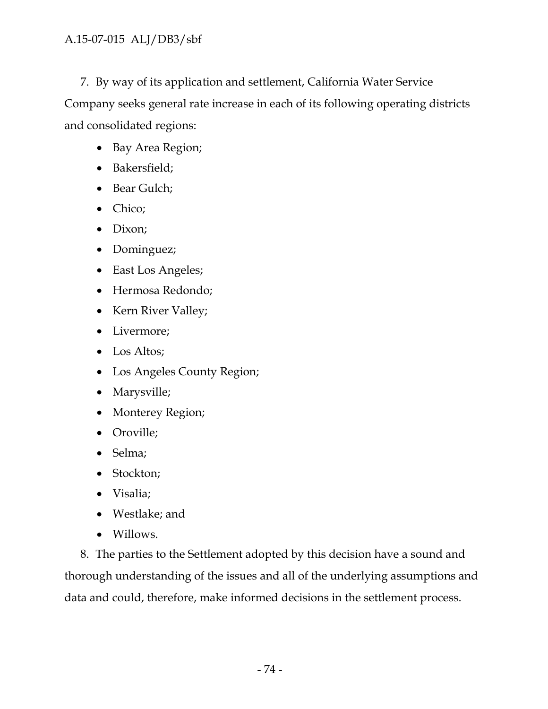7. By way of its application and settlement, California Water Service Company seeks general rate increase in each of its following operating districts and consolidated regions:

- Bay Area Region;
- Bakersfield;
- Bear Gulch;
- Chico;
- Dixon;
- Dominguez;
- East Los Angeles;
- Hermosa Redondo;
- Kern River Valley;
- Livermore;
- Los Altos;
- Los Angeles County Region;
- Marysville;
- Monterey Region;
- Oroville;
- Selma;
- Stockton;
- Visalia;
- Westlake; and
- Willows.

8. The parties to the Settlement adopted by this decision have a sound and thorough understanding of the issues and all of the underlying assumptions and data and could, therefore, make informed decisions in the settlement process.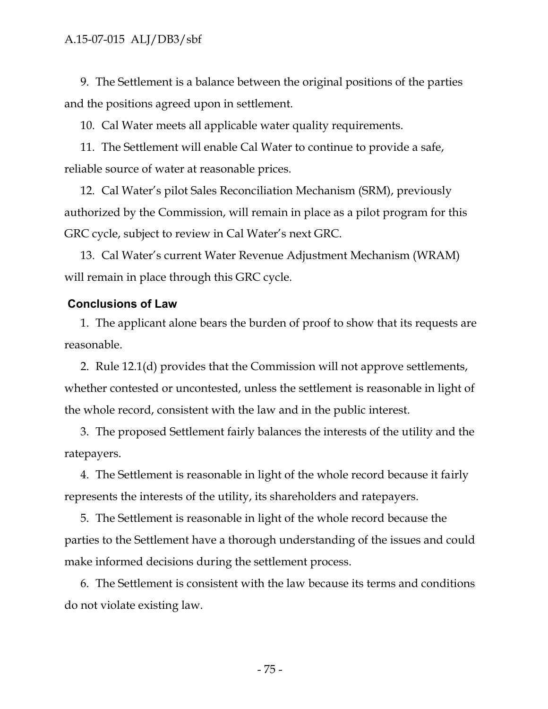9. The Settlement is a balance between the original positions of the parties and the positions agreed upon in settlement.

10. Cal Water meets all applicable water quality requirements.

11. The Settlement will enable Cal Water to continue to provide a safe, reliable source of water at reasonable prices.

12. Cal Water's pilot Sales Reconciliation Mechanism (SRM), previously authorized by the Commission, will remain in place as a pilot program for this GRC cycle, subject to review in Cal Water's next GRC.

13. Cal Water's current Water Revenue Adjustment Mechanism (WRAM) will remain in place through this GRC cycle.

#### **Conclusions of Law**

1. The applicant alone bears the burden of proof to show that its requests are reasonable.

2. Rule 12.1(d) provides that the Commission will not approve settlements, whether contested or uncontested, unless the settlement is reasonable in light of the whole record, consistent with the law and in the public interest.

3. The proposed Settlement fairly balances the interests of the utility and the ratepayers.

4. The Settlement is reasonable in light of the whole record because it fairly represents the interests of the utility, its shareholders and ratepayers.

5. The Settlement is reasonable in light of the whole record because the parties to the Settlement have a thorough understanding of the issues and could make informed decisions during the settlement process.

6. The Settlement is consistent with the law because its terms and conditions do not violate existing law.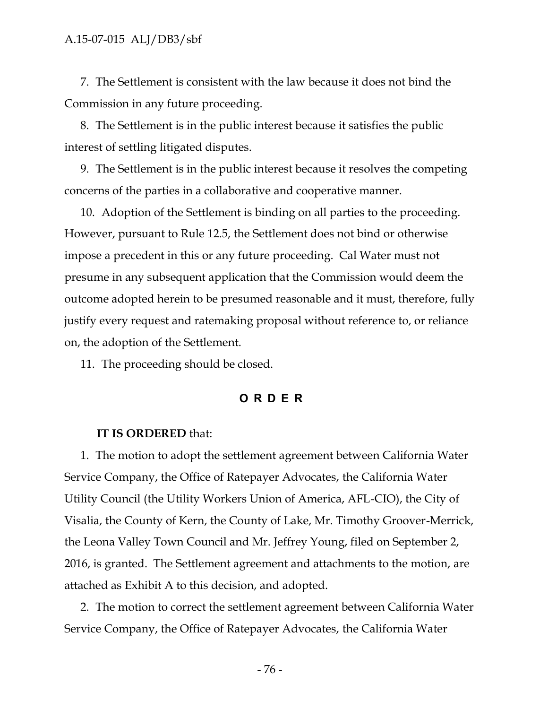7. The Settlement is consistent with the law because it does not bind the Commission in any future proceeding.

8. The Settlement is in the public interest because it satisfies the public interest of settling litigated disputes.

9. The Settlement is in the public interest because it resolves the competing concerns of the parties in a collaborative and cooperative manner.

10. Adoption of the Settlement is binding on all parties to the proceeding. However, pursuant to Rule 12.5, the Settlement does not bind or otherwise impose a precedent in this or any future proceeding. Cal Water must not presume in any subsequent application that the Commission would deem the outcome adopted herein to be presumed reasonable and it must, therefore, fully justify every request and ratemaking proposal without reference to, or reliance on, the adoption of the Settlement. .<br>closed.<br>**O R D E R** 

11. The proceeding should be closed.

#### **IT IS ORDERED** that:

1. The motion to adopt the settlement agreement between California Water Service Company, the Office of Ratepayer Advocates, the California Water Utility Council (the Utility Workers Union of America, AFL-CIO), the City of Visalia, the County of Kern, the County of Lake, Mr. Timothy Groover-Merrick, the Leona Valley Town Council and Mr. Jeffrey Young, filed on September 2, 2016, is granted. The Settlement agreement and attachments to the motion, are attached as Exhibit A to this decision, and adopted.

2. The motion to correct the settlement agreement between California Water Service Company, the Office of Ratepayer Advocates, the California Water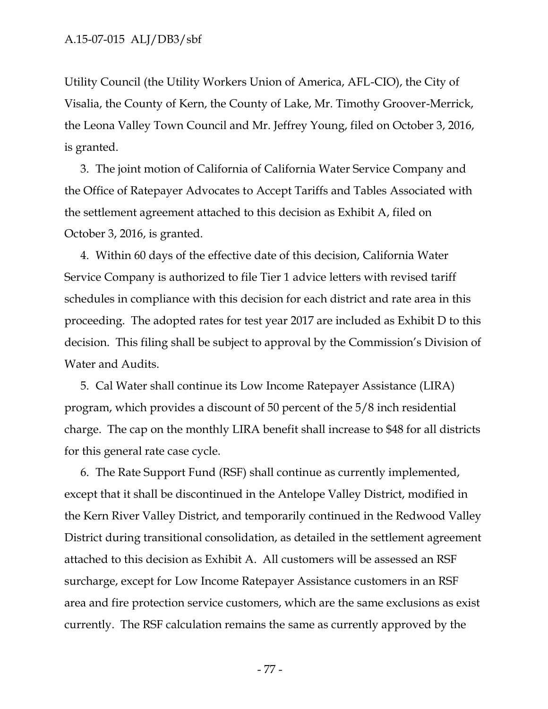Utility Council (the Utility Workers Union of America, AFL-CIO), the City of Visalia, the County of Kern, the County of Lake, Mr. Timothy Groover-Merrick, the Leona Valley Town Council and Mr. Jeffrey Young, filed on October 3, 2016, is granted.

3. The joint motion of California of California Water Service Company and the Office of Ratepayer Advocates to Accept Tariffs and Tables Associated with the settlement agreement attached to this decision as Exhibit A, filed on October 3, 2016, is granted.

4. Within 60 days of the effective date of this decision, California Water Service Company is authorized to file Tier 1 advice letters with revised tariff schedules in compliance with this decision for each district and rate area in this proceeding. The adopted rates for test year 2017 are included as Exhibit D to this decision. This filing shall be subject to approval by the Commission's Division of Water and Audits.

5. Cal Water shall continue its Low Income Ratepayer Assistance (LIRA) program, which provides a discount of 50 percent of the 5/8 inch residential charge. The cap on the monthly LIRA benefit shall increase to \$48 for all districts for this general rate case cycle.

6. The Rate Support Fund (RSF) shall continue as currently implemented, except that it shall be discontinued in the Antelope Valley District, modified in the Kern River Valley District, and temporarily continued in the Redwood Valley District during transitional consolidation, as detailed in the settlement agreement attached to this decision as Exhibit A. All customers will be assessed an RSF surcharge, except for Low Income Ratepayer Assistance customers in an RSF area and fire protection service customers, which are the same exclusions as exist currently. The RSF calculation remains the same as currently approved by the

- 77 -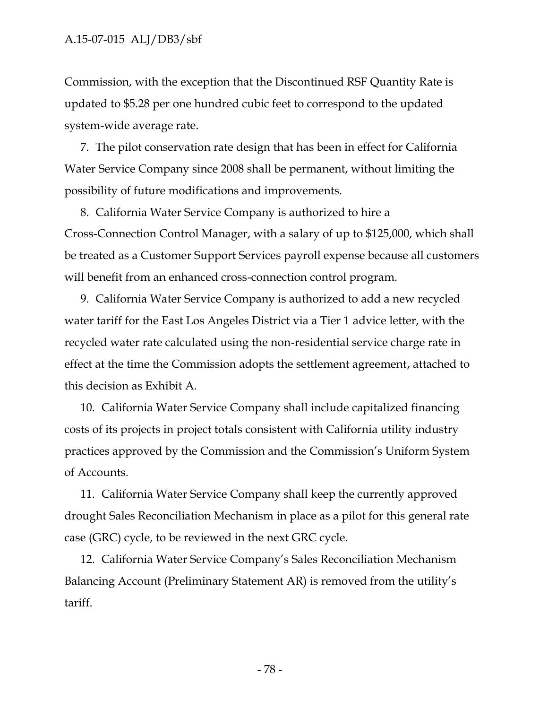#### A.15-07-015 ALJ/DB3/sbf

Commission, with the exception that the Discontinued RSF Quantity Rate is updated to \$5.28 per one hundred cubic feet to correspond to the updated system-wide average rate.

7. The pilot conservation rate design that has been in effect for California Water Service Company since 2008 shall be permanent, without limiting the possibility of future modifications and improvements.

8. California Water Service Company is authorized to hire a Cross-Connection Control Manager, with a salary of up to \$125,000, which shall be treated as a Customer Support Services payroll expense because all customers will benefit from an enhanced cross-connection control program.

9. California Water Service Company is authorized to add a new recycled water tariff for the East Los Angeles District via a Tier 1 advice letter, with the recycled water rate calculated using the non-residential service charge rate in effect at the time the Commission adopts the settlement agreement, attached to this decision as Exhibit A.

10. California Water Service Company shall include capitalized financing costs of its projects in project totals consistent with California utility industry practices approved by the Commission and the Commission's Uniform System of Accounts.

11. California Water Service Company shall keep the currently approved drought Sales Reconciliation Mechanism in place as a pilot for this general rate case (GRC) cycle, to be reviewed in the next GRC cycle.

12. California Water Service Company's Sales Reconciliation Mechanism Balancing Account (Preliminary Statement AR) is removed from the utility's tariff.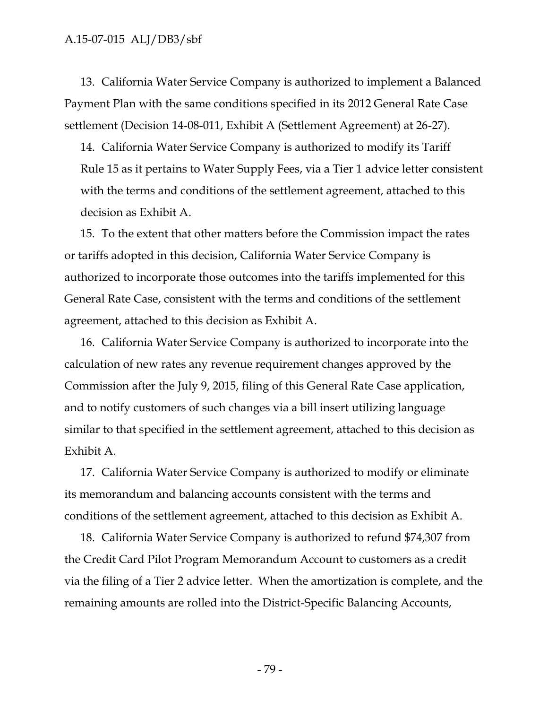13. California Water Service Company is authorized to implement a Balanced Payment Plan with the same conditions specified in its 2012 General Rate Case settlement (Decision 14-08-011, Exhibit A (Settlement Agreement) at 26-27).

14. California Water Service Company is authorized to modify its Tariff Rule 15 as it pertains to Water Supply Fees, via a Tier 1 advice letter consistent with the terms and conditions of the settlement agreement, attached to this decision as Exhibit A.

15. To the extent that other matters before the Commission impact the rates or tariffs adopted in this decision, California Water Service Company is authorized to incorporate those outcomes into the tariffs implemented for this General Rate Case, consistent with the terms and conditions of the settlement agreement, attached to this decision as Exhibit A.

16. California Water Service Company is authorized to incorporate into the calculation of new rates any revenue requirement changes approved by the Commission after the July 9, 2015, filing of this General Rate Case application, and to notify customers of such changes via a bill insert utilizing language similar to that specified in the settlement agreement, attached to this decision as Exhibit A.

17. California Water Service Company is authorized to modify or eliminate its memorandum and balancing accounts consistent with the terms and conditions of the settlement agreement, attached to this decision as Exhibit A.

18. California Water Service Company is authorized to refund \$74,307 from the Credit Card Pilot Program Memorandum Account to customers as a credit via the filing of a Tier 2 advice letter. When the amortization is complete, and the remaining amounts are rolled into the District-Specific Balancing Accounts,

- 79 -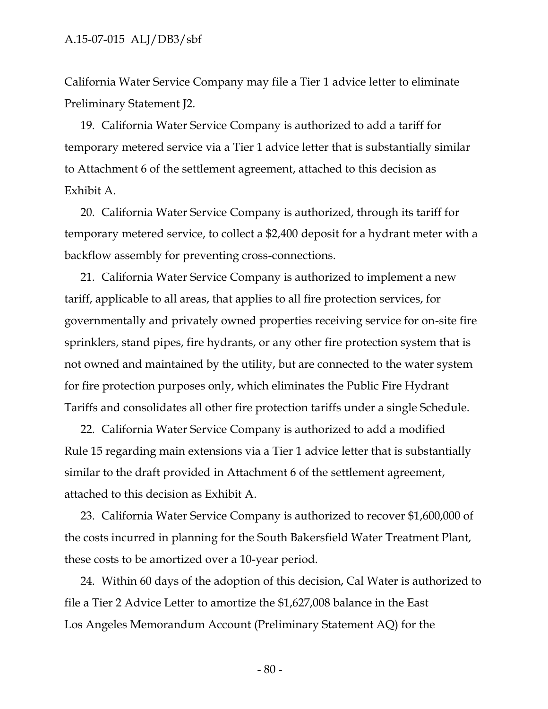California Water Service Company may file a Tier 1 advice letter to eliminate Preliminary Statement J2.

19. California Water Service Company is authorized to add a tariff for temporary metered service via a Tier 1 advice letter that is substantially similar to Attachment 6 of the settlement agreement, attached to this decision as Exhibit A.

20. California Water Service Company is authorized, through its tariff for temporary metered service, to collect a \$2,400 deposit for a hydrant meter with a backflow assembly for preventing cross-connections.

21. California Water Service Company is authorized to implement a new tariff, applicable to all areas, that applies to all fire protection services, for governmentally and privately owned properties receiving service for on-site fire sprinklers, stand pipes, fire hydrants, or any other fire protection system that is not owned and maintained by the utility, but are connected to the water system for fire protection purposes only, which eliminates the Public Fire Hydrant Tariffs and consolidates all other fire protection tariffs under a single Schedule.

22. California Water Service Company is authorized to add a modified Rule 15 regarding main extensions via a Tier 1 advice letter that is substantially similar to the draft provided in Attachment 6 of the settlement agreement, attached to this decision as Exhibit A.

23. California Water Service Company is authorized to recover \$1,600,000 of the costs incurred in planning for the South Bakersfield Water Treatment Plant, these costs to be amortized over a 10-year period.

24. Within 60 days of the adoption of this decision, Cal Water is authorized to file a Tier 2 Advice Letter to amortize the \$1,627,008 balance in the East Los Angeles Memorandum Account (Preliminary Statement AQ) for the